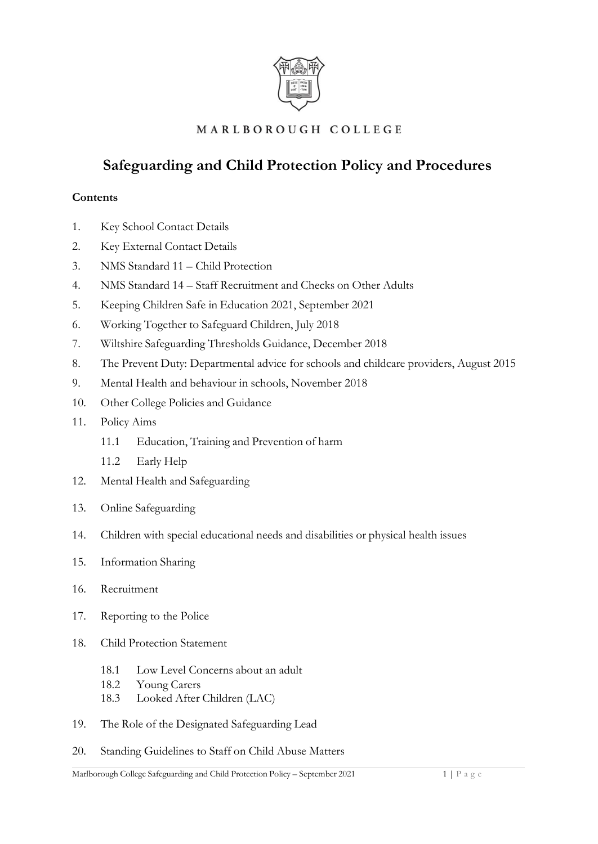

# MARLBOROUGH COLLEGE

# **Safeguarding and Child Protection Policy and Procedures**

#### **Contents**

- 1. Key School Contact Details
- 2. Key External Contact Details
- 3. NMS Standard 11 Child Protection
- 4. NMS Standard 14 Staff Recruitment and Checks on Other Adults
- 5. Keeping Children Safe in Education 2021, September 2021
- 6. Working Together to Safeguard Children, July 2018
- 7. Wiltshire Safeguarding Thresholds Guidance, December 2018
- 8. The Prevent Duty: Departmental advice for schools and childcare providers, August 2015
- 9. Mental Health and behaviour in schools, November 2018
- 10. Other College Policies and Guidance
- 11. Policy Aims
	- 11.1 Education, Training and Prevention of harm
	- 11.2 Early Help
- 12. Mental Health and Safeguarding
- 13. Online Safeguarding
- 14. Children with special educational needs and disabilities or physical health issues
- 15. Information Sharing
- 16. Recruitment
- 17. Reporting to the Police
- 18. Child Protection Statement
	- 18.1 Low Level Concerns about an adult
	- 18.2 Young Carers
	- 18.3 Looked After Children (LAC)
- 19. The Role of the Designated Safeguarding Lead
- 20. Standing Guidelines to Staff on Child Abuse Matters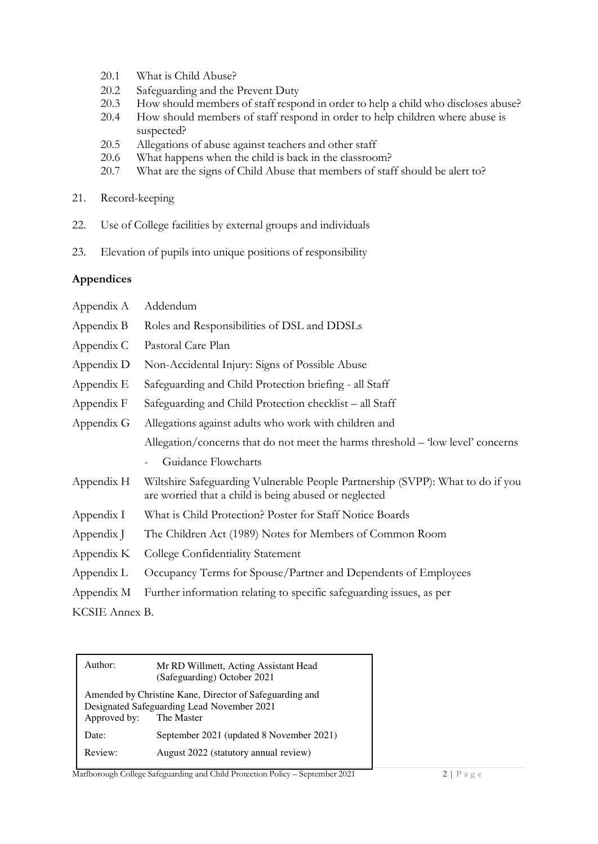- 20.1 What is Child Abuse?
- 20.2 Safeguarding and the Prevent Duty
- 20.3 How should members of staff respond in order to help a child who discloses abuse?<br>20.4 How should members of staff respond in order to help children where abuse is
- How should members of staff respond in order to help children where abuse is suspected?
- 20.5 Allegations of abuse against teachers and other staff
- 20.6 What happens when the child is back in the classroom?
- 20.7 What are the signs of Child Abuse that members of staff should be alert to?
- 21. Record-keeping
- 22. Use of College facilities by external groups and individuals
- 23. Elevation of pupils into unique positions of responsibility

#### **Appendices**

| Appendix A     | Addendum                                                                                                                                |
|----------------|-----------------------------------------------------------------------------------------------------------------------------------------|
| Appendix B     | Roles and Responsibilities of DSL and DDSLs                                                                                             |
| Appendix C     | Pastoral Care Plan                                                                                                                      |
| Appendix D     | Non-Accidental Injury: Signs of Possible Abuse                                                                                          |
| Appendix E     | Safeguarding and Child Protection briefing - all Staff                                                                                  |
| Appendix F     | Safeguarding and Child Protection checklist – all Staff                                                                                 |
| Appendix G     | Allegations against adults who work with children and                                                                                   |
|                | Allegation/concerns that do not meet the harms threshold - 'low level' concerns                                                         |
|                | Guidance Flowcharts                                                                                                                     |
| Appendix H     | Wiltshire Safeguarding Vulnerable People Partnership (SVPP): What to do if you<br>are worried that a child is being abused or neglected |
| Appendix I     | What is Child Protection? Poster for Staff Notice Boards                                                                                |
| Appendix J     | The Children Act (1989) Notes for Members of Common Room                                                                                |
| Appendix K     | College Confidentiality Statement                                                                                                       |
| Appendix L     | Occupancy Terms for Spouse/Partner and Dependents of Employees                                                                          |
| Appendix M     | Further information relating to specific safeguarding issues, as per                                                                    |
| KCSIE Annex B. |                                                                                                                                         |

| Author:      | Mr RD Willmett, Acting Assistant Head<br>(Safeguarding) October 2021                                                |
|--------------|---------------------------------------------------------------------------------------------------------------------|
| Approved by: | Amended by Christine Kane, Director of Safeguarding and<br>Designated Safeguarding Lead November 2021<br>The Master |
| Date:        | September 2021 (updated 8 November 2021)                                                                            |
| Review:      | August 2022 (statutory annual review)                                                                               |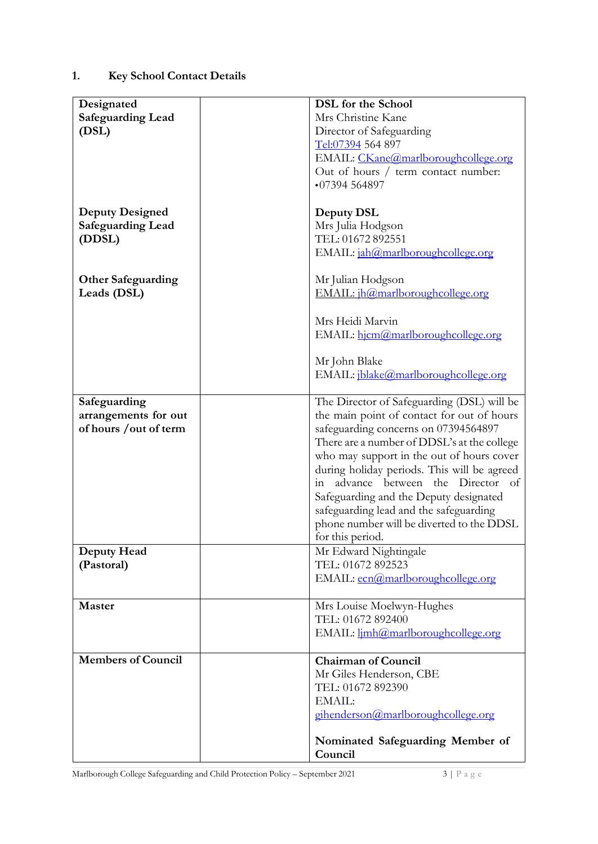# **1. Key School Contact Details**

| Designated                |                                                 |  |
|---------------------------|-------------------------------------------------|--|
| <b>Safeguarding Lead</b>  | <b>DSL</b> for the School<br>Mrs Christine Kane |  |
|                           | Director of Safeguarding                        |  |
| (DSL)                     |                                                 |  |
|                           | Tel:07394 564 897                               |  |
|                           | EMAIL: CKane@marlboroughcollege.org             |  |
|                           | Out of hours / term contact number:             |  |
|                           | •07394564897                                    |  |
|                           |                                                 |  |
| <b>Deputy Designed</b>    | Deputy DSL                                      |  |
| <b>Safeguarding Lead</b>  | Mrs Julia Hodgson                               |  |
| (DDSL)                    | TEL: 01672 892551                               |  |
|                           | EMAIL: jah@marlboroughcollege.org               |  |
| <b>Other Safeguarding</b> | Mr Julian Hodgson                               |  |
| Leads (DSL)               | EMAIL: jh@marlboroughcollege.org                |  |
|                           |                                                 |  |
|                           | Mrs Heidi Marvin                                |  |
|                           | EMAIL: hjcm@marlboroughcollege.org              |  |
|                           |                                                 |  |
|                           | Mr John Blake                                   |  |
|                           | EMAIL: jblake@marlboroughcollege.org            |  |
|                           |                                                 |  |
| Safeguarding              | The Director of Safeguarding (DSL) will be      |  |
| arrangements for out      | the main point of contact for out of hours      |  |
| of hours / out of term    | safeguarding concerns on 07394564897            |  |
|                           | There are a number of DDSL's at the college     |  |
|                           | who may support in the out of hours cover       |  |
|                           | during holiday periods. This will be agreed     |  |
|                           | advance between the Director of<br>in           |  |
|                           | Safeguarding and the Deputy designated          |  |
|                           | safeguarding lead and the safeguarding          |  |
|                           | phone number will be diverted to the DDSL       |  |
|                           | for this period.                                |  |
| Deputy Head               | Mr Edward Nightingale                           |  |
| (Pastoral)                | TEL: 01672 892523                               |  |
|                           | EMAIL: ecn@marlboroughcollege.org               |  |
|                           |                                                 |  |
| <b>Master</b>             | Mrs Louise Moelwyn-Hughes                       |  |
|                           | TEL: 01672 892400                               |  |
|                           | EMAIL: <i>limh@marlboroughcollege.org</i>       |  |
| <b>Members of Council</b> | <b>Chairman of Council</b>                      |  |
|                           | Mr Giles Henderson, CBE                         |  |
|                           | TEL: 01672 892390                               |  |
|                           | EMAIL:                                          |  |
|                           | gihenderson@marlboroughcollege.org              |  |
|                           |                                                 |  |
|                           | Nominated Safeguarding Member of                |  |
|                           | Council                                         |  |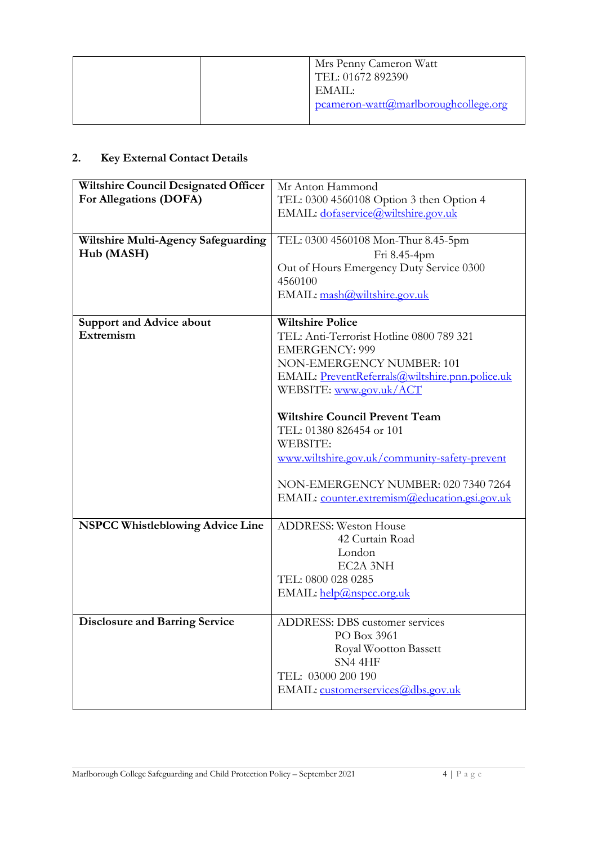# **2. Key External Contact Details**

| <b>Wiltshire Council Designated Officer</b><br>For Allegations (DOFA) | Mr Anton Hammond<br>TEL: 0300 4560108 Option 3 then Option 4<br>EMAIL: dofaservice@wiltshire.gov.uk                                                                                                                           |  |
|-----------------------------------------------------------------------|-------------------------------------------------------------------------------------------------------------------------------------------------------------------------------------------------------------------------------|--|
| Wiltshire Multi-Agency Safeguarding<br>Hub (MASH)                     | TEL: 0300 4560108 Mon-Thur 8.45-5pm<br>Fri 8.45-4pm<br>Out of Hours Emergency Duty Service 0300<br>4560100<br>EMAIL: mash@wiltshire.gov.uk                                                                                    |  |
| <b>Support and Advice about</b><br>Extremism                          | <b>Wiltshire Police</b><br>TEL: Anti-Terrorist Hotline 0800 789 321<br><b>EMERGENCY: 999</b><br>NON-EMERGENCY NUMBER: 101<br>EMAIL: PreventReferrals@wiltshire.pnn.police.uk<br>WEBSITE: www.gov.uk/ACT                       |  |
|                                                                       | <b>Wiltshire Council Prevent Team</b><br>TEL: 01380 826454 or 101<br><b>WEBSITE:</b><br>www.wiltshire.gov.uk/community-safety-prevent<br>NON-EMERGENCY NUMBER: 020 7340 7264<br>EMAIL: counter.extremism@education.gsi.gov.uk |  |
| <b>NSPCC Whistleblowing Advice Line</b>                               | <b>ADDRESS: Weston House</b><br>42 Curtain Road<br>London<br>EC2A 3NH<br>TEL: 0800 028 0285<br>EMAIL: help@nspcc.org.uk                                                                                                       |  |
| <b>Disclosure and Barring Service</b>                                 | ADDRESS: DBS customer services<br>PO Box 3961<br>Royal Wootton Bassett<br>SN4 4HF<br>TEL: 03000 200 190<br>EMAIL: customerservices@dbs.gov.uk                                                                                 |  |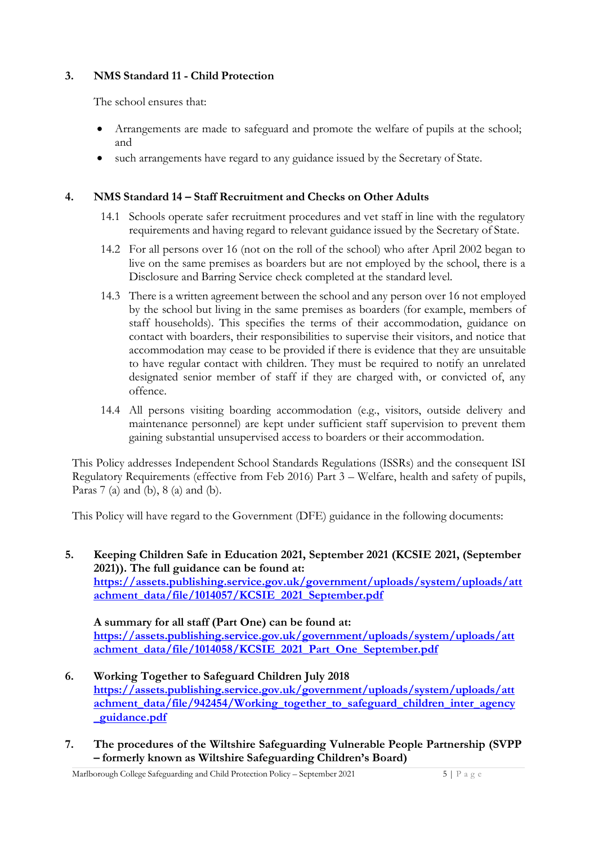#### **3. NMS Standard 11 - Child Protection**

The school ensures that:

- Arrangements are made to safeguard and promote the welfare of pupils at the school; and
- such arrangements have regard to any guidance issued by the Secretary of State.

#### **4. NMS Standard 14 – Staff Recruitment and Checks on Other Adults**

- 14.1 Schools operate safer recruitment procedures and vet staff in line with the regulatory requirements and having regard to relevant guidance issued by the Secretary of State.
- 14.2 For all persons over 16 (not on the roll of the school) who after April 2002 began to live on the same premises as boarders but are not employed by the school, there is a Disclosure and Barring Service check completed at the standard level.
- 14.3 There is a written agreement between the school and any person over 16 not employed by the school but living in the same premises as boarders (for example, members of staff households). This specifies the terms of their accommodation, guidance on contact with boarders, their responsibilities to supervise their visitors, and notice that accommodation may cease to be provided if there is evidence that they are unsuitable to have regular contact with children. They must be required to notify an unrelated designated senior member of staff if they are charged with, or convicted of, any offence.
- 14.4 All persons visiting boarding accommodation (e.g., visitors, outside delivery and maintenance personnel) are kept under sufficient staff supervision to prevent them gaining substantial unsupervised access to boarders or their accommodation.

This Policy addresses Independent School Standards Regulations (ISSRs) and the consequent ISI Regulatory Requirements (effective from Feb 2016) Part 3 – Welfare, health and safety of pupils, Paras 7 (a) and (b), 8 (a) and (b).

This Policy will have regard to the Government (DFE) guidance in the following documents:

**5. Keeping Children Safe in Education 2021, September 2021 (KCSIE 2021, (September 2021)). The full guidance can be found at: [https://assets.publishing.service.gov.uk/government/uploads/system/uploads/att](https://assets.publishing.service.gov.uk/government/uploads/system/uploads/attachment_data/file/1014057/KCSIE_2021_September.pdf)  [achment\\_data/file/1014057/KCSIE\\_2021\\_September.pdf](https://assets.publishing.service.gov.uk/government/uploads/system/uploads/attachment_data/file/1014057/KCSIE_2021_September.pdf)**

#### **A summary for all staff (Part One) can be found at:**

**[https://assets.publishing.service.gov.uk/government/uploads/system/uploads/att](https://assets.publishing.service.gov.uk/government/uploads/system/uploads/attachment_data/file/1014058/KCSIE_2021_Part_One_September.pdf)  [achment\\_data/file/1014058/KCSIE\\_2021\\_Part\\_One\\_September.pdf](https://assets.publishing.service.gov.uk/government/uploads/system/uploads/attachment_data/file/1014058/KCSIE_2021_Part_One_September.pdf)**

- **6. Working Together to Safeguard Children July 2018 [https://assets.publishing.service.gov.uk/government/uploads/system/uploads/att](https://assets.publishing.service.gov.uk/government/uploads/system/uploads/attachment_data/file/942454/Working_together_to_safeguard_children_inter_agency_guidance.pdf)  [achment\\_data/file/942454/Working\\_together\\_to\\_safeguard\\_children\\_inter\\_agency](https://assets.publishing.service.gov.uk/government/uploads/system/uploads/attachment_data/file/942454/Working_together_to_safeguard_children_inter_agency_guidance.pdf) [\\_guidance.pdf](https://assets.publishing.service.gov.uk/government/uploads/system/uploads/attachment_data/file/942454/Working_together_to_safeguard_children_inter_agency_guidance.pdf)**
- **7. The procedures of the Wiltshire Safeguarding Vulnerable People Partnership (SVPP – formerly known as Wiltshire Safeguarding Children's Board)**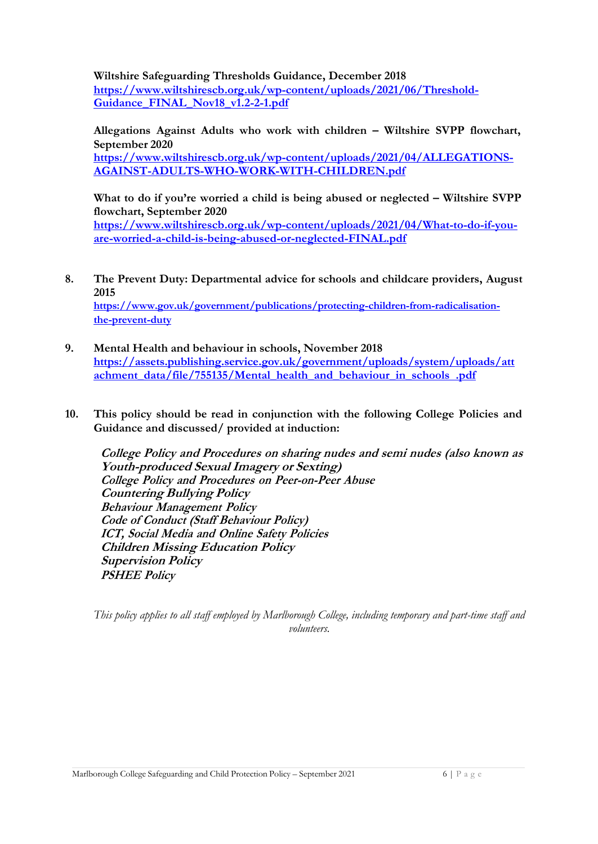**Wiltshire Safeguarding Thresholds Guidance, December 2018 [https://www.wiltshirescb.org.uk/wp-content/uploads/2021/06/Threshold-](https://www.wiltshirescb.org.uk/wp-content/uploads/2021/06/Threshold-Guidance_FINAL_Nov18_v1.2-2-1.pdf)[Guidance\\_FINAL\\_Nov18\\_v1.2-2-1.pdf](https://www.wiltshirescb.org.uk/wp-content/uploads/2021/06/Threshold-Guidance_FINAL_Nov18_v1.2-2-1.pdf)**

**Allegations Against Adults who work with children – Wiltshire SVPP flowchart, September 2020**

**[https://www.wiltshirescb.org.uk/wp-content/uploads/2021/04/ALLEGATIONS-](https://www.wiltshirescb.org.uk/wp-content/uploads/2021/04/ALLEGATIONS-AGAINST-ADULTS-WHO-WORK-WITH-CHILDREN.pdf)[AGAINST-ADULTS-WHO-WORK-WITH-CHILDREN.pdf](https://www.wiltshirescb.org.uk/wp-content/uploads/2021/04/ALLEGATIONS-AGAINST-ADULTS-WHO-WORK-WITH-CHILDREN.pdf)**

**What to do if you're worried a child is being abused or neglected – Wiltshire SVPP flowchart, September 2020 [https://www.wiltshirescb.org.uk/wp-content/uploads/2021/04/What-to-do-if-you](https://www.wiltshirescb.org.uk/wp-content/uploads/2021/04/What-to-do-if-you-are-worried-a-child-is-being-abused-or-neglected-FINAL.pdf)[are-worried-a-child-is-being-abused-or-neglected-FINAL.pdf](https://www.wiltshirescb.org.uk/wp-content/uploads/2021/04/What-to-do-if-you-are-worried-a-child-is-being-abused-or-neglected-FINAL.pdf)**

- **8. The Prevent Duty: Departmental advice for schools and childcare providers, August 2015 [https://www.gov.uk/government/publications/protecting-children-from-radicalisation](https://www.gov.uk/government/publications/protecting-children-from-radicalisation-the-prevent-duty)[the-prevent-duty](https://www.gov.uk/government/publications/protecting-children-from-radicalisation-the-prevent-duty)**
- **9. Mental Health and behaviour in schools, November 2018 [https://assets.publishing.service.gov.uk/government/uploads/system/uploads/att](https://assets.publishing.service.gov.uk/government/uploads/system/uploads/attachment_data/file/755135/Mental_health_and_behaviour_in_schools__.pdf)**  achment data/file/755135/Mental health and behaviour in schools .pdf
- **10. This policy should be read in conjunction with the following College Policies and Guidance and discussed/ provided at induction:**

**College Policy and Procedures on sharing nudes and semi nudes (also known as Youth-produced Sexual Imagery or Sexting) College Policy and Procedures on Peer-on-Peer Abuse Countering Bullying Policy Behaviour Management Policy Code of Conduct (Staff Behaviour Policy) ICT, Social Media and Online Safety Policies Children Missing Education Policy Supervision Policy PSHEE Policy**

*This policy applies to all staff employed by Marlborough College, including temporary and part-time staff and volunteers.*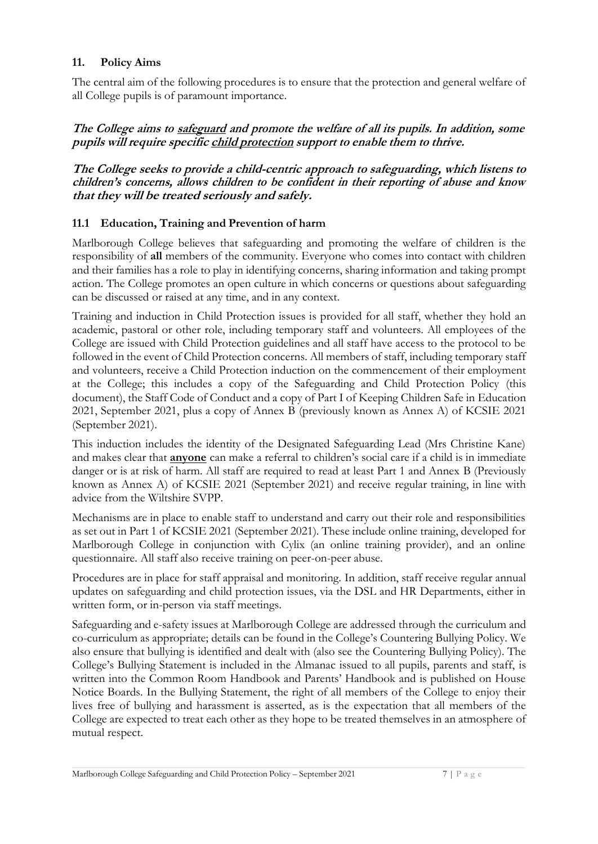#### **11. Policy Aims**

The central aim of the following procedures is to ensure that the protection and general welfare of all College pupils is of paramount importance.

#### **The College aims to safeguard and promote the welfare of all its pupils. In addition, some pupils will require specific child protection support to enable them to thrive.**

**The College seeks to provide a child-centric approach to safeguarding, which listens to children's concerns, allows children to be confident in their reporting of abuse and know that they will be treated seriously and safely.** 

#### **11.1 Education, Training and Prevention of harm**

Marlborough College believes that safeguarding and promoting the welfare of children is the responsibility of **all** members of the community. Everyone who comes into contact with children and their families has a role to play in identifying concerns, sharing information and taking prompt action. The College promotes an open culture in which concerns or questions about safeguarding can be discussed or raised at any time, and in any context.

Training and induction in Child Protection issues is provided for all staff, whether they hold an academic, pastoral or other role, including temporary staff and volunteers. All employees of the College are issued with Child Protection guidelines and all staff have access to the protocol to be followed in the event of Child Protection concerns. All members of staff, including temporary staff and volunteers, receive a Child Protection induction on the commencement of their employment at the College; this includes a copy of the Safeguarding and Child Protection Policy (this document), the Staff Code of Conduct and a copy of Part I of Keeping Children Safe in Education 2021, September 2021, plus a copy of Annex B (previously known as Annex A) of KCSIE 2021 (September 2021).

This induction includes the identity of the Designated Safeguarding Lead (Mrs Christine Kane) and makes clear that **anyone** can make a referral to children's social care if a child is in immediate danger or is at risk of harm. All staff are required to read at least Part 1 and Annex B (Previously known as Annex A) of KCSIE 2021 (September 2021) and receive regular training, in line with advice from the Wiltshire SVPP.

Mechanisms are in place to enable staff to understand and carry out their role and responsibilities as set out in Part 1 of KCSIE 2021 (September 2021). These include online training, developed for Marlborough College in conjunction with Cylix (an online training provider), and an online questionnaire. All staff also receive training on peer-on-peer abuse.

Procedures are in place for staff appraisal and monitoring. In addition, staff receive regular annual updates on safeguarding and child protection issues, via the DSL and HR Departments, either in written form, or in-person via staff meetings.

Safeguarding and e-safety issues at Marlborough College are addressed through the curriculum and co-curriculum as appropriate; details can be found in the College's Countering Bullying Policy. We also ensure that bullying is identified and dealt with (also see the Countering Bullying Policy). The College's Bullying Statement is included in the Almanac issued to all pupils, parents and staff, is written into the Common Room Handbook and Parents' Handbook and is published on House Notice Boards. In the Bullying Statement, the right of all members of the College to enjoy their lives free of bullying and harassment is asserted, as is the expectation that all members of the College are expected to treat each other as they hope to be treated themselves in an atmosphere of mutual respect.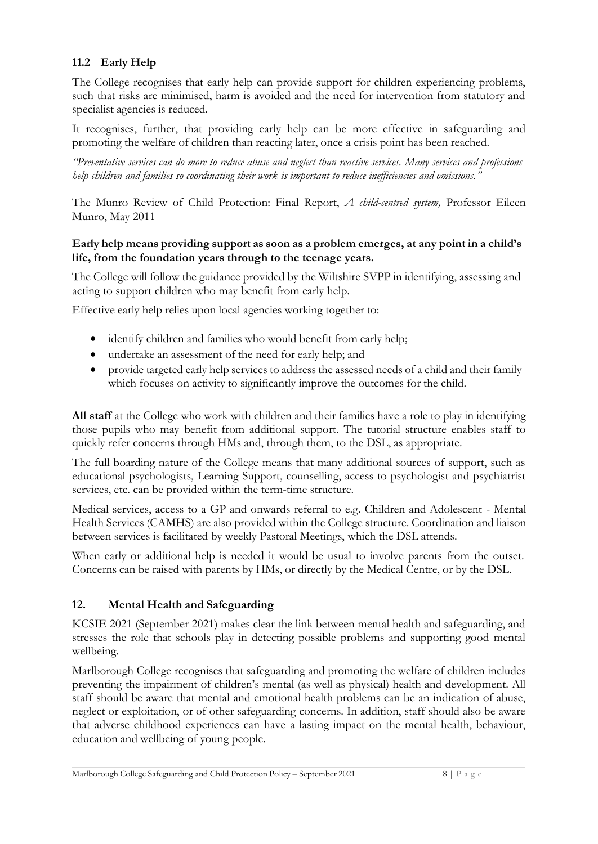### **11.2 Early Help**

The College recognises that early help can provide support for children experiencing problems, such that risks are minimised, harm is avoided and the need for intervention from statutory and specialist agencies is reduced.

It recognises, further, that providing early help can be more effective in safeguarding and promoting the welfare of children than reacting later, once a crisis point has been reached.

*"Preventative services can do more to reduce abuse and neglect than reactive services. Many services and professions help children and families so coordinating their work is important to reduce inefficiencies and omissions."*

The Munro Review of Child Protection: Final Report, *A child-centred system,* Professor Eileen Munro, May 2011

#### **Early help means providing support as soon as a problem emerges, at any point in a child's life, from the foundation years through to the teenage years.**

The College will follow the guidance provided by the Wiltshire SVPP in identifying, assessing and acting to support children who may benefit from early help.

Effective early help relies upon local agencies working together to:

- identify children and families who would benefit from early help;
- undertake an assessment of the need for early help; and
- provide targeted early help services to address the assessed needs of a child and their family which focuses on activity to significantly improve the outcomes for the child.

**All staff** at the College who work with children and their families have a role to play in identifying those pupils who may benefit from additional support. The tutorial structure enables staff to quickly refer concerns through HMs and, through them, to the DSL, as appropriate.

The full boarding nature of the College means that many additional sources of support, such as educational psychologists, Learning Support, counselling, access to psychologist and psychiatrist services, etc. can be provided within the term-time structure.

Medical services, access to a GP and onwards referral to e.g. Children and Adolescent - Mental Health Services (CAMHS) are also provided within the College structure. Coordination and liaison between services is facilitated by weekly Pastoral Meetings, which the DSL attends.

When early or additional help is needed it would be usual to involve parents from the outset. Concerns can be raised with parents by HMs, or directly by the Medical Centre, or by the DSL.

#### **12. Mental Health and Safeguarding**

KCSIE 2021 (September 2021) makes clear the link between mental health and safeguarding, and stresses the role that schools play in detecting possible problems and supporting good mental wellbeing.

Marlborough College recognises that safeguarding and promoting the welfare of children includes preventing the impairment of children's mental (as well as physical) health and development. All staff should be aware that mental and emotional health problems can be an indication of abuse, neglect or exploitation, or of other safeguarding concerns. In addition, staff should also be aware that adverse childhood experiences can have a lasting impact on the mental health, behaviour, education and wellbeing of young people.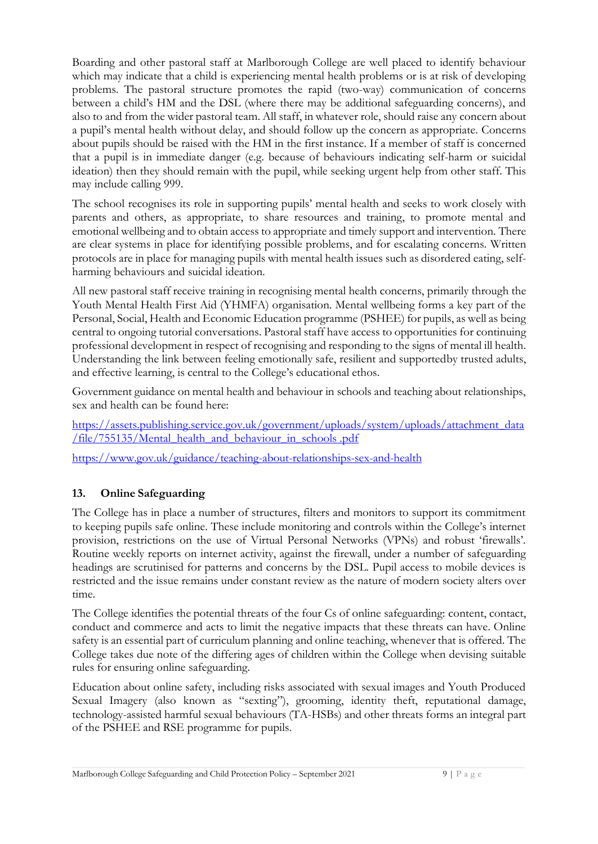Boarding and other pastoral staff at Marlborough College are well placed to identify behaviour which may indicate that a child is experiencing mental health problems or is at risk of developing problems. The pastoral structure promotes the rapid (two-way) communication of concerns between a child's HM and the DSL (where there may be additional safeguarding concerns), and also to and from the wider pastoral team. All staff, in whatever role, should raise any concern about a pupil's mental health without delay, and should follow up the concern as appropriate. Concerns about pupils should be raised with the HM in the first instance. If a member of staff is concerned that a pupil is in immediate danger (e.g. because of behaviours indicating self-harm or suicidal ideation) then they should remain with the pupil, while seeking urgent help from other staff. This may include calling 999.

The school recognises its role in supporting pupils' mental health and seeks to work closely with parents and others, as appropriate, to share resources and training, to promote mental and emotional wellbeing and to obtain access to appropriate and timely support and intervention. There are clear systems in place for identifying possible problems, and for escalating concerns. Written protocols are in place for managing pupils with mental health issues such as disordered eating, selfharming behaviours and suicidal ideation.

All new pastoral staff receive training in recognising mental health concerns, primarily through the Youth Mental Health First Aid (YHMFA) organisation. Mental wellbeing forms a key part of the Personal, Social, Health and Economic Education programme (PSHEE) for pupils, as well as being central to ongoing tutorial conversations. Pastoral staff have access to opportunities for continuing professional development in respect of recognising and responding to the signs of mental ill health. Understanding the link between feeling emotionally safe, resilient and supported by trusted adults, and effective learning, is central to the College's educational ethos.

Government guidance on mental health and behaviour in schools and teaching about relationships, sex and health can be found here:

[https://assets.publishing.service.gov.uk/government/uploads/system/uploads/attachment\\_data](https://assets.publishing.service.gov.uk/government/uploads/system/uploads/attachment_data/file/755135/Mental_health_and_behaviour_in_schools__.pdf) [/file/755135/Mental\\_health\\_and\\_behaviour\\_in\\_schools .pdf](https://assets.publishing.service.gov.uk/government/uploads/system/uploads/attachment_data/file/755135/Mental_health_and_behaviour_in_schools__.pdf) 

<https://www.gov.uk/guidance/teaching-about-relationships-sex-and-health>

# **13. Online Safeguarding**

The College has in place a number of structures, filters and monitors to support its commitment to keeping pupils safe online. These include monitoring and controls within the College's internet provision, restrictions on the use of Virtual Personal Networks (VPNs) and robust 'firewalls'. Routine weekly reports on internet activity, against the firewall, under a number of safeguarding headings are scrutinised for patterns and concerns by the DSL. Pupil access to mobile devices is restricted and the issue remains under constant review as the nature of modern society alters over time.

The College identifies the potential threats of the four Cs of online safeguarding: content, contact, conduct and commerce and acts to limit the negative impacts that these threats can have. Online safety is an essential part of curriculum planning and online teaching, whenever that is offered. The College takes due note of the differing ages of children within the College when devising suitable rules for ensuring online safeguarding.

Education about online safety, including risks associated with sexual images and Youth Produced Sexual Imagery (also known as "sexting"), grooming, identity theft, reputational damage, technology-assisted harmful sexual behaviours (TA-HSBs) and other threats forms an integral part of the PSHEE and RSE programme for pupils.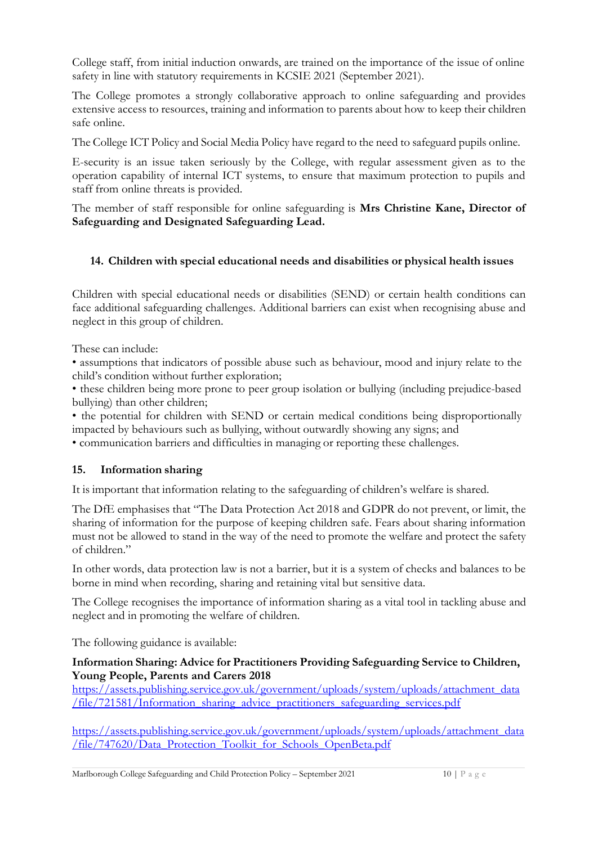College staff, from initial induction onwards, are trained on the importance of the issue of online safety in line with statutory requirements in KCSIE 2021 (September 2021).

The College promotes a strongly collaborative approach to online safeguarding and provides extensive access to resources, training and information to parents about how to keep their children safe online.

The College ICT Policy and Social Media Policy have regard to the need to safeguard pupils online.

E-security is an issue taken seriously by the College, with regular assessment given as to the operation capability of internal ICT systems, to ensure that maximum protection to pupils and staff from online threats is provided.

The member of staff responsible for online safeguarding is **Mrs Christine Kane, Director of Safeguarding and Designated Safeguarding Lead.** 

#### **14. Children with special educational needs and disabilities or physical health issues**

Children with special educational needs or disabilities (SEND) or certain health conditions can face additional safeguarding challenges. Additional barriers can exist when recognising abuse and neglect in this group of children.

These can include:

• assumptions that indicators of possible abuse such as behaviour, mood and injury relate to the child's condition without further exploration;

• these children being more prone to peer group isolation or bullying (including prejudice-based bullying) than other children;

• the potential for children with SEND or certain medical conditions being disproportionally impacted by behaviours such as bullying, without outwardly showing any signs; and

• communication barriers and difficulties in managing or reporting these challenges.

#### **15. Information sharing**

It is important that information relating to the safeguarding of children's welfare is shared.

The DfE emphasises that "The Data Protection Act 2018 and GDPR do not prevent, or limit, the sharing of information for the purpose of keeping children safe. Fears about sharing information must not be allowed to stand in the way of the need to promote the welfare and protect the safety of children."

In other words, data protection law is not a barrier, but it is a system of checks and balances to be borne in mind when recording, sharing and retaining vital but sensitive data.

The College recognises the importance of information sharing as a vital tool in tackling abuse and neglect and in promoting the welfare of children.

The following guidance is available:

#### **Information Sharing: Advice for Practitioners Providing Safeguarding Service to Children, Young People, Parents and Carers 2018**

[https://assets.publishing.service.gov.uk/government/uploads/system/uploads/attachment\\_data](https://assets.publishing.service.gov.uk/government/uploads/system/uploads/attachment_data/file/721581/Information_sharing_advice_practitioners_safeguarding_services.pdf) [/file/721581/Information\\_sharing\\_advice\\_practitioners\\_safeguarding\\_services.pdf](https://assets.publishing.service.gov.uk/government/uploads/system/uploads/attachment_data/file/721581/Information_sharing_advice_practitioners_safeguarding_services.pdf)

[https://assets.publishing.service.gov.uk/government/uploads/system/uploads/attachment\\_data](https://assets.publishing.service.gov.uk/government/uploads/system/uploads/attachment_data/file/747620/Data_Protection_Toolkit_for_Schools_OpenBeta.pdf) [/file/747620/Data\\_Protection\\_Toolkit\\_for\\_Schools\\_OpenBeta.pdf](https://assets.publishing.service.gov.uk/government/uploads/system/uploads/attachment_data/file/747620/Data_Protection_Toolkit_for_Schools_OpenBeta.pdf)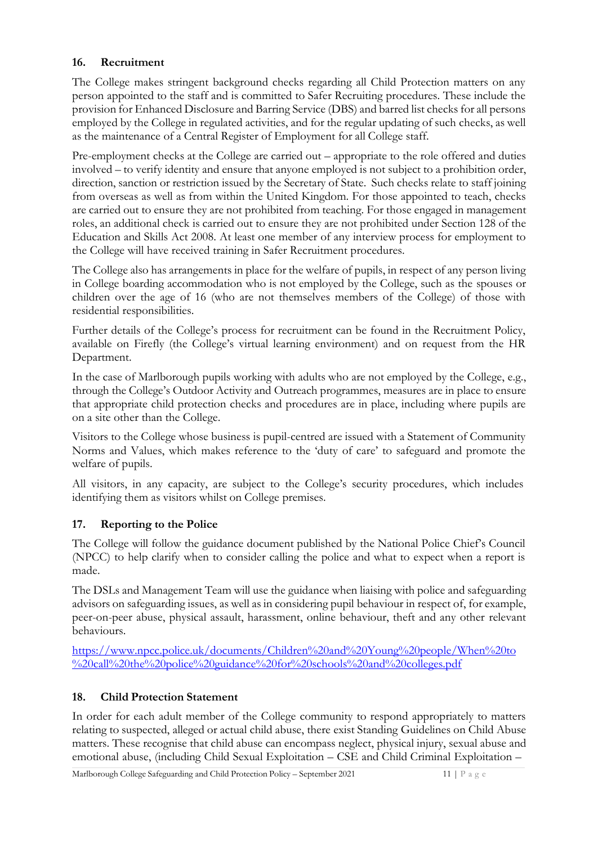#### **16. Recruitment**

The College makes stringent background checks regarding all Child Protection matters on any person appointed to the staff and is committed to Safer Recruiting procedures. These include the provision for Enhanced Disclosure and Barring Service (DBS) and barred list checks for all persons employed by the College in regulated activities, and for the regular updating of such checks, as well as the maintenance of a Central Register of Employment for all College staff.

Pre-employment checks at the College are carried out – appropriate to the role offered and duties involved – to verify identity and ensure that anyone employed is not subject to a prohibition order, direction, sanction or restriction issued by the Secretary of State. Such checks relate to staff joining from overseas as well as from within the United Kingdom. For those appointed to teach, checks are carried out to ensure they are not prohibited from teaching. For those engaged in management roles, an additional check is carried out to ensure they are not prohibited under Section 128 of the Education and Skills Act 2008. At least one member of any interview process for employment to the College will have received training in Safer Recruitment procedures.

The College also has arrangements in place for the welfare of pupils, in respect of any person living in College boarding accommodation who is not employed by the College, such as the spouses or children over the age of 16 (who are not themselves members of the College) of those with residential responsibilities.

Further details of the College's process for recruitment can be found in the Recruitment Policy, available on Firefly (the College's virtual learning environment) and on request from the HR Department.

In the case of Marlborough pupils working with adults who are not employed by the College, e.g., through the College's Outdoor Activity and Outreach programmes, measures are in place to ensure that appropriate child protection checks and procedures are in place, including where pupils are on a site other than the College.

Visitors to the College whose business is pupil-centred are issued with a Statement of Community Norms and Values, which makes reference to the 'duty of care' to safeguard and promote the welfare of pupils.

All visitors, in any capacity, are subject to the College's security procedures, which includes identifying them as visitors whilst on College premises.

# **17. Reporting to the Police**

The College will follow the guidance document published by the National Police Chief's Council (NPCC) to help clarify when to consider calling the police and what to expect when a report is made.

The DSLs and Management Team will use the guidance when liaising with police and safeguarding advisors on safeguarding issues, as well as in considering pupil behaviour in respect of, for example, peer-on-peer abuse, physical assault, harassment, online behaviour, theft and any other relevant behaviours.

[https://www.npcc.police.uk/documents/Children%20and%20Young%20people/When%20to](https://www.npcc.police.uk/documents/Children%20and%20Young%20people/When%20to%20call%20the%20police%20guidance%20for%20schools%20and%20colleges.pdf) [%20call%20the%20police%20guidance%20for%20schools%20and%20colleges.pdf](https://www.npcc.police.uk/documents/Children%20and%20Young%20people/When%20to%20call%20the%20police%20guidance%20for%20schools%20and%20colleges.pdf)

# **18. Child Protection Statement**

In order for each adult member of the College community to respond appropriately to matters relating to suspected, alleged or actual child abuse, there exist Standing Guidelines on Child Abuse matters. These recognise that child abuse can encompass neglect, physical injury, sexual abuse and emotional abuse, (including Child Sexual Exploitation – CSE and Child Criminal Exploitation –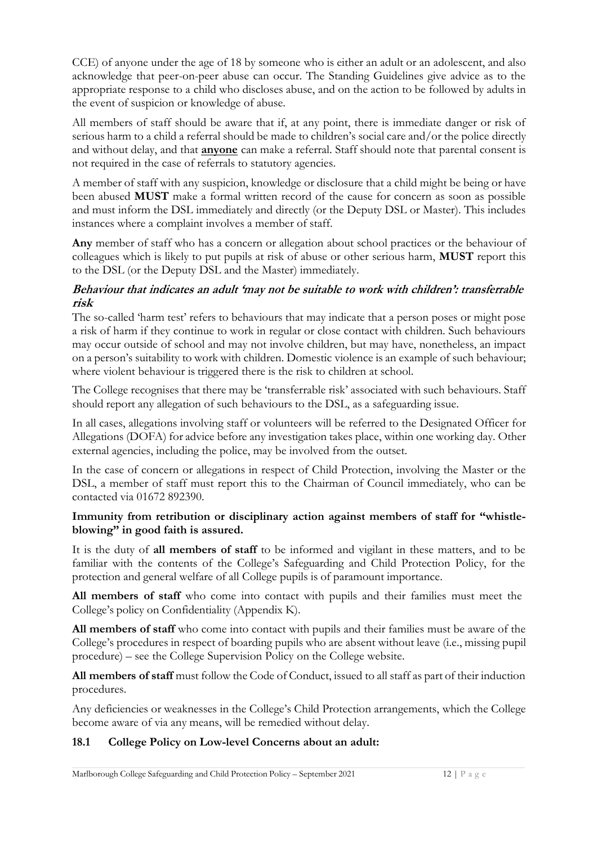CCE) of anyone under the age of 18 by someone who is either an adult or an adolescent, and also acknowledge that peer-on-peer abuse can occur. The Standing Guidelines give advice as to the appropriate response to a child who discloses abuse, and on the action to be followed by adults in the event of suspicion or knowledge of abuse.

All members of staff should be aware that if, at any point, there is immediate danger or risk of serious harm to a child a referral should be made to children's social care and/or the police directly and without delay, and that **anyone** can make a referral. Staff should note that parental consent is not required in the case of referrals to statutory agencies.

A member of staff with any suspicion, knowledge or disclosure that a child might be being or have been abused **MUST** make a formal written record of the cause for concern as soon as possible and must inform the DSL immediately and directly (or the Deputy DSL or Master). This includes instances where a complaint involves a member of staff.

**Any** member of staff who has a concern or allegation about school practices or the behaviour of colleagues which is likely to put pupils at risk of abuse or other serious harm, **MUST** report this to the DSL (or the Deputy DSL and the Master) immediately.

#### **Behaviour that indicates an adult 'may not be suitable to work with children': transferrable risk**

The so-called 'harm test' refers to behaviours that may indicate that a person poses or might pose a risk of harm if they continue to work in regular or close contact with children. Such behaviours may occur outside of school and may not involve children, but may have, nonetheless, an impact on a person's suitability to work with children. Domestic violence is an example of such behaviour; where violent behaviour is triggered there is the risk to children at school.

The College recognises that there may be 'transferrable risk' associated with such behaviours. Staff should report any allegation of such behaviours to the DSL, as a safeguarding issue.

In all cases, allegations involving staff or volunteers will be referred to the Designated Officer for Allegations (DOFA) for advice before any investigation takes place, within one working day. Other external agencies, including the police, may be involved from the outset.

In the case of concern or allegations in respect of Child Protection, involving the Master or the DSL, a member of staff must report this to the Chairman of Council immediately, who can be contacted via 01672 892390.

#### **Immunity from retribution or disciplinary action against members of staff for "whistleblowing" in good faith is assured.**

It is the duty of **all members of staff** to be informed and vigilant in these matters, and to be familiar with the contents of the College's Safeguarding and Child Protection Policy, for the protection and general welfare of all College pupils is of paramount importance.

**All members of staff** who come into contact with pupils and their families must meet the College's policy on Confidentiality (Appendix K).

**All members of staff** who come into contact with pupils and their families must be aware of the College's procedures in respect of boarding pupils who are absent without leave (i.e., missing pupil procedure) – see the College Supervision Policy on the College website.

**All members of staff** must follow the Code of Conduct, issued to all staff as part of their induction procedures.

Any deficiencies or weaknesses in the College's Child Protection arrangements, which the College become aware of via any means, will be remedied without delay.

# **18.1 College Policy on Low-level Concerns about an adult:**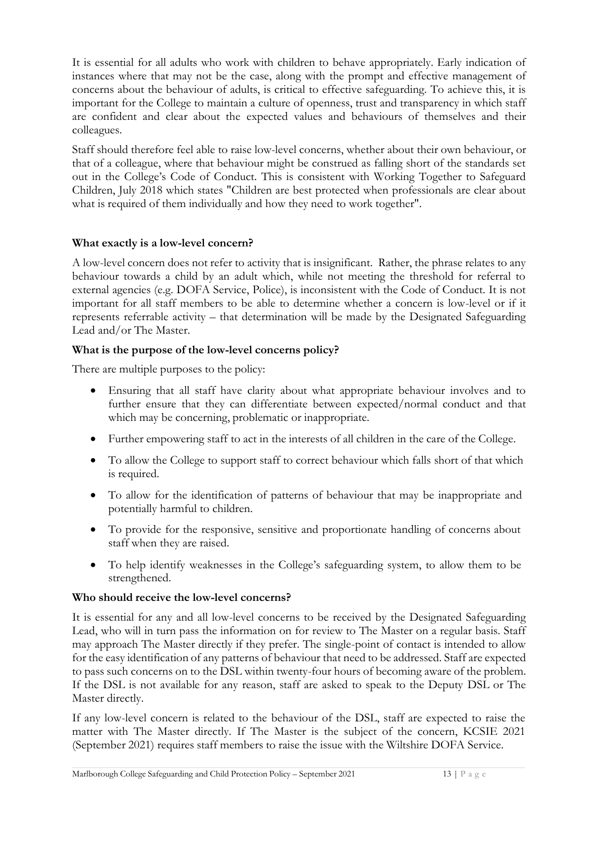It is essential for all adults who work with children to behave appropriately. Early indication of instances where that may not be the case, along with the prompt and effective management of concerns about the behaviour of adults, is critical to effective safeguarding. To achieve this, it is important for the College to maintain a culture of openness, trust and transparency in which staff are confident and clear about the expected values and behaviours of themselves and their colleagues.

Staff should therefore feel able to raise low-level concerns, whether about their own behaviour, or that of a colleague, where that behaviour might be construed as falling short of the standards set out in the College's Code of Conduct. This is consistent with Working Together to Safeguard Children, July 2018 which states "Children are best protected when professionals are clear about what is required of them individually and how they need to work together".

#### **What exactly is a low-level concern?**

A low-level concern does not refer to activity that is insignificant. Rather, the phrase relates to any behaviour towards a child by an adult which, while not meeting the threshold for referral to external agencies (e.g. DOFA Service, Police), is inconsistent with the Code of Conduct. It is not important for all staff members to be able to determine whether a concern is low-level or if it represents referrable activity – that determination will be made by the Designated Safeguarding Lead and/or The Master.

#### **What is the purpose of the low-level concerns policy?**

There are multiple purposes to the policy:

- Ensuring that all staff have clarity about what appropriate behaviour involves and to further ensure that they can differentiate between expected/normal conduct and that which may be concerning, problematic or inappropriate.
- Further empowering staff to act in the interests of all children in the care of the College.
- To allow the College to support staff to correct behaviour which falls short of that which is required.
- To allow for the identification of patterns of behaviour that may be inappropriate and potentially harmful to children.
- To provide for the responsive, sensitive and proportionate handling of concerns about staff when they are raised.
- To help identify weaknesses in the College's safeguarding system, to allow them to be strengthened.

#### **Who should receive the low-level concerns?**

It is essential for any and all low-level concerns to be received by the Designated Safeguarding Lead, who will in turn pass the information on for review to The Master on a regular basis. Staff may approach The Master directly if they prefer. The single-point of contact is intended to allow for the easy identification of any patterns of behaviour that need to be addressed. Staff are expected to pass such concerns on to the DSL within twenty-four hours of becoming aware of the problem. If the DSL is not available for any reason, staff are asked to speak to the Deputy DSL or The Master directly.

If any low-level concern is related to the behaviour of the DSL, staff are expected to raise the matter with The Master directly. If The Master is the subject of the concern, KCSIE 2021 (September 2021) requires staff members to raise the issue with the Wiltshire DOFA Service.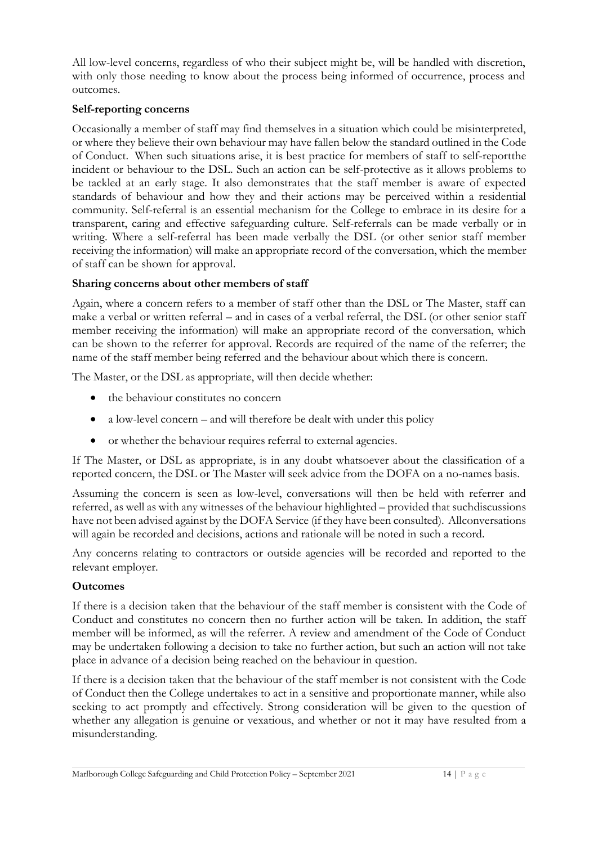All low-level concerns, regardless of who their subject might be, will be handled with discretion, with only those needing to know about the process being informed of occurrence, process and outcomes.

#### **Self-reporting concerns**

Occasionally a member of staff may find themselves in a situation which could be misinterpreted, or where they believe their own behaviour may have fallen below the standard outlined in the Code of Conduct. When such situations arise, it is best practice for members of staff to self-report the incident or behaviour to the DSL. Such an action can be self-protective as it allows problems to be tackled at an early stage. It also demonstrates that the staff member is aware of expected standards of behaviour and how they and their actions may be perceived within a residential community. Self-referral is an essential mechanism for the College to embrace in its desire for a transparent, caring and effective safeguarding culture. Self-referrals can be made verbally or in writing. Where a self-referral has been made verbally the DSL (or other senior staff member receiving the information) will make an appropriate record of the conversation, which the member of staff can be shown for approval.

#### **Sharing concerns about other members of staff**

Again, where a concern refers to a member of staff other than the DSL or The Master, staff can make a verbal or written referral – and in cases of a verbal referral, the DSL (or other senior staff member receiving the information) will make an appropriate record of the conversation, which can be shown to the referrer for approval. Records are required of the name of the referrer; the name of the staff member being referred and the behaviour about which there is concern.

The Master, or the DSL as appropriate, will then decide whether:

- the behaviour constitutes no concern
- a low-level concern and will therefore be dealt with under this policy
- or whether the behaviour requires referral to external agencies.

If The Master, or DSL as appropriate, is in any doubt whatsoever about the classification of a reported concern, the DSL or The Master will seek advice from the DOFA on a no-names basis.

Assuming the concern is seen as low-level, conversations will then be held with referrer and referred, as well as with any witnesses of the behaviour highlighted – provided that such discussions have not been advised against by the DOFA Service (if they have been consulted). All conversations will again be recorded and decisions, actions and rationale will be noted in such a record.

Any concerns relating to contractors or outside agencies will be recorded and reported to the relevant employer.

#### **Outcomes**

If there is a decision taken that the behaviour of the staff member is consistent with the Code of Conduct and constitutes no concern then no further action will be taken. In addition, the staff member will be informed, as will the referrer. A review and amendment of the Code of Conduct may be undertaken following a decision to take no further action, but such an action will not take place in advance of a decision being reached on the behaviour in question.

If there is a decision taken that the behaviour of the staff member is not consistent with the Code of Conduct then the College undertakes to act in a sensitive and proportionate manner, while also seeking to act promptly and effectively. Strong consideration will be given to the question of whether any allegation is genuine or vexatious, and whether or not it may have resulted from a misunderstanding.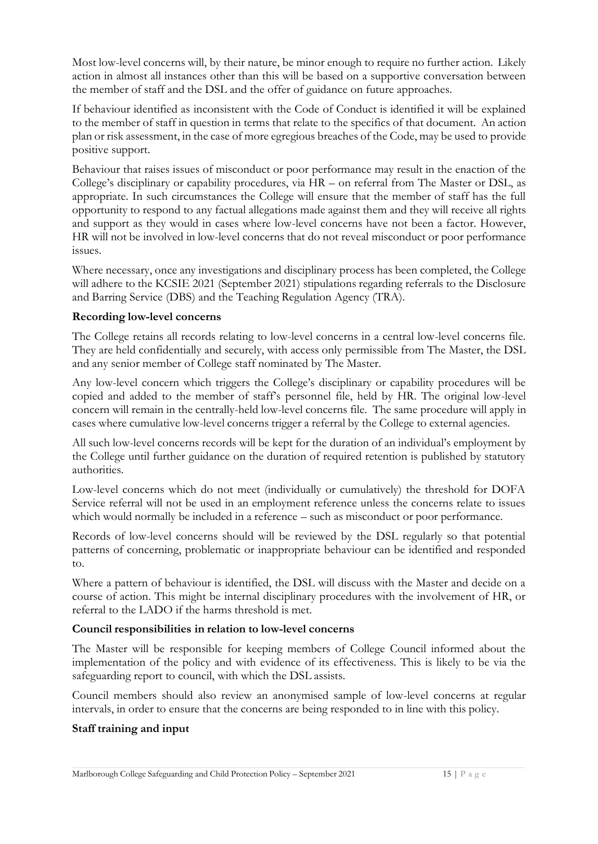Most low-level concerns will, by their nature, be minor enough to require no further action. Likely action in almost all instances other than this will be based on a supportive conversation between the member of staff and the DSL and the offer of guidance on future approaches.

If behaviour identified as inconsistent with the Code of Conduct is identified it will be explained to the member of staff in question in terms that relate to the specifics of that document. An action plan or risk assessment, in the case of more egregious breaches of the Code, may be used to provide positive support.

Behaviour that raises issues of misconduct or poor performance may result in the enaction of the College's disciplinary or capability procedures, via HR – on referral from The Master or DSL, as appropriate. In such circumstances the College will ensure that the member of staff has the full opportunity to respond to any factual allegations made against them and they will receive all rights and support as they would in cases where low-level concerns have not been a factor. However, HR will not be involved in low-level concerns that do not reveal misconduct or poor performance issues.

Where necessary, once any investigations and disciplinary process has been completed, the College will adhere to the KCSIE 2021 (September 2021) stipulations regarding referrals to the Disclosure and Barring Service (DBS) and the Teaching Regulation Agency (TRA).

#### **Recording low-level concerns**

The College retains all records relating to low-level concerns in a central low-level concerns file. They are held confidentially and securely, with access only permissible from The Master, the DSL and any senior member of College staff nominated by The Master.

Any low-level concern which triggers the College's disciplinary or capability procedures will be copied and added to the member of staff's personnel file, held by HR. The original low-level concern will remain in the centrally-held low-level concerns file. The same procedure will apply in cases where cumulative low-level concerns trigger a referral by the College to external agencies.

All such low-level concerns records will be kept for the duration of an individual's employment by the College until further guidance on the duration of required retention is published by statutory authorities.

Low-level concerns which do not meet (individually or cumulatively) the threshold for DOFA Service referral will not be used in an employment reference unless the concerns relate to issues which would normally be included in a reference – such as misconduct or poor performance.

Records of low-level concerns should will be reviewed by the DSL regularly so that potential patterns of concerning, problematic or inappropriate behaviour can be identified and responded to.

Where a pattern of behaviour is identified, the DSL will discuss with the Master and decide on a course of action. This might be internal disciplinary procedures with the involvement of HR, or referral to the LADO if the harms threshold is met.

#### **Council responsibilities in relation to low-level concerns**

The Master will be responsible for keeping members of College Council informed about the implementation of the policy and with evidence of its effectiveness. This is likely to be via the safeguarding report to council, with which the DSL assists.

Council members should also review an anonymised sample of low-level concerns at regular intervals, in order to ensure that the concerns are being responded to in line with this policy.

#### **Staff training and input**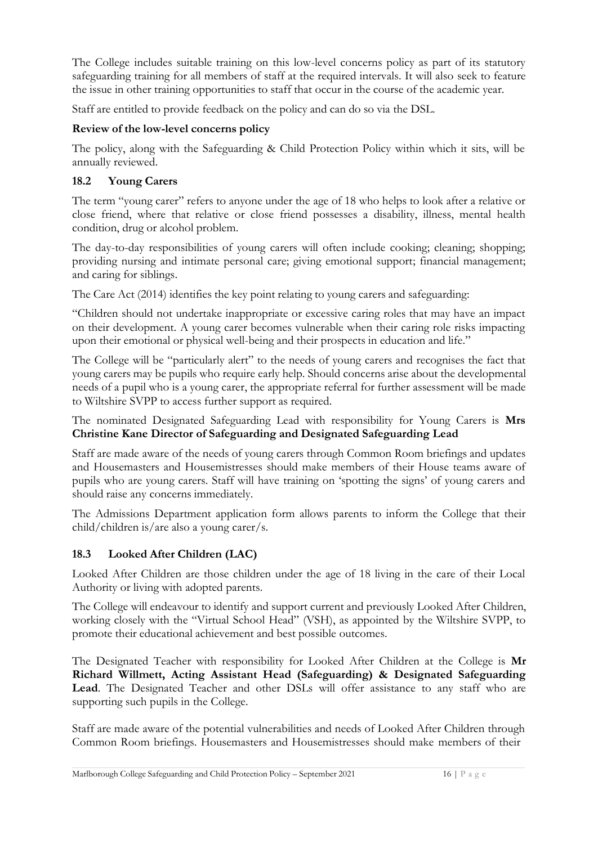The College includes suitable training on this low-level concerns policy as part of its statutory safeguarding training for all members of staff at the required intervals. It will also seek to feature the issue in other training opportunities to staff that occur in the course of the academic year.

Staff are entitled to provide feedback on the policy and can do so via the DSL.

#### **Review of the low-level concerns policy**

The policy, along with the Safeguarding & Child Protection Policy within which it sits, will be annually reviewed.

#### **18.2 Young Carers**

The term "young carer" refers to anyone under the age of 18 who helps to look after a relative or close friend, where that relative or close friend possesses a disability, illness, mental health condition, drug or alcohol problem.

The day-to-day responsibilities of young carers will often include cooking; cleaning; shopping; providing nursing and intimate personal care; giving emotional support; financial management; and caring for siblings.

The Care Act (2014) identifies the key point relating to young carers and safeguarding:

"Children should not undertake inappropriate or excessive caring roles that may have an impact on their development. A young carer becomes vulnerable when their caring role risks impacting upon their emotional or physical well-being and their prospects in education and life."

The College will be "particularly alert" to the needs of young carers and recognises the fact that young carers may be pupils who require early help. Should concerns arise about the developmental needs of a pupil who is a young carer, the appropriate referral for further assessment will be made to Wiltshire SVPP to access further support as required.

The nominated Designated Safeguarding Lead with responsibility for Young Carers is **Mrs Christine Kane Director of Safeguarding and Designated Safeguarding Lead** 

Staff are made aware of the needs of young carers through Common Room briefings and updates and Housemasters and Housemistresses should make members of their House teams aware of pupils who are young carers. Staff will have training on 'spotting the signs' of young carers and should raise any concerns immediately.

The Admissions Department application form allows parents to inform the College that their child/children is/are also a young carer/s.

# **18.3 Looked After Children (LAC)**

Looked After Children are those children under the age of 18 living in the care of their Local Authority or living with adopted parents.

The College will endeavour to identify and support current and previously Looked After Children, working closely with the "Virtual School Head" (VSH), as appointed by the Wiltshire SVPP, to promote their educational achievement and best possible outcomes.

The Designated Teacher with responsibility for Looked After Children at the College is **Mr Richard Willmett, Acting Assistant Head (Safeguarding) & Designated Safeguarding Lead**. The Designated Teacher and other DSLs will offer assistance to any staff who are supporting such pupils in the College.

Staff are made aware of the potential vulnerabilities and needs of Looked After Children through Common Room briefings. Housemasters and Housemistresses should make members of their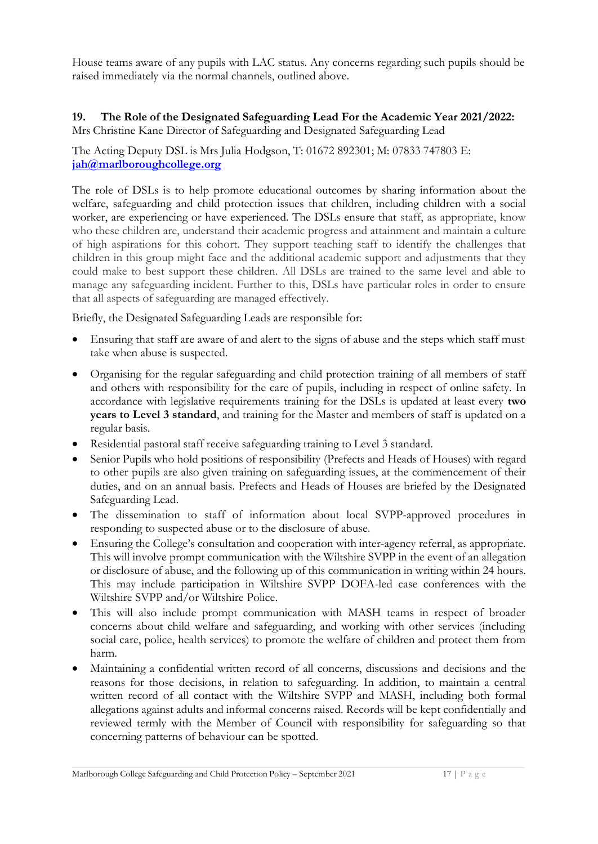House teams aware of any pupils with LAC status. Any concerns regarding such pupils should be raised immediately via the normal channels, outlined above.

# **19. The Role of the Designated Safeguarding Lead For the Academic Year 2021/2022:**

Mrs Christine Kane Director of Safeguarding and Designated Safeguarding Lead

The Acting Deputy DSL is Mrs Julia Hodgson, T: 01672 892301; M: 07833 747803 E: **[jah@marlboroughcollege.org](mailto:jah@marlboroughcollege.org)**

The role of DSLs is to help promote educational outcomes by sharing information about the welfare, safeguarding and child protection issues that children, including children with a social worker, are experiencing or have experienced. The DSLs ensure that staff, as appropriate, know who these children are, understand their academic progress and attainment and maintain a culture of high aspirations for this cohort. They support teaching staff to identify the challenges that children in this group might face and the additional academic support and adjustments that they could make to best support these children. All DSLs are trained to the same level and able to manage any safeguarding incident. Further to this, DSLs have particular roles in order to ensure that all aspects of safeguarding are managed effectively.

Briefly, the Designated Safeguarding Leads are responsible for:

- Ensuring that staff are aware of and alert to the signs of abuse and the steps which staff must take when abuse is suspected.
- Organising for the regular safeguarding and child protection training of all members of staff and others with responsibility for the care of pupils, including in respect of online safety. In accordance with legislative requirements training for the DSLs is updated at least every **two years to Level 3 standard**, and training for the Master and members of staff is updated on a regular basis.
- Residential pastoral staff receive safeguarding training to Level 3 standard.
- Senior Pupils who hold positions of responsibility (Prefects and Heads of Houses) with regard to other pupils are also given training on safeguarding issues, at the commencement of their duties, and on an annual basis. Prefects and Heads of Houses are briefed by the Designated Safeguarding Lead.
- The dissemination to staff of information about local SVPP-approved procedures in responding to suspected abuse or to the disclosure of abuse.
- Ensuring the College's consultation and cooperation with inter-agency referral, as appropriate. This will involve prompt communication with the Wiltshire SVPP in the event of an allegation or disclosure of abuse, and the following up of this communication in writing within 24 hours. This may include participation in Wiltshire SVPP DOFA-led case conferences with the Wiltshire SVPP and/or Wiltshire Police.
- This will also include prompt communication with MASH teams in respect of broader concerns about child welfare and safeguarding, and working with other services (including social care, police, health services) to promote the welfare of children and protect them from harm.
- Maintaining a confidential written record of all concerns, discussions and decisions and the reasons for those decisions, in relation to safeguarding. In addition, to maintain a central written record of all contact with the Wiltshire SVPP and MASH, including both formal allegations against adults and informal concerns raised. Records will be kept confidentially and reviewed termly with the Member of Council with responsibility for safeguarding so that concerning patterns of behaviour can be spotted.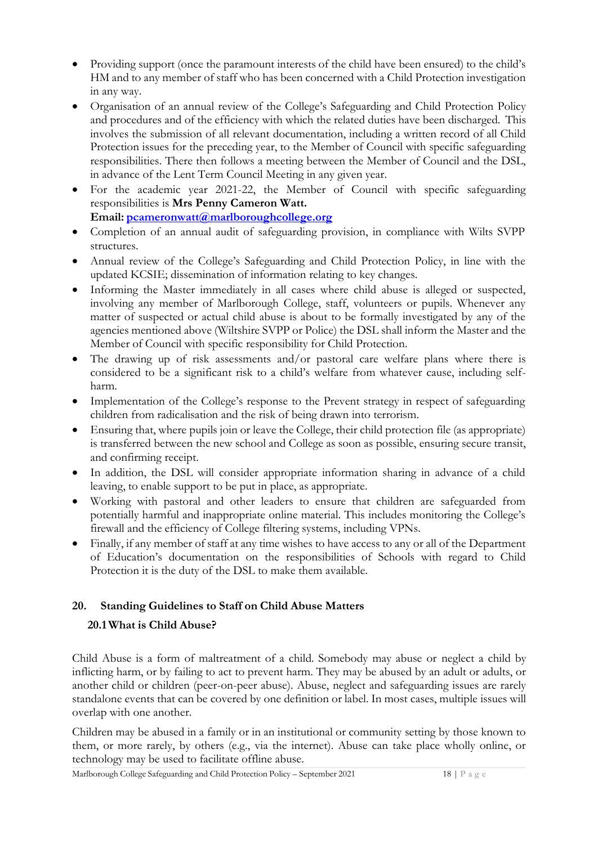- Providing support (once the paramount interests of the child have been ensured) to the child's HM and to any member of staff who has been concerned with a Child Protection investigation in any way.
- Organisation of an annual review of the College's Safeguarding and Child Protection Policy and procedures and of the efficiency with which the related duties have been discharged. This involves the submission of all relevant documentation, including a written record of all Child Protection issues for the preceding year, to the Member of Council with specific safeguarding responsibilities. There then follows a meeting between the Member of Council and the DSL, in advance of the Lent Term Council Meeting in any given year.
- For the academic year 2021-22, the Member of Council with specific safeguarding responsibilities is **Mrs Penny Cameron Watt.**

Email: [pcameronwatt@marlboroughcollege.org](mailto:pcameronwatt@marlboroughcollege.org)

- Completion of an annual audit of safeguarding provision, in compliance with Wilts SVPP structures.
- Annual review of the College's Safeguarding and Child Protection Policy, in line with the updated KCSIE; dissemination of information relating to key changes.
- Informing the Master immediately in all cases where child abuse is alleged or suspected, involving any member of Marlborough College, staff, volunteers or pupils. Whenever any matter of suspected or actual child abuse is about to be formally investigated by any of the agencies mentioned above (Wiltshire SVPP or Police) the DSL shall inform the Master and the Member of Council with specific responsibility for Child Protection.
- The drawing up of risk assessments and/or pastoral care welfare plans where there is considered to be a significant risk to a child's welfare from whatever cause, including selfharm.
- Implementation of the College's response to the Prevent strategy in respect of safeguarding children from radicalisation and the risk of being drawn into terrorism.
- Ensuring that, where pupils join or leave the College, their child protection file (as appropriate) is transferred between the new school and College as soon as possible, ensuring secure transit, and confirming receipt.
- In addition, the DSL will consider appropriate information sharing in advance of a child leaving, to enable support to be put in place, as appropriate.
- Working with pastoral and other leaders to ensure that children are safeguarded from potentially harmful and inappropriate online material. This includes monitoring the College's firewall and the efficiency of College filtering systems, including VPNs.
- Finally, if any member of staff at any time wishes to have access to any or all of the Department of Education's documentation on the responsibilities of Schools with regard to Child Protection it is the duty of the DSL to make them available.

# **20. Standing Guidelines to Staff on Child Abuse Matters**

# **20.1 What is Child Abuse?**

Child Abuse is a form of maltreatment of a child. Somebody may abuse or neglect a child by inflicting harm, or by failing to act to prevent harm. They may be abused by an adult or adults, or another child or children (peer-on-peer abuse). Abuse, neglect and safeguarding issues are rarely standalone events that can be covered by one definition or label. In most cases, multiple issues will overlap with one another.

Children may be abused in a family or in an institutional or community setting by those known to them, or more rarely, by others (e.g., via the internet). Abuse can take place wholly online, or technology may be used to facilitate offline abuse.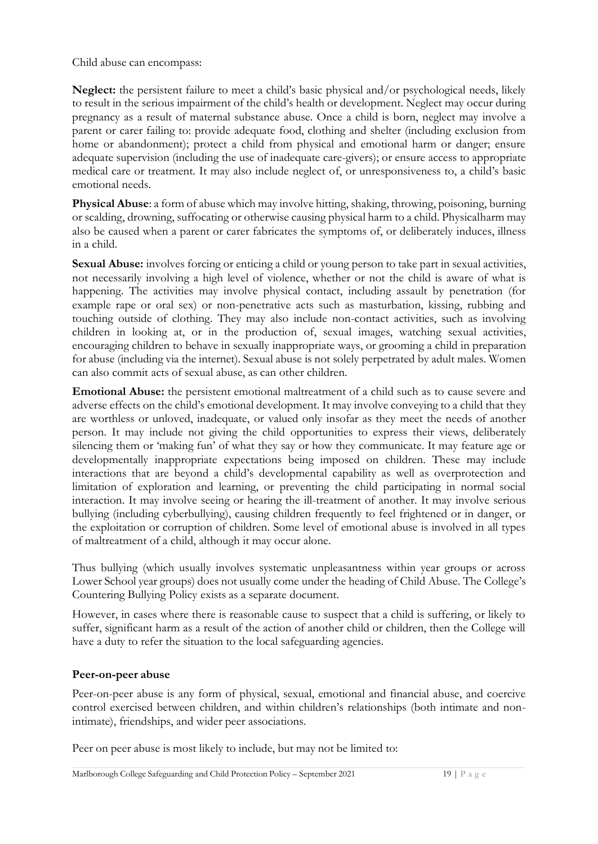Child abuse can encompass:

**Neglect:** the persistent failure to meet a child's basic physical and/or psychological needs, likely to result in the serious impairment of the child's health or development. Neglect may occur during pregnancy as a result of maternal substance abuse. Once a child is born, neglect may involve a parent or carer failing to: provide adequate food, clothing and shelter (including exclusion from home or abandonment); protect a child from physical and emotional harm or danger; ensure adequate supervision (including the use of inadequate care-givers); or ensure access to appropriate medical care or treatment. It may also include neglect of, or unresponsiveness to, a child's basic emotional needs.

**Physical Abuse**: a form of abuse which may involve hitting, shaking, throwing, poisoning, burning or scalding, drowning, suffocating or otherwise causing physical harm to a child. Physical harm may also be caused when a parent or carer fabricates the symptoms of, or deliberately induces, illness in a child.

**Sexual Abuse:** involves forcing or enticing a child or young person to take part in sexual activities, not necessarily involving a high level of violence, whether or not the child is aware of what is happening. The activities may involve physical contact, including assault by penetration (for example rape or oral sex) or non-penetrative acts such as masturbation, kissing, rubbing and touching outside of clothing. They may also include non-contact activities, such as involving children in looking at, or in the production of, sexual images, watching sexual activities, encouraging children to behave in sexually inappropriate ways, or grooming a child in preparation for abuse (including via the internet). Sexual abuse is not solely perpetrated by adult males. Women can also commit acts of sexual abuse, as can other children.

**Emotional Abuse:** the persistent emotional maltreatment of a child such as to cause severe and adverse effects on the child's emotional development. It may involve conveying to a child that they are worthless or unloved, inadequate, or valued only insofar as they meet the needs of another person. It may include not giving the child opportunities to express their views, deliberately silencing them or 'making fun' of what they say or how they communicate. It may feature age or developmentally inappropriate expectations being imposed on children. These may include interactions that are beyond a child's developmental capability as well as overprotection and limitation of exploration and learning, or preventing the child participating in normal social interaction. It may involve seeing or hearing the ill-treatment of another. It may involve serious bullying (including cyberbullying), causing children frequently to feel frightened or in danger, or the exploitation or corruption of children. Some level of emotional abuse is involved in all types of maltreatment of a child, although it may occur alone.

Thus bullying (which usually involves systematic unpleasantness within year groups or across Lower School year groups) does not usually come under the heading of Child Abuse. The College's Countering Bullying Policy exists as a separate document.

However, in cases where there is reasonable cause to suspect that a child is suffering, or likely to suffer, significant harm as a result of the action of another child or children, then the College will have a duty to refer the situation to the local safeguarding agencies.

#### **Peer-on-peer abuse**

Peer-on-peer abuse is any form of physical, sexual, emotional and financial abuse, and coercive control exercised between children, and within children's relationships (both intimate and nonintimate), friendships, and wider peer associations.

Peer on peer abuse is most likely to include, but may not be limited to: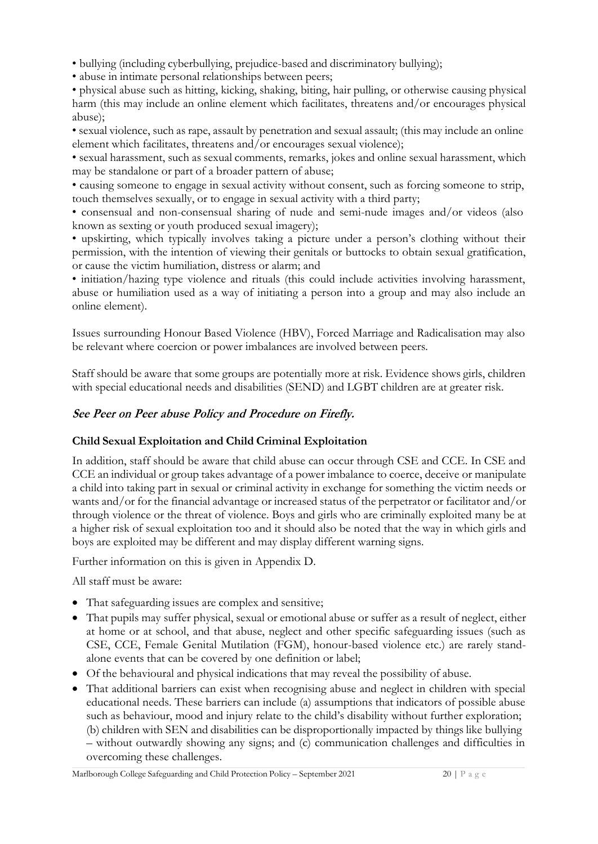• bullying (including cyberbullying, prejudice-based and discriminatory bullying);

• abuse in intimate personal relationships between peers;

• physical abuse such as hitting, kicking, shaking, biting, hair pulling, or otherwise causing physical harm (this may include an online element which facilitates, threatens and/or encourages physical abuse);

• sexual violence, such as rape, assault by penetration and sexual assault; (this may include an online element which facilitates, threatens and/or encourages sexual violence);

• sexual harassment, such as sexual comments, remarks, jokes and online sexual harassment, which may be standalone or part of a broader pattern of abuse;

• causing someone to engage in sexual activity without consent, such as forcing someone to strip, touch themselves sexually, or to engage in sexual activity with a third party;

• consensual and non-consensual sharing of nude and semi-nude images and/or videos (also known as sexting or youth produced sexual imagery);

• upskirting, which typically involves taking a picture under a person's clothing without their permission, with the intention of viewing their genitals or buttocks to obtain sexual gratification, or cause the victim humiliation, distress or alarm; and

• initiation/hazing type violence and rituals (this could include activities involving harassment, abuse or humiliation used as a way of initiating a person into a group and may also include an online element).

Issues surrounding Honour Based Violence (HBV), Forced Marriage and Radicalisation may also be relevant where coercion or power imbalances are involved between peers.

Staff should be aware that some groups are potentially more at risk. Evidence shows girls, children with special educational needs and disabilities (SEND) and LGBT children are at greater risk.

#### **See Peer on Peer abuse Policy and Procedure on Firefly.**

#### **Child Sexual Exploitation and Child Criminal Exploitation**

In addition, staff should be aware that child abuse can occur through CSE and CCE. In CSE and CCE an individual or group takes advantage of a power imbalance to coerce, deceive or manipulate a child into taking part in sexual or criminal activity in exchange for something the victim needs or wants and/or for the financial advantage or increased status of the perpetrator or facilitator and/or through violence or the threat of violence. Boys and girls who are criminally exploited many be at a higher risk of sexual exploitation too and it should also be noted that the way in which girls and boys are exploited may be different and may display different warning signs.

Further information on this is given in Appendix D.

All staff must be aware:

- That safeguarding issues are complex and sensitive;
- That pupils may suffer physical, sexual or emotional abuse or suffer as a result of neglect, either at home or at school, and that abuse, neglect and other specific safeguarding issues (such as CSE, CCE, Female Genital Mutilation (FGM), honour-based violence etc.) are rarely standalone events that can be covered by one definition or label;
- Of the behavioural and physical indications that may reveal the possibility of abuse.
- That additional barriers can exist when recognising abuse and neglect in children with special educational needs. These barriers can include (a) assumptions that indicators of possible abuse such as behaviour, mood and injury relate to the child's disability without further exploration; (b) children with SEN and disabilities can be disproportionally impacted by things like bullying – without outwardly showing any signs; and (c) communication challenges and difficulties in overcoming these challenges.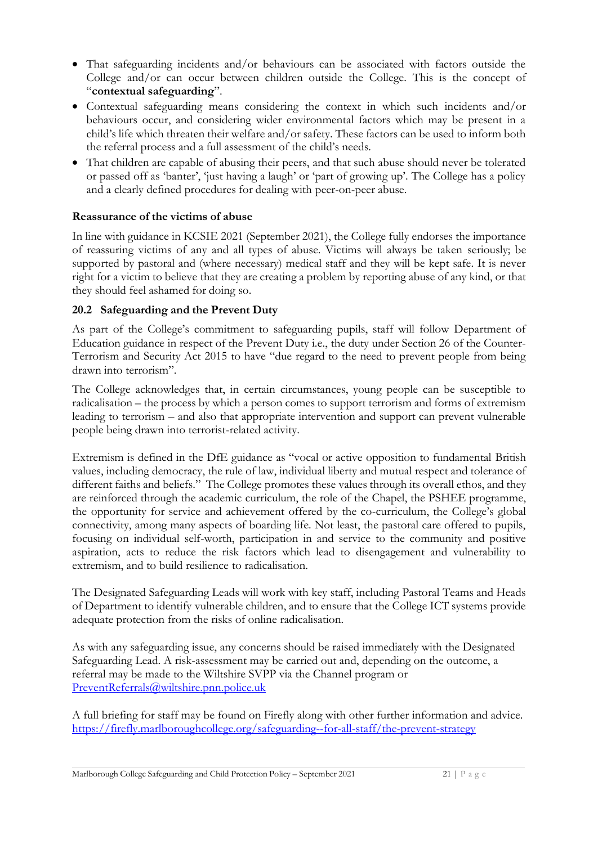- That safeguarding incidents and/or behaviours can be associated with factors outside the College and/or can occur between children outside the College. This is the concept of "**contextual safeguarding**".
- Contextual safeguarding means considering the context in which such incidents and/or behaviours occur, and considering wider environmental factors which may be present in a child's life which threaten their welfare and/or safety. These factors can be used to inform both the referral process and a full assessment of the child's needs.
- That children are capable of abusing their peers, and that such abuse should never be tolerated or passed off as 'banter', 'just having a laugh' or 'part of growing up'. The College has a policy and a clearly defined procedures for dealing with peer-on-peer abuse.

#### **Reassurance of the victims of abuse**

In line with guidance in KCSIE 2021 (September 2021), the College fully endorses the importance of reassuring victims of any and all types of abuse. Victims will always be taken seriously; be supported by pastoral and (where necessary) medical staff and they will be kept safe. It is never right for a victim to believe that they are creating a problem by reporting abuse of any kind, or that they should feel ashamed for doing so.

#### **20.2 Safeguarding and the Prevent Duty**

As part of the College's commitment to safeguarding pupils, staff will follow Department of Education guidance in respect of the Prevent Duty i.e., the duty under Section 26 of the Counter-Terrorism and Security Act 2015 to have "due regard to the need to prevent people from being drawn into terrorism".

The College acknowledges that, in certain circumstances, young people can be susceptible to radicalisation – the process by which a person comes to support terrorism and forms of extremism leading to terrorism – and also that appropriate intervention and support can prevent vulnerable people being drawn into terrorist-related activity.

Extremism is defined in the DfE guidance as "vocal or active opposition to fundamental British values, including democracy, the rule of law, individual liberty and mutual respect and tolerance of different faiths and beliefs." The College promotes these values through its overall ethos, and they are reinforced through the academic curriculum, the role of the Chapel, the PSHEE programme, the opportunity for service and achievement offered by the co-curriculum, the College's global connectivity, among many aspects of boarding life. Not least, the pastoral care offered to pupils, focusing on individual self-worth, participation in and service to the community and positive aspiration, acts to reduce the risk factors which lead to disengagement and vulnerability to extremism, and to build resilience to radicalisation.

The Designated Safeguarding Leads will work with key staff, including Pastoral Teams and Heads of Department to identify vulnerable children, and to ensure that the College ICT systems provide adequate protection from the risks of online radicalisation.

As with any safeguarding issue, any concerns should be raised immediately with the Designated Safeguarding Lead. A risk-assessment may be carried out and, depending on the outcome, a referral may be made to the Wiltshire SVPP via the Channel program or [PreventReferrals@wiltshire.pnn.police.uk](mailto:PreventReferrals@wiltshire.pnn.police.uk)

A full briefing for staff may be found on Firefly along with other further information and advice. <https://firefly.marlboroughcollege.org/safeguarding--for-all-staff/the-prevent-strategy>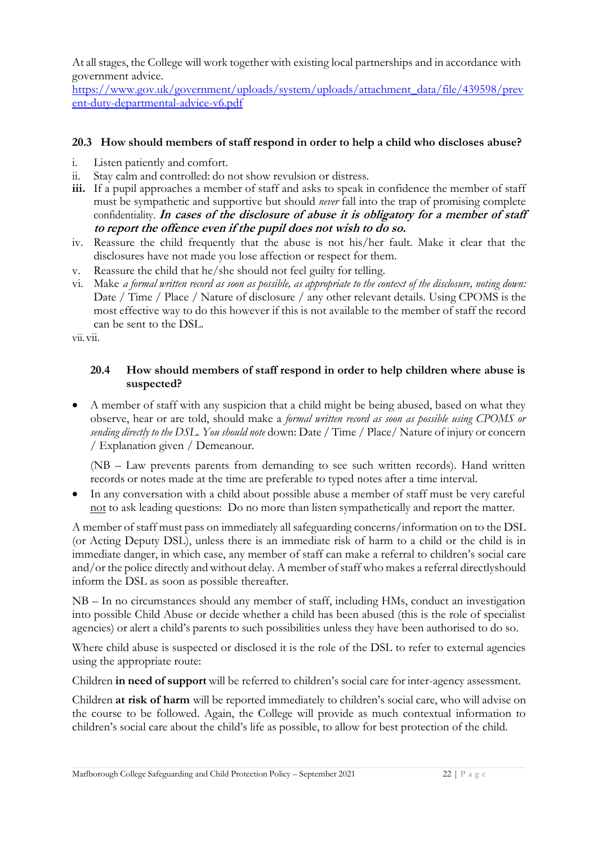At all stages, the College will work together with existing local partnerships and in accordance with government advice.

[https://www.gov.uk/government/uploads/system/uploads/attachment\\_data/file/439598/prev](https://www.gov.uk/government/uploads/system/uploads/attachment_data/file/439598/prevent-duty-departmental-advice-v6.pdf)  [ent-duty-departmental-advice-v6.pdf](https://www.gov.uk/government/uploads/system/uploads/attachment_data/file/439598/prevent-duty-departmental-advice-v6.pdf)

#### **20.3 How should members of staff respond in order to help a child who discloses abuse?**

- i. Listen patiently and comfort.
- ii. Stay calm and controlled: do not show revulsion or distress.
- **iii.** If a pupil approaches a member of staff and asks to speak in confidence the member of staff must be sympathetic and supportive but should *never* fall into the trap of promising complete confidentiality. **In cases of the disclosure of abuse it is obligatory for a member of staff to report the offence even if the pupil does not wish to do so.**
- iv. Reassure the child frequently that the abuse is not his/her fault. Make it clear that the disclosures have not made you lose affection or respect for them.
- v. Reassure the child that he/she should not feel guilty for telling.
- vi. Make *a formal written record as soon as possible, as appropriate to the context of the disclosure, noting down:*  Date / Time / Place / Nature of disclosure / any other relevant details. Using CPOMS is the most effective way to do this however if this is not available to the member of staff the record can be sent to the DSL.

vii. vii.

#### **20.4 How should members of staff respond in order to help children where abuse is suspected?**

• A member of staff with any suspicion that a child might be being abused, based on what they observe, hear or are told, should make a *formal written record as soon as possible using CPOMS or sending directly to the DSL. You should note* down: Date / Time / Place/ Nature of injury or concern / Explanation given / Demeanour.

(NB – Law prevents parents from demanding to see such written records). Hand written records or notes made at the time are preferable to typed notes after a time interval.

• In any conversation with a child about possible abuse a member of staff must be very careful not to ask leading questions: Do no more than listen sympathetically and report the matter.

A member of staff must pass on immediately all safeguarding concerns/information on to the DSL (or Acting Deputy DSL), unless there is an immediate risk of harm to a child or the child is in immediate danger, in which case, any member of staff can make a referral to children's social care and/or the police directly and without delay. A member of staff who makes a referral directly should inform the DSL as soon as possible thereafter.

NB – In no circumstances should any member of staff, including HMs, conduct an investigation into possible Child Abuse or decide whether a child has been abused (this is the role of specialist agencies) or alert a child's parents to such possibilities unless they have been authorised to do so.

Where child abuse is suspected or disclosed it is the role of the DSL to refer to external agencies using the appropriate route:

Children **in need of support** will be referred to children's social care for inter-agency assessment.

Children **at risk of harm** will be reported immediately to children's social care, who will advise on the course to be followed. Again, the College will provide as much contextual information to children's social care about the child's life as possible, to allow for best protection of the child.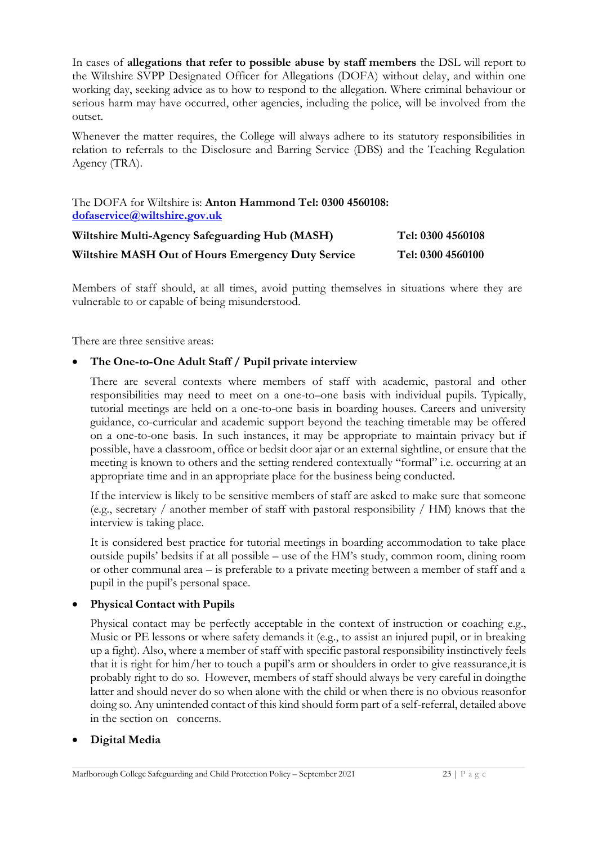In cases of **allegations that refer to possible abuse by staff members** the DSL will report to the Wiltshire SVPP Designated Officer for Allegations (DOFA) without delay, and within one working day, seeking advice as to how to respond to the allegation. Where criminal behaviour or serious harm may have occurred, other agencies, including the police, will be involved from the outset.

Whenever the matter requires, the College will always adhere to its statutory responsibilities in relation to referrals to the Disclosure and Barring Service (DBS) and the Teaching Regulation Agency (TRA).

The DOFA for Wiltshire is: **Anton Hammond Tel: 0300 4560108: [dofaservice@wiltshire.gov.uk](mailto:dofaservice@wiltshire.gov.uk)**

| Wiltshire Multi-Agency Safeguarding Hub (MASH)     | Tel: 0300 4560108 |
|----------------------------------------------------|-------------------|
| Wiltshire MASH Out of Hours Emergency Duty Service | Tel: 0300 4560100 |

Members of staff should, at all times, avoid putting themselves in situations where they are vulnerable to or capable of being misunderstood.

There are three sensitive areas:

#### • **The One-to-One Adult Staff / Pupil private interview**

There are several contexts where members of staff with academic, pastoral and other responsibilities may need to meet on a one-to–one basis with individual pupils. Typically, tutorial meetings are held on a one-to-one basis in boarding houses. Careers and university guidance, co-curricular and academic support beyond the teaching timetable may be offered on a one-to-one basis. In such instances, it may be appropriate to maintain privacy but if possible, have a classroom, office or bedsit door ajar or an external sightline, or ensure that the meeting is known to others and the setting rendered contextually "formal" i.e. occurring at an appropriate time and in an appropriate place for the business being conducted.

If the interview is likely to be sensitive members of staff are asked to make sure that someone (e.g., secretary / another member of staff with pastoral responsibility / HM) knows that the interview is taking place.

It is considered best practice for tutorial meetings in boarding accommodation to take place outside pupils' bedsits if at all possible – use of the HM's study, common room, dining room or other communal area – is preferable to a private meeting between a member of staff and a pupil in the pupil's personal space.

#### • **Physical Contact with Pupils**

Physical contact may be perfectly acceptable in the context of instruction or coaching e.g., Music or PE lessons or where safety demands it (e.g., to assist an injured pupil, or in breaking up a fight). Also, where a member of staff with specific pastoral responsibility instinctively feels that it is right for him/her to touch a pupil's arm or shoulders in order to give reassurance, it is probably right to do so. However, members of staff should always be very careful in doing the latter and should never do so when alone with the child or when there is no obvious reason for doing so. Any unintended contact of this kind should form part of a self-referral, detailed above in the section on concerns.

#### • **Digital Media**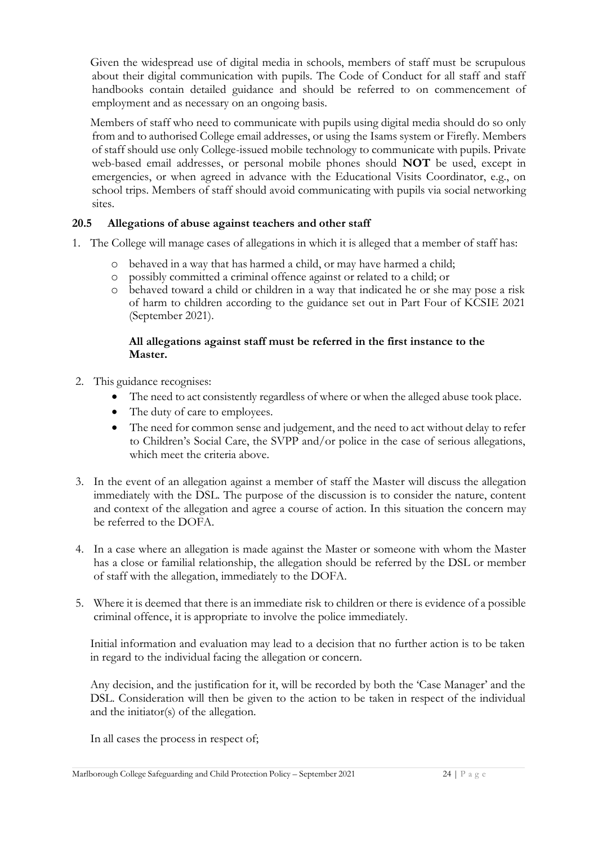Given the widespread use of digital media in schools, members of staff must be scrupulous about their digital communication with pupils. The Code of Conduct for all staff and staff handbooks contain detailed guidance and should be referred to on commencement of employment and as necessary on an ongoing basis.

Members of staff who need to communicate with pupils using digital media should do so only from and to authorised College email addresses, or using the Isams system or Firefly. Members of staff should use only College-issued mobile technology to communicate with pupils. Private web-based email addresses, or personal mobile phones should **NOT** be used, except in emergencies, or when agreed in advance with the Educational Visits Coordinator, e.g., on school trips. Members of staff should avoid communicating with pupils via social networking sites.

#### **20.5 Allegations of abuse against teachers and other staff**

- 1. The College will manage cases of allegations in which it is alleged that a member of staff has:
	- o behaved in a way that has harmed a child, or may have harmed a child;
	- o possibly committed a criminal offence against or related to a child; or
	- o behaved toward a child or children in a way that indicated he or she may pose a risk of harm to children according to the guidance set out in Part Four of KCSIE 2021 (September 2021).

#### **All allegations against staff must be referred in the first instance to the Master.**

- 2. This guidance recognises:
	- The need to act consistently regardless of where or when the alleged abuse took place.
	- The duty of care to employees.
	- The need for common sense and judgement, and the need to act without delay to refer to Children's Social Care, the SVPP and/or police in the case of serious allegations, which meet the criteria above.
- 3. In the event of an allegation against a member of staff the Master will discuss the allegation immediately with the DSL. The purpose of the discussion is to consider the nature, content and context of the allegation and agree a course of action. In this situation the concern may be referred to the DOFA.
- 4. In a case where an allegation is made against the Master or someone with whom the Master has a close or familial relationship, the allegation should be referred by the DSL or member of staff with the allegation, immediately to the DOFA.
- 5. Where it is deemed that there is an immediate risk to children or there is evidence of a possible criminal offence, it is appropriate to involve the police immediately.

Initial information and evaluation may lead to a decision that no further action is to be taken in regard to the individual facing the allegation or concern.

Any decision, and the justification for it, will be recorded by both the 'Case Manager' and the DSL. Consideration will then be given to the action to be taken in respect of the individual and the initiator(s) of the allegation.

In all cases the process in respect of;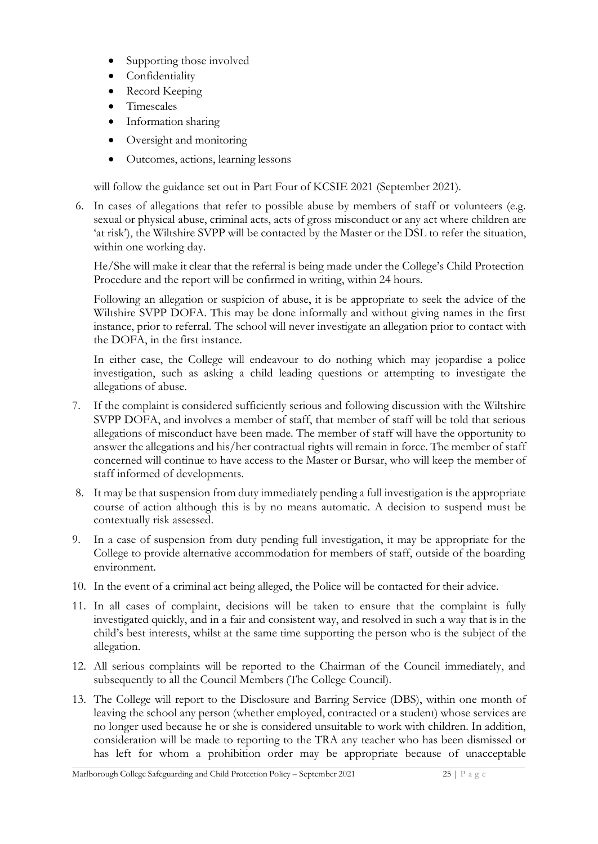- Supporting those involved
- Confidentiality
- Record Keeping
- Timescales
- Information sharing
- Oversight and monitoring
- Outcomes, actions, learning lessons

will follow the guidance set out in Part Four of KCSIE 2021 (September 2021).

6. In cases of allegations that refer to possible abuse by members of staff or volunteers (e.g. sexual or physical abuse, criminal acts, acts of gross misconduct or any act where children are 'at risk'), the Wiltshire SVPP will be contacted by the Master or the DSL to refer the situation, within one working day.

He/She will make it clear that the referral is being made under the College's Child Protection Procedure and the report will be confirmed in writing, within 24 hours.

Following an allegation or suspicion of abuse, it is be appropriate to seek the advice of the Wiltshire SVPP DOFA. This may be done informally and without giving names in the first instance, prior to referral. The school will never investigate an allegation prior to contact with the DOFA, in the first instance.

In either case, the College will endeavour to do nothing which may jeopardise a police investigation, such as asking a child leading questions or attempting to investigate the allegations of abuse.

- 7. If the complaint is considered sufficiently serious and following discussion with the Wiltshire SVPP DOFA, and involves a member of staff, that member of staff will be told that serious allegations of misconduct have been made. The member of staff will have the opportunity to answer the allegations and his/her contractual rights will remain in force. The member of staff concerned will continue to have access to the Master or Bursar, who will keep the member of staff informed of developments.
- 8. It may be that suspension from duty immediately pending a full investigation is the appropriate course of action although this is by no means automatic. A decision to suspend must be contextually risk assessed.
- 9. In a case of suspension from duty pending full investigation, it may be appropriate for the College to provide alternative accommodation for members of staff, outside of the boarding environment.
- 10. In the event of a criminal act being alleged, the Police will be contacted for their advice.
- 11. In all cases of complaint, decisions will be taken to ensure that the complaint is fully investigated quickly, and in a fair and consistent way, and resolved in such a way that is in the child's best interests, whilst at the same time supporting the person who is the subject of the allegation.
- 12. All serious complaints will be reported to the Chairman of the Council immediately, and subsequently to all the Council Members (The College Council).
- 13. The College will report to the Disclosure and Barring Service (DBS), within one month of leaving the school any person (whether employed, contracted or a student) whose services are no longer used because he or she is considered unsuitable to work with children. In addition, consideration will be made to reporting to the TRA any teacher who has been dismissed or has left for whom a prohibition order may be appropriate because of unacceptable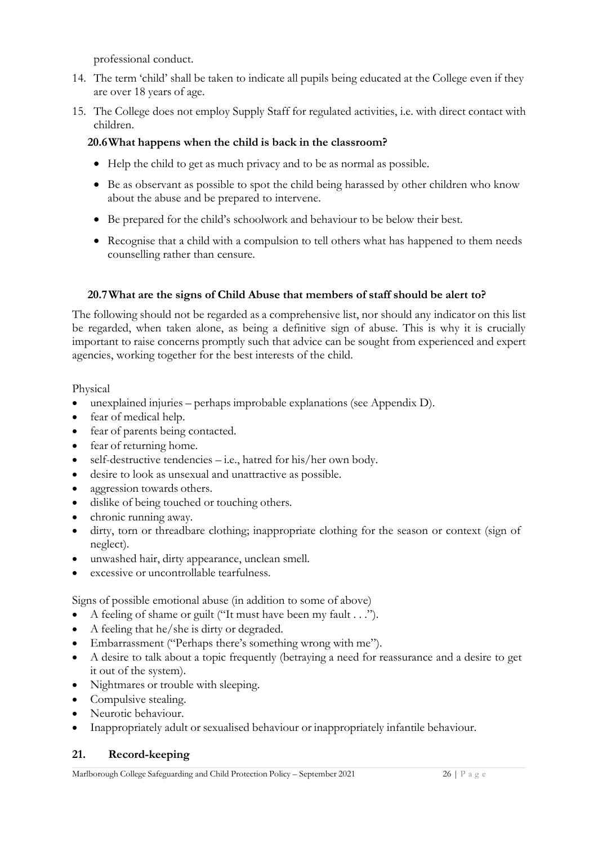professional conduct.

- 14. The term 'child' shall be taken to indicate all pupils being educated at the College even if they are over 18 years of age.
- 15. The College does not employ Supply Staff for regulated activities, i.e. with direct contact with children.

#### **20.6What happens when the child is back in the classroom?**

- Help the child to get as much privacy and to be as normal as possible.
- Be as observant as possible to spot the child being harassed by other children who know about the abuse and be prepared to intervene.
- Be prepared for the child's schoolwork and behaviour to be below their best.
- Recognise that a child with a compulsion to tell others what has happened to them needs counselling rather than censure.

#### **20.7What are the signs of Child Abuse that members of staff should be alert to?**

The following should not be regarded as a comprehensive list, nor should any indicator on this list be regarded, when taken alone, as being a definitive sign of abuse. This is why it is crucially important to raise concerns promptly such that advice can be sought from experienced and expert agencies, working together for the best interests of the child.

Physical

- unexplained injuries perhaps improbable explanations (see Appendix D).
- fear of medical help.
- fear of parents being contacted.
- fear of returning home.
- self-destructive tendencies i.e., hatred for his/her own body.
- desire to look as unsexual and unattractive as possible.
- aggression towards others.
- dislike of being touched or touching others.
- chronic running away.
- dirty, torn or threadbare clothing; inappropriate clothing for the season or context (sign of neglect).
- unwashed hair, dirty appearance, unclean smell.
- excessive or uncontrollable tearfulness.

Signs of possible emotional abuse (in addition to some of above)

- A feeling of shame or guilt ("It must have been my fault . . .").
- A feeling that he/she is dirty or degraded.
- Embarrassment ("Perhaps there's something wrong with me").
- A desire to talk about a topic frequently (betraying a need for reassurance and a desire to get it out of the system).
- Nightmares or trouble with sleeping.
- Compulsive stealing.
- Neurotic behaviour.
- Inappropriately adult or sexualised behaviour or inappropriately infantile behaviour.

#### **21. Record-keeping**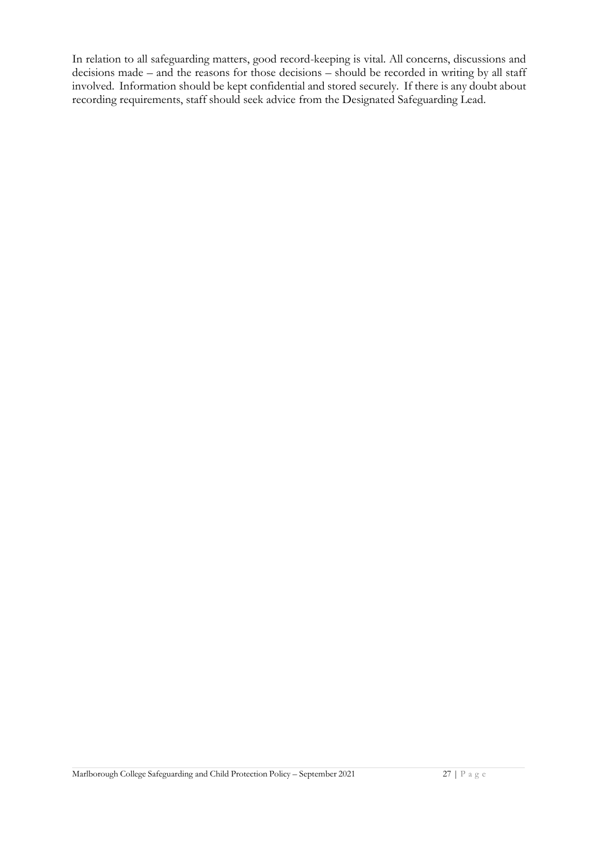In relation to all safeguarding matters, good record-keeping is vital. All concerns, discussions and decisions made – and the reasons for those decisions – should be recorded in writing by all staff involved. Information should be kept confidential and stored securely. If there is any doubt about recording requirements, staff should seek advice from the Designated Safeguarding Lead.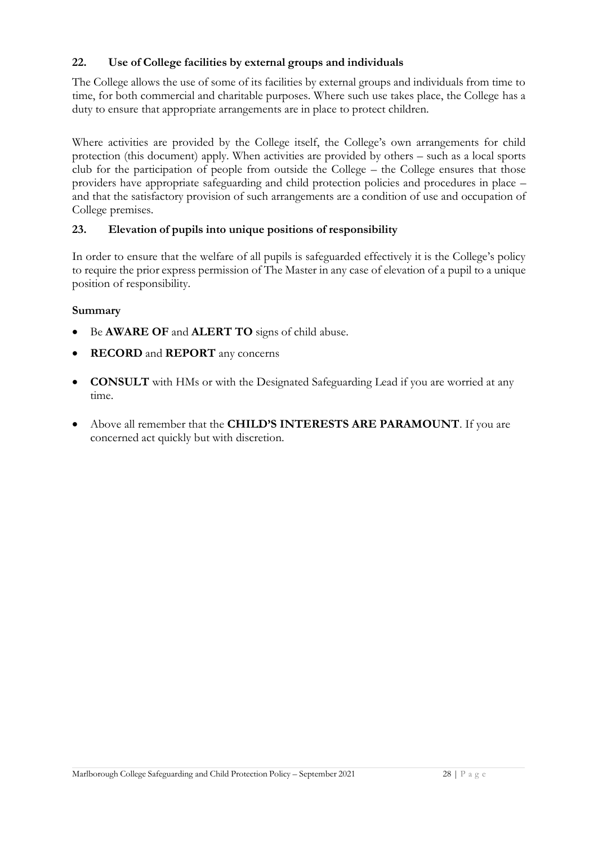#### **22. Use of College facilities by external groups and individuals**

The College allows the use of some of its facilities by external groups and individuals from time to time, for both commercial and charitable purposes. Where such use takes place, the College has a duty to ensure that appropriate arrangements are in place to protect children.

Where activities are provided by the College itself, the College's own arrangements for child protection (this document) apply. When activities are provided by others – such as a local sports club for the participation of people from outside the College – the College ensures that those providers have appropriate safeguarding and child protection policies and procedures in place – and that the satisfactory provision of such arrangements are a condition of use and occupation of College premises.

#### **23. Elevation of pupils into unique positions of responsibility**

In order to ensure that the welfare of all pupils is safeguarded effectively it is the College's policy to require the prior express permission of The Master in any case of elevation of a pupil to a unique position of responsibility.

#### **Summary**

- Be **AWARE OF** and **ALERT TO** signs of child abuse.
- **RECORD** and **REPORT** any concerns
- **CONSULT** with HMs or with the Designated Safeguarding Lead if you are worried at any time.
- Above all remember that the **CHILD'S INTERESTS ARE PARAMOUNT**. If you are concerned act quickly but with discretion.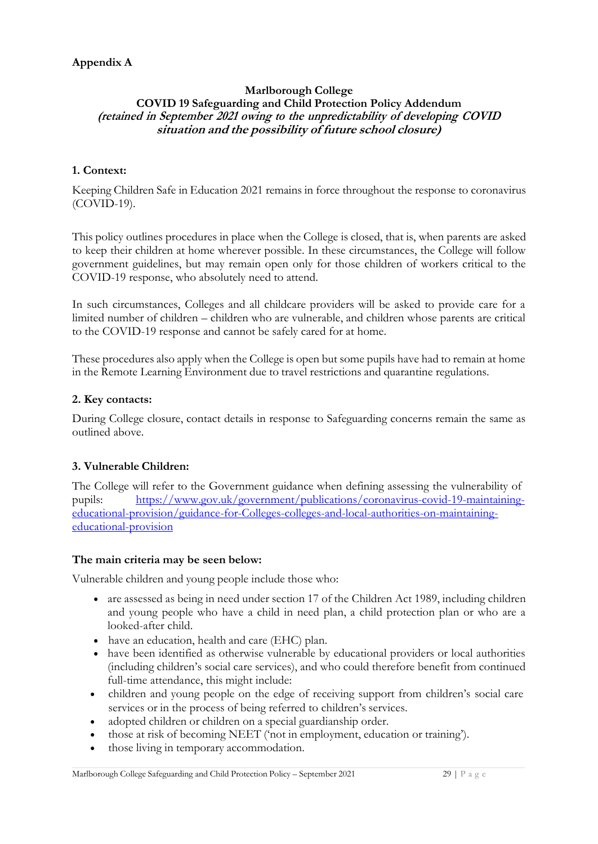#### **Marlborough College COVID 19 Safeguarding and Child Protection Policy Addendum (retained in September 2021 owing to the unpredictability of developing COVID situation and the possibility of future school closure)**

#### **1. Context:**

Keeping Children Safe in Education 2021 remains in force throughout the response to coronavirus (COVID-19).

This policy outlines procedures in place when the College is closed, that is, when parents are asked to keep their children at home wherever possible. In these circumstances, the College will follow government guidelines, but may remain open only for those children of workers critical to the COVID-19 response, who absolutely need to attend.

In such circumstances, Colleges and all childcare providers will be asked to provide care for a limited number of children – children who are vulnerable, and children whose parents are critical to the COVID-19 response and cannot be safely cared for at home.

These procedures also apply when the College is open but some pupils have had to remain at home in the Remote Learning Environment due to travel restrictions and quarantine regulations.

#### **2. Key contacts:**

During College closure, contact details in response to Safeguarding concerns remain the same as outlined above.

#### **3. Vulnerable Children:**

The College will refer to the Government guidance when defining assessing the vulnerability of pupils: [https://www.gov.uk/government/publications/coronavirus-covid-19-maintaining](https://www.gov.uk/government/publications/coronavirus-covid-19-maintaining-educational-provision/guidance-for-schools-colleges-and-local-authorities-on-maintaining-educational-provision)[educational-provision/guidance-for-Colleges-colleges-and-local-authorities-on-maintaining](https://www.gov.uk/government/publications/coronavirus-covid-19-maintaining-educational-provision/guidance-for-schools-colleges-and-local-authorities-on-maintaining-educational-provision)[educational-provision](https://www.gov.uk/government/publications/coronavirus-covid-19-maintaining-educational-provision/guidance-for-schools-colleges-and-local-authorities-on-maintaining-educational-provision)

#### **The main criteria may be seen below:**

Vulnerable children and young people include those who:

- are assessed as being in need under section 17 of the Children Act 1989, including children and young people who have a child in need plan, a child protection plan or who are a looked-after child.
- have an education, health and care (EHC) plan.
- have been identified as otherwise vulnerable by educational providers or local authorities (including children's social care services), and who could therefore benefit from continued full-time attendance, this might include:
- children and young people on the edge of receiving support from children's social care services or in the process of being referred to children's services.
- adopted children or children on a special guardianship order.
- those at risk of becoming NEET ('not in employment, education or training').
- those living in temporary accommodation.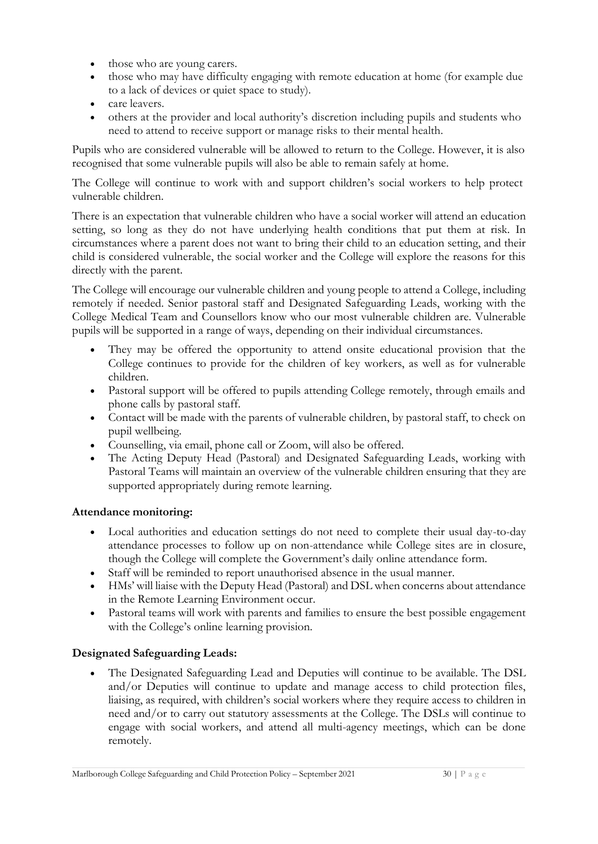- those who are young carers.
- those who may have difficulty engaging with remote education at home (for example due to a lack of devices or quiet space to study).
- care leavers.
- others at the provider and local authority's discretion including pupils and students who need to attend to receive support or manage risks to their mental health.

Pupils who are considered vulnerable will be allowed to return to the College. However, it is also recognised that some vulnerable pupils will also be able to remain safely at home.

The College will continue to work with and support children's social workers to help protect vulnerable children.

There is an expectation that vulnerable children who have a social worker will attend an education setting, so long as they do not have underlying health conditions that put them at risk. In circumstances where a parent does not want to bring their child to an education setting, and their child is considered vulnerable, the social worker and the College will explore the reasons for this directly with the parent.

The College will encourage our vulnerable children and young people to attend a College, including remotely if needed. Senior pastoral staff and Designated Safeguarding Leads, working with the College Medical Team and Counsellors know who our most vulnerable children are. Vulnerable pupils will be supported in a range of ways, depending on their individual circumstances.

- They may be offered the opportunity to attend onsite educational provision that the College continues to provide for the children of key workers, as well as for vulnerable children.
- Pastoral support will be offered to pupils attending College remotely, through emails and phone calls by pastoral staff.
- Contact will be made with the parents of vulnerable children, by pastoral staff, to check on pupil wellbeing.
- Counselling, via email, phone call or Zoom, will also be offered.
- The Acting Deputy Head (Pastoral) and Designated Safeguarding Leads, working with Pastoral Teams will maintain an overview of the vulnerable children ensuring that they are supported appropriately during remote learning.

#### **Attendance monitoring:**

- Local authorities and education settings do not need to complete their usual day-to-day attendance processes to follow up on non-attendance while College sites are in closure, though the College will complete the Government's daily online attendance form.
- Staff will be reminded to report unauthorised absence in the usual manner.
- HMs' will liaise with the Deputy Head (Pastoral) and DSL when concerns about attendance in the Remote Learning Environment occur.
- Pastoral teams will work with parents and families to ensure the best possible engagement with the College's online learning provision.

#### **Designated Safeguarding Leads:**

• The Designated Safeguarding Lead and Deputies will continue to be available. The DSL and/or Deputies will continue to update and manage access to child protection files, liaising, as required, with children's social workers where they require access to children in need and/or to carry out statutory assessments at the College. The DSLs will continue to engage with social workers, and attend all multi-agency meetings, which can be done remotely.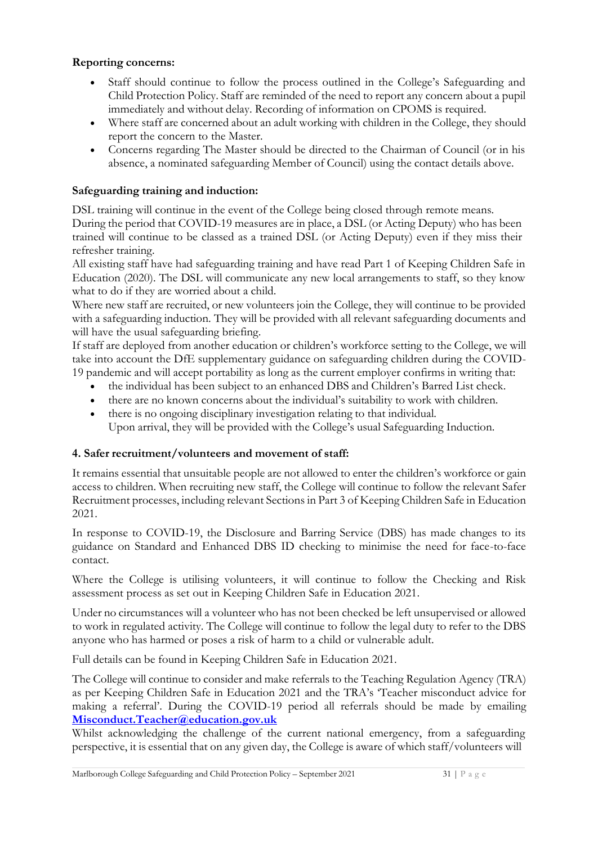#### **Reporting concerns:**

- Staff should continue to follow the process outlined in the College's Safeguarding and Child Protection Policy. Staff are reminded of the need to report any concern about a pupil immediately and without delay. Recording of information on CPOMS is required.
- Where staff are concerned about an adult working with children in the College, they should report the concern to the Master.
- Concerns regarding The Master should be directed to the Chairman of Council (or in his absence, a nominated safeguarding Member of Council) using the contact details above.

#### **Safeguarding training and induction:**

DSL training will continue in the event of the College being closed through remote means. During the period that COVID-19 measures are in place, a DSL (or Acting Deputy) who has been trained will continue to be classed as a trained DSL (or Acting Deputy) even if they miss their refresher training.

All existing staff have had safeguarding training and have read Part 1 of Keeping Children Safe in Education (2020). The DSL will communicate any new local arrangements to staff, so they know what to do if they are worried about a child.

Where new staff are recruited, or new volunteers join the College, they will continue to be provided with a safeguarding induction. They will be provided with all relevant safeguarding documents and will have the usual safeguarding briefing.

If staff are deployed from another education or children's workforce setting to the College, we will take into account the DfE supplementary guidance on safeguarding children during the COVID-19 pandemic and will accept portability as long as the current employer confirms in writing that:

- the individual has been subject to an enhanced DBS and Children's Barred List check.
- there are no known concerns about the individual's suitability to work with children.
- there is no ongoing disciplinary investigation relating to that individual.

Upon arrival, they will be provided with the College's usual Safeguarding Induction.

#### **4. Safer recruitment/volunteers and movement of staff:**

It remains essential that unsuitable people are not allowed to enter the children's workforce or gain access to children. When recruiting new staff, the College will continue to follow the relevant Safer Recruitment processes, including relevant Sections in Part 3 of Keeping Children Safe in Education 2021.

In response to COVID-19, the Disclosure and Barring Service (DBS) has made changes to its guidance on Standard and Enhanced DBS ID checking to minimise the need for face-to-face contact.

Where the College is utilising volunteers, it will continue to follow the Checking and Risk assessment process as set out in Keeping Children Safe in Education 2021.

Under no circumstances will a volunteer who has not been checked be left unsupervised or allowed to work in regulated activity. The College will continue to follow the legal duty to refer to the DBS anyone who has harmed or poses a risk of harm to a child or vulnerable adult.

Full details can be found in Keeping Children Safe in Education 2021.

The College will continue to consider and make referrals to the Teaching Regulation Agency (TRA) as per Keeping Children Safe in Education 2021 and the TRA's 'Teacher misconduct advice for making a referral'. During the COVID-19 period all referrals should be made by emailing **[Misconduct.Teacher@education.gov.uk](mailto:Misconduct.Teacher@education.gov.uk)**

Whilst acknowledging the challenge of the current national emergency, from a safeguarding perspective, it is essential that on any given day, the College is aware of which staff/volunteers will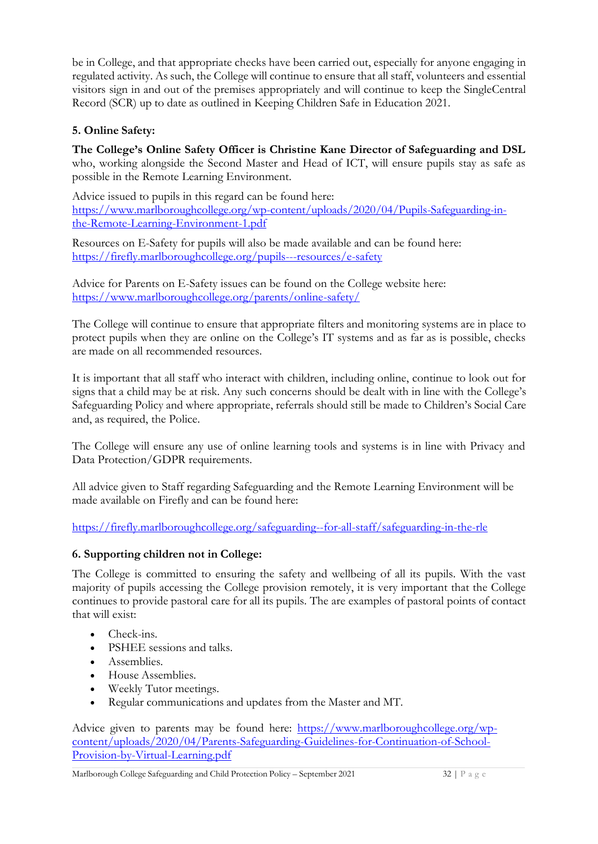be in College, and that appropriate checks have been carried out, especially for anyone engaging in regulated activity. As such, the College will continue to ensure that all staff, volunteers and essential visitors sign in and out of the premises appropriately and will continue to keep the Single Central Record (SCR) up to date as outlined in Keeping Children Safe in Education 2021.

# **5. Online Safety:**

**The College's Online Safety Officer is Christine Kane Director of Safeguarding and DSL** who, working alongside the Second Master and Head of ICT, will ensure pupils stay as safe as possible in the Remote Learning Environment.

Advice issued to pupils in this regard can be found here: [https://www.marlboroughcollege.org/wp-content/uploads/2020/04/Pupils-Safeguarding-in](https://www.marlboroughcollege.org/wp-content/uploads/2020/04/Pupils-Safeguarding-in-the-Remote-Learning-Environment-1.pdf)[the-Remote-Learning-Environment-1.pdf](https://www.marlboroughcollege.org/wp-content/uploads/2020/04/Pupils-Safeguarding-in-the-Remote-Learning-Environment-1.pdf)

Resources on E-Safety for pupils will also be made available and can be found here: <https://firefly.marlboroughcollege.org/pupils---resources/e-safety>

Advice for Parents on E-Safety issues can be found on the College website here: <https://www.marlboroughcollege.org/parents/online-safety/>

The College will continue to ensure that appropriate filters and monitoring systems are in place to protect pupils when they are online on the College's IT systems and as far as is possible, checks are made on all recommended resources.

It is important that all staff who interact with children, including online, continue to look out for signs that a child may be at risk. Any such concerns should be dealt with in line with the College's Safeguarding Policy and where appropriate, referrals should still be made to Children's Social Care and, as required, the Police.

The College will ensure any use of online learning tools and systems is in line with Privacy and Data Protection/GDPR requirements.

All advice given to Staff regarding Safeguarding and the Remote Learning Environment will be made available on Firefly and can be found here:

<https://firefly.marlboroughcollege.org/safeguarding--for-all-staff/safeguarding-in-the-rle>

# **6. Supporting children not in College:**

The College is committed to ensuring the safety and wellbeing of all its pupils. With the vast majority of pupils accessing the College provision remotely, it is very important that the College continues to provide pastoral care for all its pupils. The are examples of pastoral points of contact that will exist:

- Check-ins.
- PSHEE sessions and talks.
- Assemblies.
- House Assemblies.
- Weekly Tutor meetings.
- Regular communications and updates from the Master and MT.

Advice given to parents may be found here: [https://www.marlboroughcollege.org/wp](https://www.marlboroughcollege.org/wp-content/uploads/2020/04/Parents-Safeguarding-Guidelines-for-Continuation-of-School-Provision-by-Virtual-Learning.pdf)[content/uploads/2020/04/Parents-Safeguarding-Guidelines-for-Continuation-of-School-](https://www.marlboroughcollege.org/wp-content/uploads/2020/04/Parents-Safeguarding-Guidelines-for-Continuation-of-School-Provision-by-Virtual-Learning.pdf)[Provision-by-Virtual-Learning.pdf](https://www.marlboroughcollege.org/wp-content/uploads/2020/04/Parents-Safeguarding-Guidelines-for-Continuation-of-School-Provision-by-Virtual-Learning.pdf)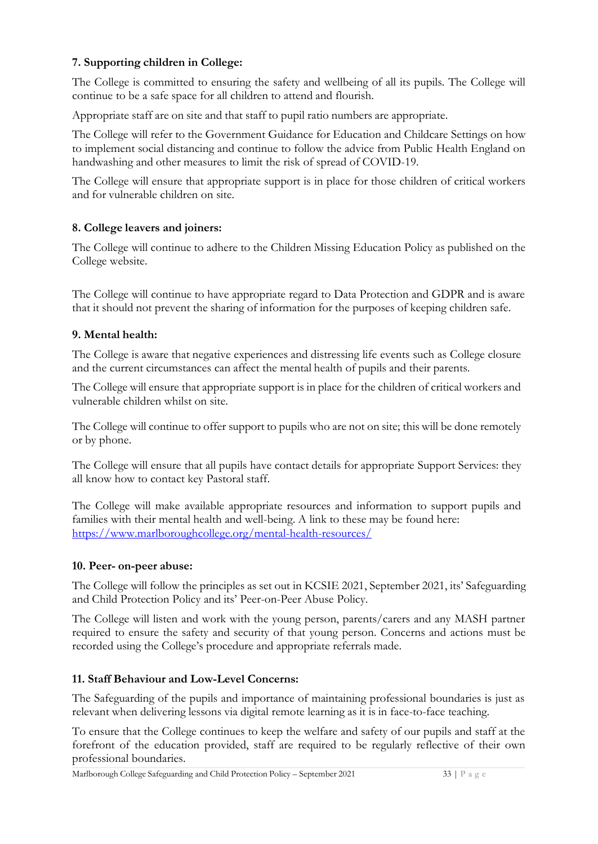#### **7. Supporting children in College:**

The College is committed to ensuring the safety and wellbeing of all its pupils. The College will continue to be a safe space for all children to attend and flourish.

Appropriate staff are on site and that staff to pupil ratio numbers are appropriate.

The College will refer to the Government Guidance for Education and Childcare Settings on how to implement social distancing and continue to follow the advice from Public Health England on handwashing and other measures to limit the risk of spread of COVID-19.

The College will ensure that appropriate support is in place for those children of critical workers and for vulnerable children on site.

#### **8. College leavers and joiners:**

The College will continue to adhere to the Children Missing Education Policy as published on the College website.

The College will continue to have appropriate regard to Data Protection and GDPR and is aware that it should not prevent the sharing of information for the purposes of keeping children safe.

#### **9. Mental health:**

The College is aware that negative experiences and distressing life events such as College closure and the current circumstances can affect the mental health of pupils and their parents.

The College will ensure that appropriate support is in place for the children of critical workers and vulnerable children whilst on site.

The College will continue to offer support to pupils who are not on site; this will be done remotely or by phone.

The College will ensure that all pupils have contact details for appropriate Support Services: they all know how to contact key Pastoral staff.

The College will make available appropriate resources and information to support pupils and families with their mental health and well-being. A link to these may be found here: <https://www.marlboroughcollege.org/mental-health-resources/>

#### **10. Peer- on-peer abuse:**

The College will follow the principles as set out in KCSIE 2021, September 2021, its' Safeguarding and Child Protection Policy and its' Peer-on-Peer Abuse Policy.

The College will listen and work with the young person, parents/carers and any MASH partner required to ensure the safety and security of that young person. Concerns and actions must be recorded using the College's procedure and appropriate referrals made.

#### **11. Staff Behaviour and Low-Level Concerns:**

The Safeguarding of the pupils and importance of maintaining professional boundaries is just as relevant when delivering lessons via digital remote learning as it is in face-to-face teaching.

To ensure that the College continues to keep the welfare and safety of our pupils and staff at the forefront of the education provided, staff are required to be regularly reflective of their own professional boundaries.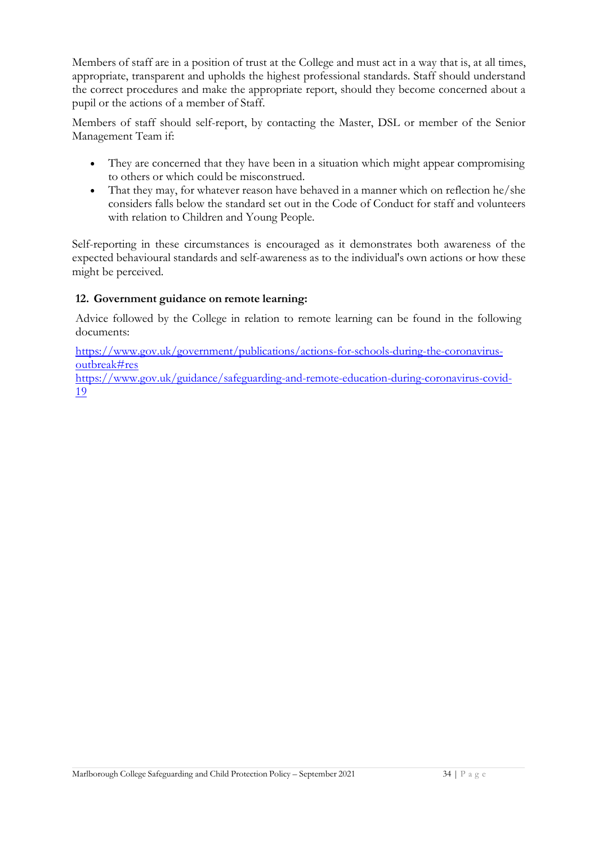Members of staff are in a position of trust at the College and must act in a way that is, at all times, appropriate, transparent and upholds the highest professional standards. Staff should understand the correct procedures and make the appropriate report, should they become concerned about a pupil or the actions of a member of Staff.

Members of staff should self-report, by contacting the Master, DSL or member of the Senior Management Team if:

- They are concerned that they have been in a situation which might appear compromising to others or which could be misconstrued.
- That they may, for whatever reason have behaved in a manner which on reflection he/she considers falls below the standard set out in the Code of Conduct for staff and volunteers with relation to Children and Young People.

Self-reporting in these circumstances is encouraged as it demonstrates both awareness of the expected behavioural standards and self-awareness as to the individual's own actions or how these might be perceived.

#### **12. Government guidance on remote learning:**

Advice followed by the College in relation to remote learning can be found in the following documents:

[https://www.gov.uk/government/publications/actions-for-schools-during-the-coronavirus](https://www.gov.uk/government/publications/actions-for-schools-during-the-coronavirus-outbreak#res)[outbreak#res](https://www.gov.uk/government/publications/actions-for-schools-during-the-coronavirus-outbreak#res)

[https://www.gov.uk/guidance/safeguarding-and-remote-education-during-coronavirus-covid-](https://www.gov.uk/guidance/safeguarding-and-remote-education-during-coronavirus-covid-19)[19](https://www.gov.uk/guidance/safeguarding-and-remote-education-during-coronavirus-covid-19)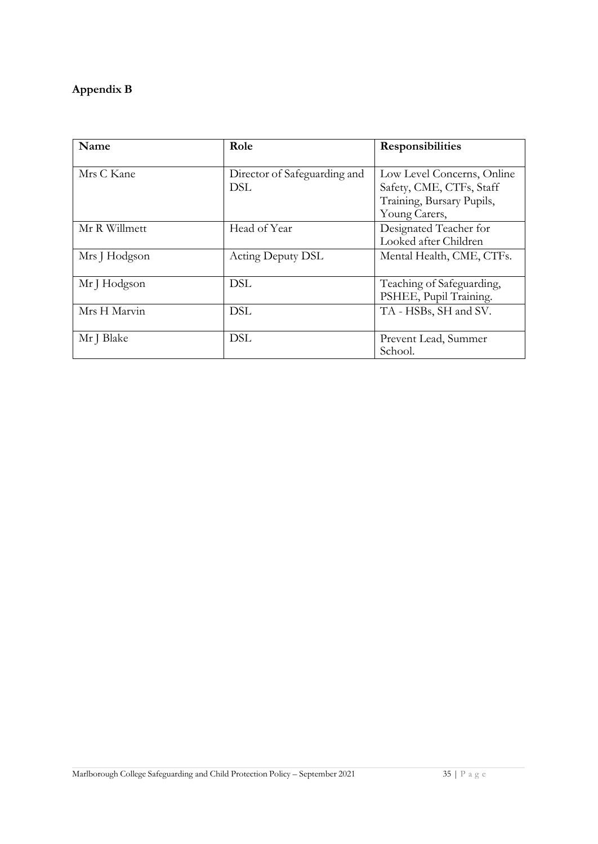# **Appendix B**

| Name          | Role                         | <b>Responsibilities</b>    |
|---------------|------------------------------|----------------------------|
|               |                              |                            |
| Mrs C Kane    | Director of Safeguarding and | Low Level Concerns, Online |
|               | DSL                          | Safety, CME, CTFs, Staff   |
|               |                              | Training, Bursary Pupils,  |
|               |                              | Young Carers,              |
| Mr R Willmett | Head of Year                 | Designated Teacher for     |
|               |                              | Looked after Children      |
| Mrs J Hodgson | Acting Deputy DSL            | Mental Health, CME, CTFs.  |
|               |                              |                            |
| Mr J Hodgson  | <b>DSL</b>                   | Teaching of Safeguarding,  |
|               |                              | PSHEE, Pupil Training.     |
| Mrs H Marvin  | <b>DSL</b>                   | TA - HSBs, SH and SV.      |
|               |                              |                            |
| Mr J Blake    | <b>DSL</b>                   | Prevent Lead, Summer       |
|               |                              | School.                    |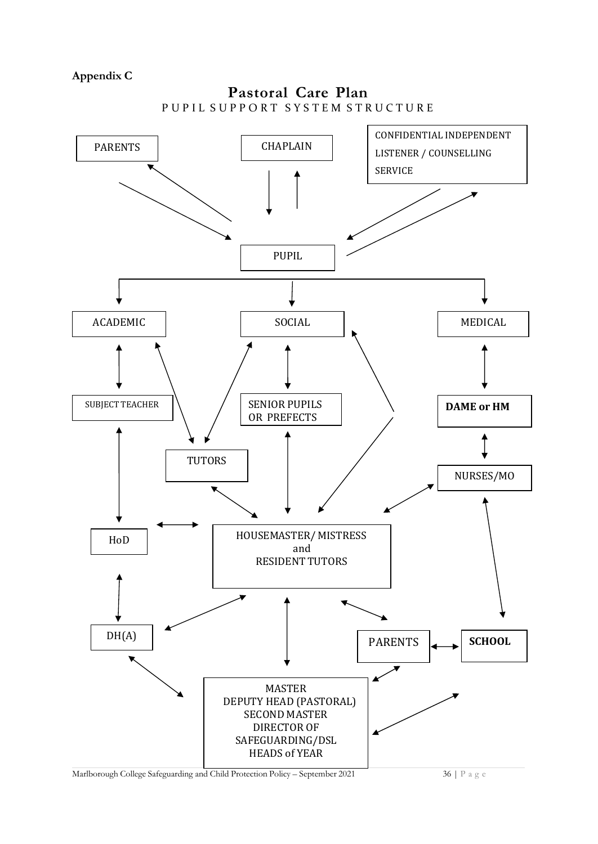**Appendix C** 



Marlborough College Safeguarding and Child Protection Policy – September 2021 36 | P a g e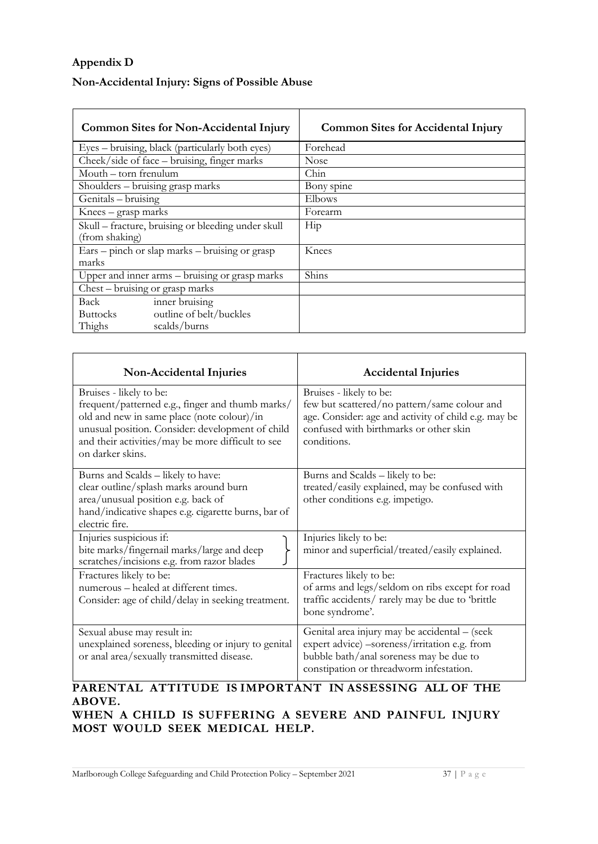# **Appendix D**

### **Non-Accidental Injury: Signs of Possible Abuse**

| <b>Common Sites for Non-Accidental Injury</b>                        | <b>Common Sites for Accidental Injury</b> |  |
|----------------------------------------------------------------------|-------------------------------------------|--|
| Eyes – bruising, black (particularly both eyes)                      | Forehead                                  |  |
| Cheek/side of face – bruising, finger marks                          | <b>Nose</b>                               |  |
| Mouth – torn frenulum                                                | Chin                                      |  |
| Shoulders – bruising grasp marks                                     | Bony spine                                |  |
| Genitals - bruising                                                  | Elbows                                    |  |
| Knees – grasp marks                                                  | Forearm                                   |  |
| Skull – fracture, bruising or bleeding under skull<br>(from shaking) | Hip                                       |  |
| Ears – pinch or slap marks – bruising or grasp<br>marks              | Knees                                     |  |
| Upper and inner arms – bruising or grasp marks                       | Shins                                     |  |
| $\overline{\text{Chest}} - \text{brusing or grasp marks}$            |                                           |  |
| inner bruising<br>Back                                               |                                           |  |
| outline of belt/buckles<br><b>Buttocks</b>                           |                                           |  |
| Thighs<br>scalds/burns                                               |                                           |  |

| Non-Accidental Injuries                                                                                                                                                                                                                                | <b>Accidental Injuries</b>                                                                                                                                                               |
|--------------------------------------------------------------------------------------------------------------------------------------------------------------------------------------------------------------------------------------------------------|------------------------------------------------------------------------------------------------------------------------------------------------------------------------------------------|
| Bruises - likely to be:<br>frequent/patterned e.g., finger and thumb marks/<br>old and new in same place (note colour)/in<br>unusual position. Consider: development of child<br>and their activities/may be more difficult to see<br>on darker skins. | Bruises - likely to be:<br>few but scattered/no pattern/same colour and<br>age. Consider: age and activity of child e.g. may be<br>confused with birthmarks or other skin<br>conditions. |
| Burns and Scalds - likely to have:<br>clear outline/splash marks around burn<br>area/unusual position e.g. back of<br>hand/indicative shapes e.g. cigarette burns, bar of<br>electric fire.                                                            | Burns and Scalds - likely to be:<br>treated/easily explained, may be confused with<br>other conditions e.g. impetigo.                                                                    |
| Injuries suspicious if:<br>bite marks/fingernail marks/large and deep<br>scratches/incisions e.g. from razor blades                                                                                                                                    | Injuries likely to be:<br>minor and superficial/treated/easily explained.                                                                                                                |
| Fractures likely to be:<br>numerous - healed at different times.<br>Consider: age of child/delay in seeking treatment.                                                                                                                                 | Fractures likely to be:<br>of arms and legs/seldom on ribs except for road<br>traffic accidents/rarely may be due to 'brittle<br>bone syndrome'.                                         |
| Sexual abuse may result in:<br>unexplained soreness, bleeding or injury to genital<br>or anal area/sexually transmitted disease.                                                                                                                       | Genital area injury may be accidental - (seek<br>expert advice) -soreness/irritation e.g. from<br>bubble bath/anal soreness may be due to<br>constipation or threadworm infestation.     |

#### **PARENTAL ATTITUDE IS IMPORTANT IN ASSESSING ALL OF THE ABOVE. WHEN A CHILD IS SUFFERING A SEVERE AND PAINFUL INJURY**

**MOST WOULD SEEK MEDICAL HELP.**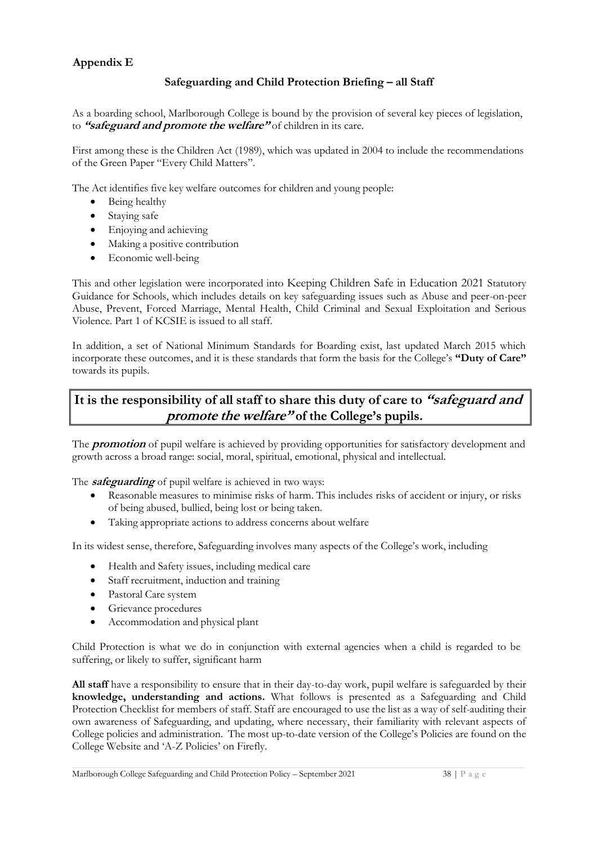#### **Appendix E**

#### **Safeguarding and Child Protection Briefing – all Staff**

As a boarding school, Marlborough College is bound by the provision of several key pieces of legislation, to **"safeguard and promote the welfare"** of children in its care.

First among these is the Children Act (1989), which was updated in 2004 to include the recommendations of the Green Paper "Every Child Matters".

The Act identifies five key welfare outcomes for children and young people:

- Being healthy
- Staying safe
- Enjoying and achieving
- Making a positive contribution
- Economic well-being

This and other legislation were incorporated into Keeping Children Safe in Education 2021 Statutory Guidance for Schools, which includes details on key safeguarding issues such as Abuse and peer-on-peer Abuse, Prevent, Forced Marriage, Mental Health, Child Criminal and Sexual Exploitation and Serious Violence. Part 1 of KCSIE is issued to all staff.

In addition, a set of National Minimum Standards for Boarding exist, last updated March 2015 which incorporate these outcomes, and it is these standards that form the basis for the College's **"Duty of Care"** towards its pupils.

# **It is the responsibility of all staff to share this duty of care to "safeguard and** *promote the welfare"* of the College's pupils.

The **promotion** of pupil welfare is achieved by providing opportunities for satisfactory development and growth across a broad range: social, moral, spiritual, emotional, physical and intellectual.

The **safeguarding** of pupil welfare is achieved in two ways:

- Reasonable measures to minimise risks of harm. This includes risks of accident or injury, or risks of being abused, bullied, being lost or being taken.
- Taking appropriate actions to address concerns about welfare

In its widest sense, therefore, Safeguarding involves many aspects of the College's work, including

- Health and Safety issues, including medical care
- Staff recruitment, induction and training
- Pastoral Care system
- Grievance procedures
- Accommodation and physical plant

Child Protection is what we do in conjunction with external agencies when a child is regarded to be suffering, or likely to suffer, significant harm

**All staff** have a responsibility to ensure that in their day-to-day work, pupil welfare is safeguarded by their **knowledge, understanding and actions.** What follows is presented as a Safeguarding and Child Protection Checklist for members of staff. Staff are encouraged to use the list as a way of self-auditing their own awareness of Safeguarding, and updating, where necessary, their familiarity with relevant aspects of College policies and administration. The most up-to-date version of the College's Policies are found on the College Website and 'A-Z Policies' on Firefly.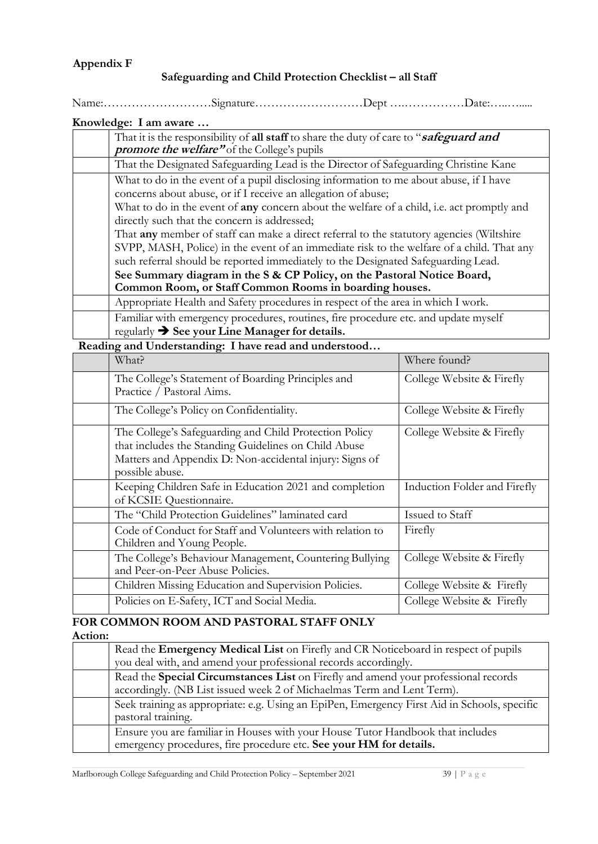#### Safeguarding and Child Protection Checklist - all Staff

Name:………………………Signature………………………Dept ….……………Date:…..….....

| Knowledge: I am aware |  |  |  |  |
|-----------------------|--|--|--|--|
|-----------------------|--|--|--|--|

| That it is the responsibility of all staff to share the duty of care to "safeguard and<br><i>promote the welfare"</i> of the College's pupils                                                                                                                                                                                                                                                                                                                                                         |
|-------------------------------------------------------------------------------------------------------------------------------------------------------------------------------------------------------------------------------------------------------------------------------------------------------------------------------------------------------------------------------------------------------------------------------------------------------------------------------------------------------|
| That the Designated Safeguarding Lead is the Director of Safeguarding Christine Kane                                                                                                                                                                                                                                                                                                                                                                                                                  |
| What to do in the event of a pupil disclosing information to me about abuse, if I have<br>concerns about abuse, or if I receive an allegation of abuse;<br>What to do in the event of <b>any</b> concern about the welfare of a child, i.e. act promptly and<br>directly such that the concern is addressed;<br>That any member of staff can make a direct referral to the statutory agencies (Wiltshire<br>SVPP, MASH, Police) in the event of an immediate risk to the welfare of a child. That any |
| such referral should be reported immediately to the Designated Safeguarding Lead.                                                                                                                                                                                                                                                                                                                                                                                                                     |
| See Summary diagram in the S & CP Policy, on the Pastoral Notice Board,                                                                                                                                                                                                                                                                                                                                                                                                                               |
| Common Room, or Staff Common Rooms in boarding houses.                                                                                                                                                                                                                                                                                                                                                                                                                                                |
| Appropriate Health and Safety procedures in respect of the area in which I work.                                                                                                                                                                                                                                                                                                                                                                                                                      |
| Familiar with emergency procedures, routines, fire procedure etc. and update myself<br>regularly $\rightarrow$ See your Line Manager for details.                                                                                                                                                                                                                                                                                                                                                     |

#### **Reading and Understanding: I have read and understood…**

| What?                                                                           | Where found?                 |
|---------------------------------------------------------------------------------|------------------------------|
| The College's Statement of Boarding Principles and<br>Practice / Pastoral Aims. | College Website & Firefly    |
|                                                                                 |                              |
| The College's Policy on Confidentiality.                                        | College Website & Firefly    |
| The College's Safeguarding and Child Protection Policy                          | College Website & Firefly    |
| that includes the Standing Guidelines on Child Abuse                            |                              |
| Matters and Appendix D: Non-accidental injury: Signs of                         |                              |
| possible abuse.                                                                 |                              |
| Keeping Children Safe in Education 2021 and completion                          | Induction Folder and Firefly |
| of KCSIE Questionnaire.                                                         |                              |
| The "Child Protection Guidelines" laminated card                                | Issued to Staff              |
| Code of Conduct for Staff and Volunteers with relation to                       | Firefly                      |
| Children and Young People.                                                      |                              |
| The College's Behaviour Management, Countering Bullying                         | College Website & Firefly    |
| and Peer-on-Peer Abuse Policies.                                                |                              |
| Children Missing Education and Supervision Policies.                            | College Website & Firefly    |
| Policies on E-Safety, ICT and Social Media.                                     | College Website & Firefly    |

# **FOR COMMON ROOM AND PASTORAL STAFF ONLY**

**Action:** 

| Read the <b>Emergency Medical List</b> on Firefly and CR Noticeboard in respect of pupils    |
|----------------------------------------------------------------------------------------------|
| you deal with, and amend your professional records accordingly.                              |
| Read the Special Circumstances List on Firefly and amend your professional records           |
| accordingly. (NB List issued week 2 of Michaelmas Term and Lent Term).                       |
| Seek training as appropriate: e.g. Using an EpiPen, Emergency First Aid in Schools, specific |
| pastoral training.                                                                           |
| Ensure you are familiar in Houses with your House Tutor Handbook that includes               |
| emergency procedures, fire procedure etc. See your HM for details.                           |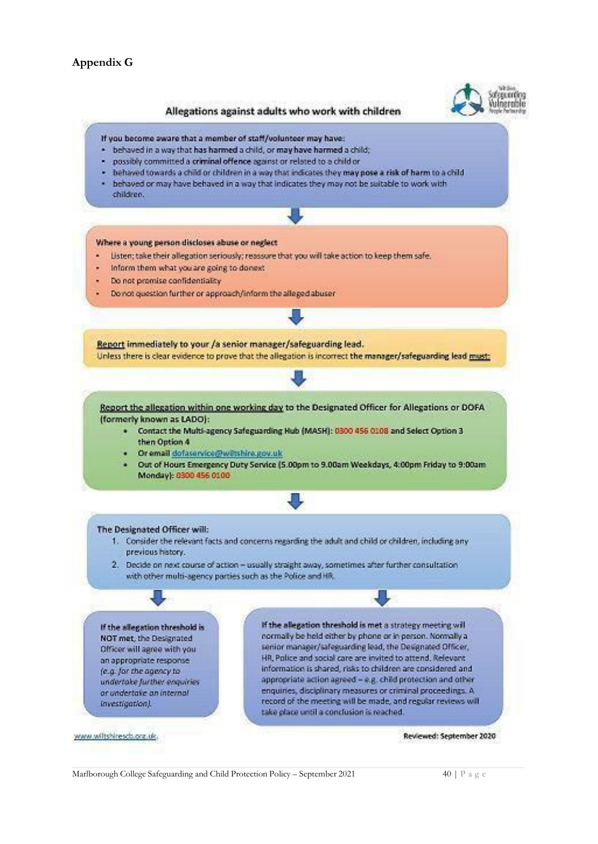#### Allegations against adults who work with children



#### If you become aware that a member of staff/volunteer may have:

- . behaved in a way that has harmed a child, or may have harmed a child;
- · possibly committed a criminal offence against or related to a child or
- . behaved towards a child or children in a way that indicates they may pose a risk of harm to a child
- . behaved or may have behaved in a way that indicates they may not be suitable to work with children.

#### Where a young person discloses abuse or neglect

- Listen; take their allegation seriously; reassure that you will take action to keep them safe.
- Inform them what you are going to donest
- Do not promise confidentiality
- Do not question further or approach/inform the alleged abuser

Report immediately to your /a senior manager/safeguarding lead. Unless there is clear evidence to prove that the allegation is incorrect the manager/safeguarding lead must:

Report the allegation within one working day to the Designated Officer for Allegations or DOFA (formerly known as LADO):

- . Contact the Multi-agency Safeguarding Hub (MASH): 0300 456 0108 and Select Option 3 then Option 4
- · Or email dofaservice@wiltshire.gov.uk
- Out of Hours Emergency Duty Service (5.00pm to 9.00am Weekdays, 4:00pm Friday to 9:00am Monday): 0300 456 0100

#### The Designated Officer will:

- 1. Consider the relevant facts and concerns regarding the adult and child or children, including any previous history.
- 2. Decide on next course of action usually straight away, sometimes after further consultation with other multi-agency parties such as the Police and HR.

If the allegation threshold is NOT met, the Designated Officer will agree with you an appropriate response (e.g. for the agency to undertake further enquiries or undertake an internal investigation).

www.wiltshiresch.org.uk.

If the allegation threshold is met a strategy meeting will normally be held either by phone or in person. Normally a senior manager/safeguarding lead, the Designated Officer, HR, Police and social care are invited to attend. Relevant information is shared, risks to children are considered and appropriate action agreed - e.g. child protection and other enquiries, disciplinary measures or criminal proceedings. A record of the meeting will be made, and regular reviews will take place until a conclusion is reached.

Reviewed: September 2020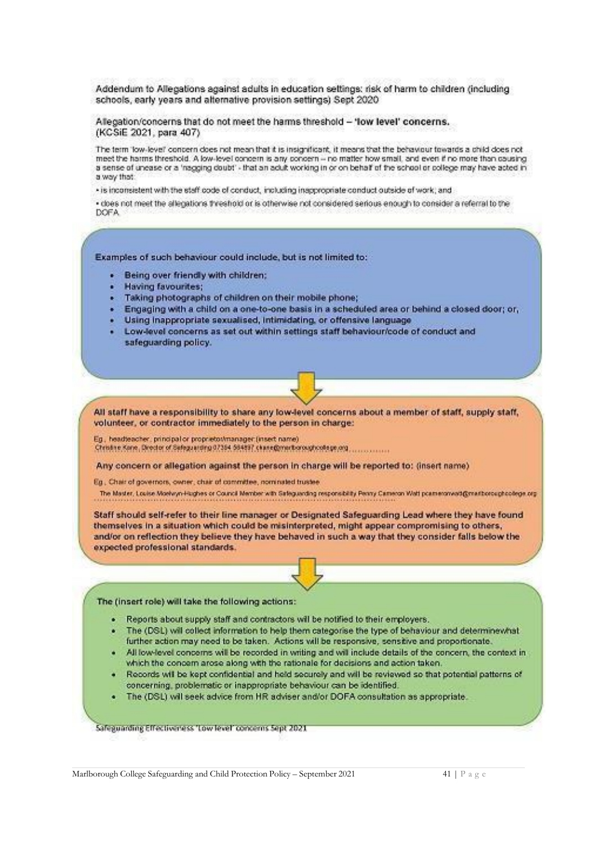Addendum to Allegations against adults in education settings: risk of harm to children (including schools, early years and alternative provision settings) Sept 2020

Allegation/concerns that do not meet the harms threshold - 'low level' concerns. (KCSiE 2021, para 407)

The term 'low-level' concern does not mean that it is insignificant, it means that the behaviour towards a child does not meet the harms threshold. A low-level concern is any concern -- no matter how small, and even if no more than causing. a sense of unease or a 'nagging doubt' - that an adult working in or on behalf of the school or college may have acted in a way that:

- is inconsistent with the staff code of conduct, including inappropriate conduct outside of work; and

· cloes not meet the allegations threshold or is otherwise not considered serious enough to consider a referral to the DOFA.

Examples of such behaviour could include, but is not limited to:

- · Being over friendly with children:
- **Having favourites:**
- · Taking photographs of children on their mobile phone;
- · Engaging with a child on a one-to-one basis in a scheduled area or behind a closed door; or,
- · Using inappropriate sexualised, intimidating, or offensive language
- . Low-level concerns as set out within settings staff behaviour/code of conduct and safeguarding policy.

All staff have a responsibility to share any low-level concerns about a member of staff, supply staff, volunteer, or contractor immediately to the person in charge:

Eg., headteacher, principal or proprietos/manager (insert name) Christine Kone, Director of Sefeguerding 07364 564897 chann@merthoroughcologe.org

Any concern or allegation against the person in charge will be reported to: (insert name)

Eq., Chair of governors, owner, chair of committee, nominated trustee.

The Master, Louise Moekvyn-Hughes or Council Member with Safeguarding responsibility Penny Cameron Watt pcameronwad@mastorcuphodege.org

Staff should self-refer to their line manager or Designated Safeguarding Lead where they have found themselves in a situation which could be misinterpreted, might appear compromising to others, and/or on reflection they believe they have behaved in such a way that they consider falls below the expected professional standards.

The (insert role) will take the following actions:

- Reports about supply staff and contractors will be notified to their employers.
- The (DSL) will collect information to help them categorise the type of behaviour and determinewhat  $\bullet$ further action may need to be taken. Actions will be responsive, sensitive and proportionate.
- . All low-level concerns will be recorded in writing and will include details of the concern, the context in which the concern arose along with the rationale for decisions and action taken.
- Records will be kept confidential and held securely and will be reviewed so that potential patterns of concerning, problematic or inappropriate behaviour can be identified.
- . The (DSL) will seek advice from HR adviser and/or DOFA consultation as appropriate.

Safeguarding Effectiveness 'Low level' concerns Sept 2021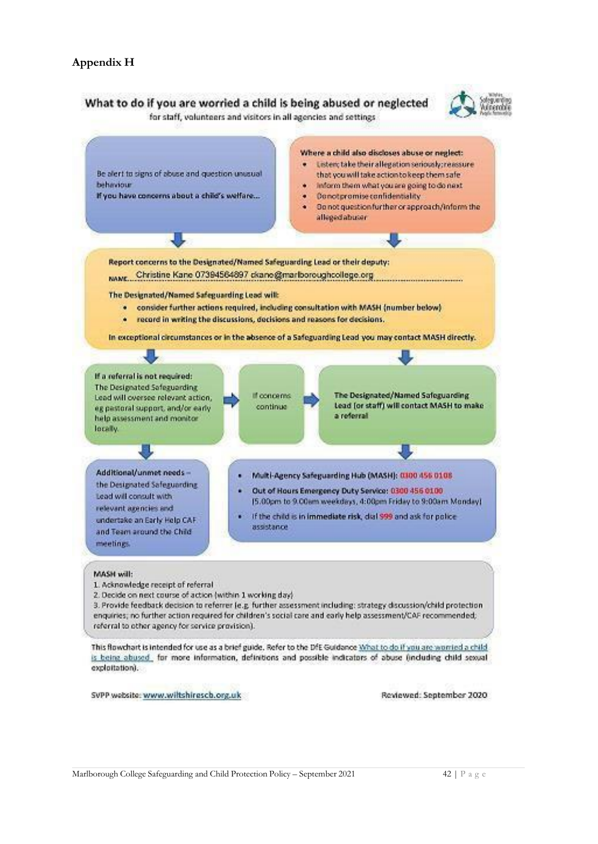#### **Appendix H**

#### What to do if you are worried a child is being abused or neglected



for staff, volunteers and visitors in all agencies and settings.



SVPP website: www.wiltshiresch.org.uk

Reviewed: September 2020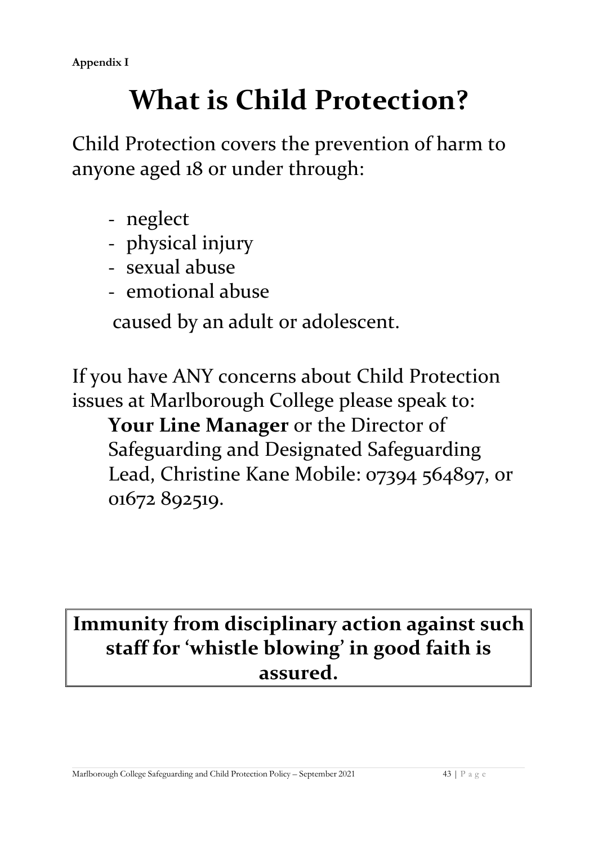# **What is Child Protection?**

Child Protection covers the prevention of harm to anyone aged 18 or under through:

- neglect
- physical injury
- sexual abuse
- emotional abuse

caused by an adult or adolescent.

If you have ANY concerns about Child Protection issues at Marlborough College please speak to:

**Your Line Manager** or the Director of Safeguarding and Designated Safeguarding Lead, Christine Kane Mobile: 07394 564897, or 01672 892519.

# **Immunity from disciplinary action against such staff for 'whistle blowing' in good faith is assured.**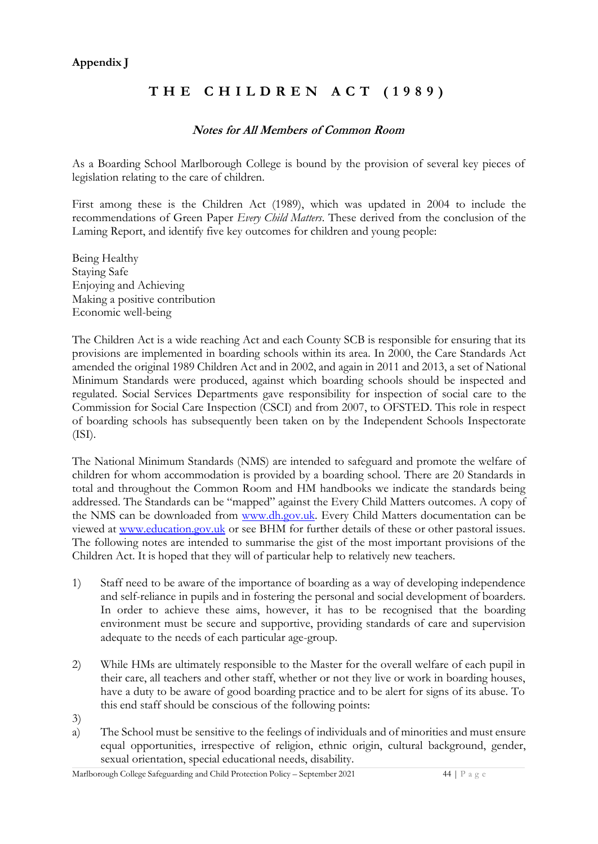#### **Appendix J**

# **T H E C H I L D R E N A C T ( 1 9 8 9 )**

#### **Notes for All Members of Common Room**

As a Boarding School Marlborough College is bound by the provision of several key pieces of legislation relating to the care of children.

First among these is the Children Act (1989), which was updated in 2004 to include the recommendations of Green Paper *Every Child Matters*. These derived from the conclusion of the Laming Report, and identify five key outcomes for children and young people:

Being Healthy Staying Safe Enjoying and Achieving Making a positive contribution Economic well-being

The Children Act is a wide reaching Act and each County SCB is responsible for ensuring that its provisions are implemented in boarding schools within its area. In 2000, the Care Standards Act amended the original 1989 Children Act and in 2002, and again in 2011 and 2013, a set of National Minimum Standards were produced, against which boarding schools should be inspected and regulated. Social Services Departments gave responsibility for inspection of social care to the Commission for Social Care Inspection (CSCI) and from 2007, to OFSTED. This role in respect of boarding schools has subsequently been taken on by the Independent Schools Inspectorate (ISI).

The National Minimum Standards (NMS) are intended to safeguard and promote the welfare of children for whom accommodation is provided by a boarding school. There are 20 Standards in total and throughout the Common Room and HM handbooks we indicate the standards being addressed. The Standards can be "mapped" against the Every Child Matters outcomes. A copy of the NMS can be downloaded from [www.dh.gov.uk. E](http://www.dh.gov.uk/)very Child Matters documentation can be viewed at [www.education.gov.uk o](http://www.dcsf.gov.uk/)r see BHM for further details of these or other pastoral issues. The following notes are intended to summarise the gist of the most important provisions of the Children Act. It is hoped that they will of particular help to relatively new teachers.

- 1) Staff need to be aware of the importance of boarding as a way of developing independence and self-reliance in pupils and in fostering the personal and social development of boarders. In order to achieve these aims, however, it has to be recognised that the boarding environment must be secure and supportive, providing standards of care and supervision adequate to the needs of each particular age-group.
- 2) While HMs are ultimately responsible to the Master for the overall welfare of each pupil in their care, all teachers and other staff, whether or not they live or work in boarding houses, have a duty to be aware of good boarding practice and to be alert for signs of its abuse. To this end staff should be conscious of the following points:
- 3)
- a) The School must be sensitive to the feelings of individuals and of minorities and must ensure equal opportunities, irrespective of religion, ethnic origin, cultural background, gender, sexual orientation, special educational needs, disability.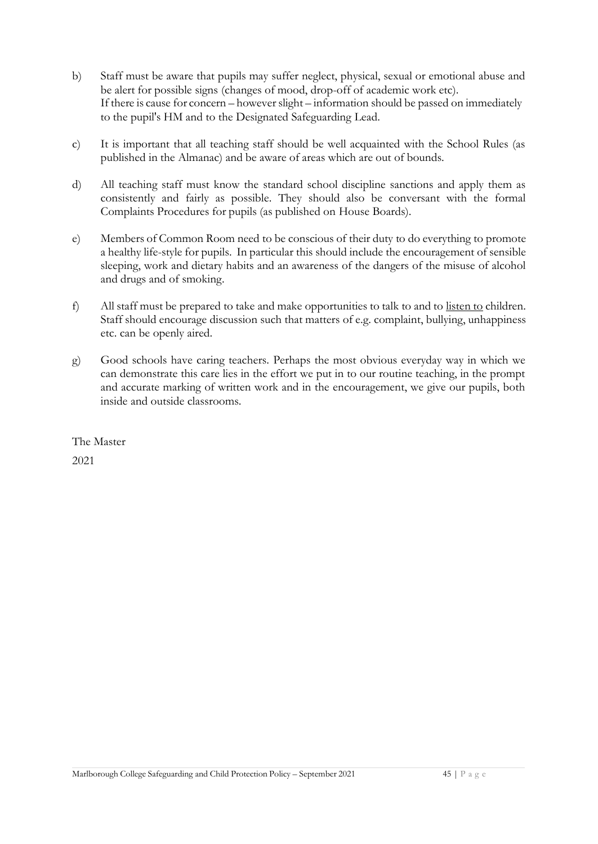- b) Staff must be aware that pupils may suffer neglect, physical, sexual or emotional abuse and be alert for possible signs (changes of mood, drop-off of academic work etc). If there is cause for concern – however slight – information should be passed on immediately to the pupil's HM and to the Designated Safeguarding Lead.
- c) It is important that all teaching staff should be well acquainted with the School Rules (as published in the Almanac) and be aware of areas which are out of bounds.
- d) All teaching staff must know the standard school discipline sanctions and apply them as consistently and fairly as possible. They should also be conversant with the formal Complaints Procedures for pupils (as published on House Boards).
- e) Members of Common Room need to be conscious of their duty to do everything to promote a healthy life-style for pupils. In particular this should include the encouragement of sensible sleeping, work and dietary habits and an awareness of the dangers of the misuse of alcohol and drugs and of smoking.
- f) All staff must be prepared to take and make opportunities to talk to and to listen to children. Staff should encourage discussion such that matters of e.g. complaint, bullying, unhappiness etc. can be openly aired.
- g) Good schools have caring teachers. Perhaps the most obvious everyday way in which we can demonstrate this care lies in the effort we put in to our routine teaching, in the prompt and accurate marking of written work and in the encouragement, we give our pupils, both inside and outside classrooms.

The Master

2021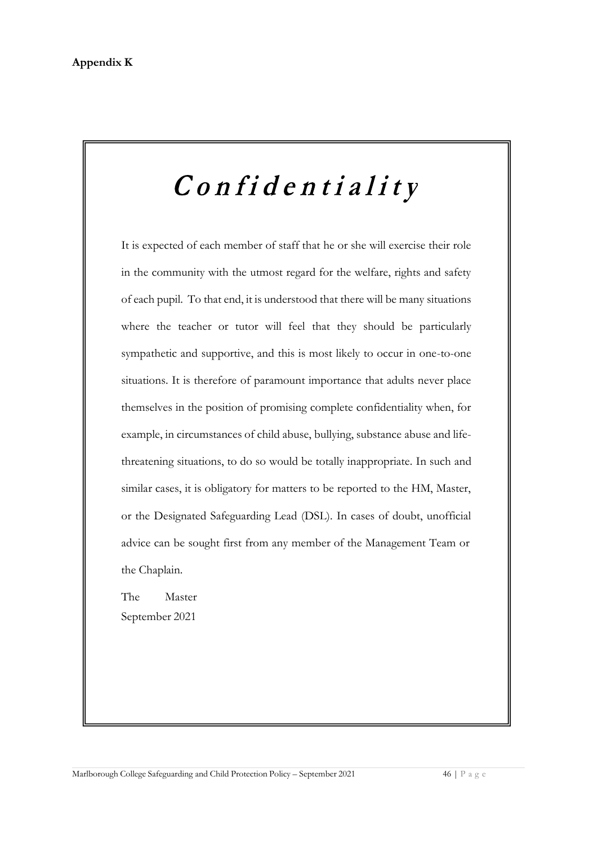# Confidentiality

It is expected of each member of staff that he or she will exercise their role in the community with the utmost regard for the welfare, rights and safety of each pupil. To that end, it is understood that there will be many situations where the teacher or tutor will feel that they should be particularly sympathetic and supportive, and this is most likely to occur in one-to-one situations. It is therefore of paramount importance that adults never place themselves in the position of promising complete confidentiality when, for example, in circumstances of child abuse, bullying, substance abuse and lifethreatening situations, to do so would be totally inappropriate. In such and similar cases, it is obligatory for matters to be reported to the HM, Master, or the Designated Safeguarding Lead (DSL). In cases of doubt, unofficial advice can be sought first from any member of the Management Team or the Chaplain.

The Master September 2021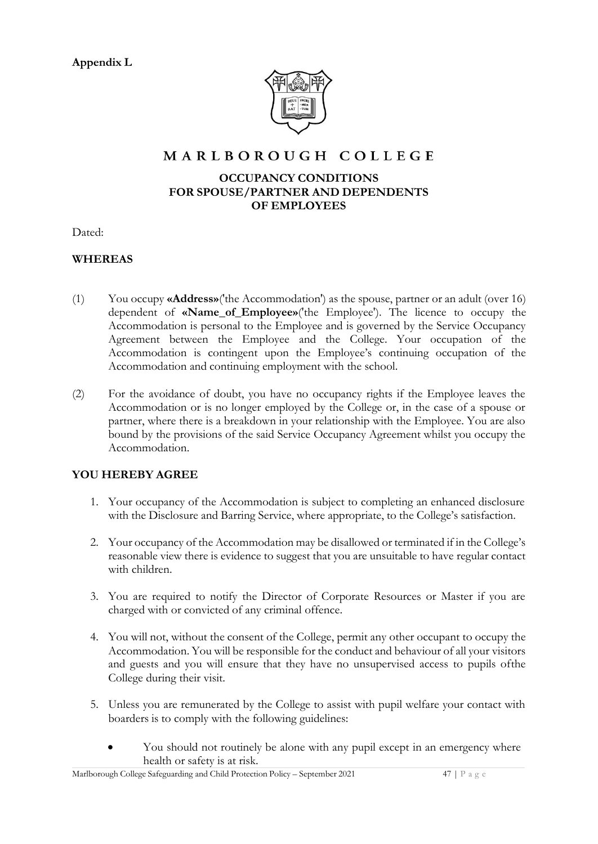**Appendix L** 



# MARLBOROUGH COLLEGE

#### **OCCUPANCY CONDITIONS FOR SPOUSE/PARTNER AND DEPENDENTS OF EMPLOYEES**

Dated:

#### **WHEREAS**

- (1) You occupy **«Address»**('the Accommodation') as the spouse, partner or an adult (over 16) dependent of **«Name\_of\_Employee»**('the Employee'). The licence to occupy the Accommodation is personal to the Employee and is governed by the Service Occupancy Agreement between the Employee and the College. Your occupation of the Accommodation is contingent upon the Employee's continuing occupation of the Accommodation and continuing employment with the school.
- (2) For the avoidance of doubt, you have no occupancy rights if the Employee leaves the Accommodation or is no longer employed by the College or, in the case of a spouse or partner, where there is a breakdown in your relationship with the Employee. You are also bound by the provisions of the said Service Occupancy Agreement whilst you occupy the Accommodation.

#### **YOU HEREBY AGREE**

- 1. Your occupancy of the Accommodation is subject to completing an enhanced disclosure with the Disclosure and Barring Service, where appropriate, to the College's satisfaction.
- 2. Your occupancy of the Accommodation may be disallowed or terminated if in the College's reasonable view there is evidence to suggest that you are unsuitable to have regular contact with children.
- 3. You are required to notify the Director of Corporate Resources or Master if you are charged with or convicted of any criminal offence.
- 4. You will not, without the consent of the College, permit any other occupant to occupy the Accommodation. You will be responsible for the conduct and behaviour of all your visitors and guests and you will ensure that they have no unsupervised access to pupils of the College during their visit.
- 5. Unless you are remunerated by the College to assist with pupil welfare your contact with boarders is to comply with the following guidelines:
	- You should not routinely be alone with any pupil except in an emergency where health or safety is at risk.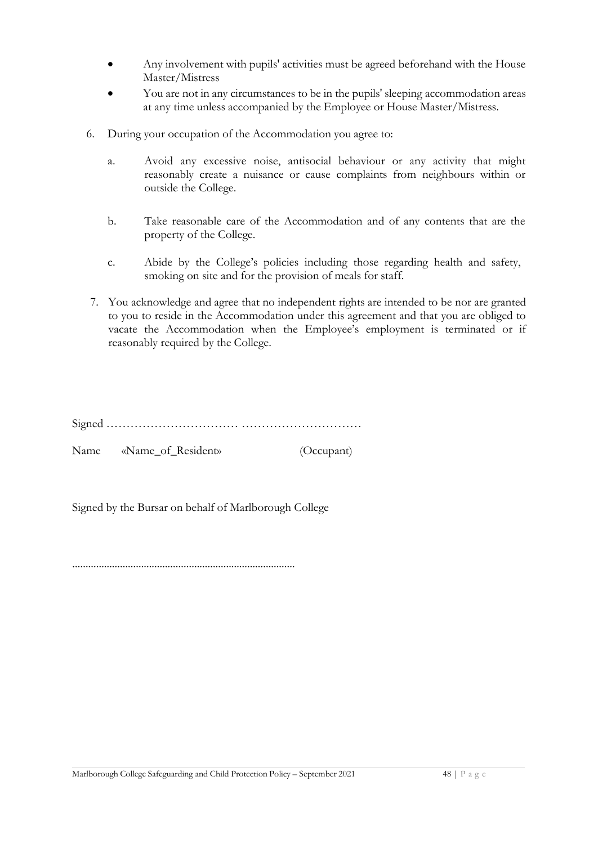- Any involvement with pupils' activities must be agreed beforehand with the House Master/Mistress
- You are not in any circumstances to be in the pupils' sleeping accommodation areas at any time unless accompanied by the Employee or House Master/Mistress.
- 6. During your occupation of the Accommodation you agree to:
	- a. Avoid any excessive noise, antisocial behaviour or any activity that might reasonably create a nuisance or cause complaints from neighbours within or outside the College.
	- b. Take reasonable care of the Accommodation and of any contents that are the property of the College.
	- c. Abide by the College's policies including those regarding health and safety, smoking on site and for the provision of meals for staff.
- 7. You acknowledge and agree that no independent rights are intended to be nor are granted to you to reside in the Accommodation under this agreement and that you are obliged to vacate the Accommodation when the Employee's employment is terminated or if reasonably required by the College.

Signed …………………………… …………………………

Name «Name\_of\_Resident» (Occupant)

Signed by the Bursar on behalf of Marlborough College

…………………………………………………………………………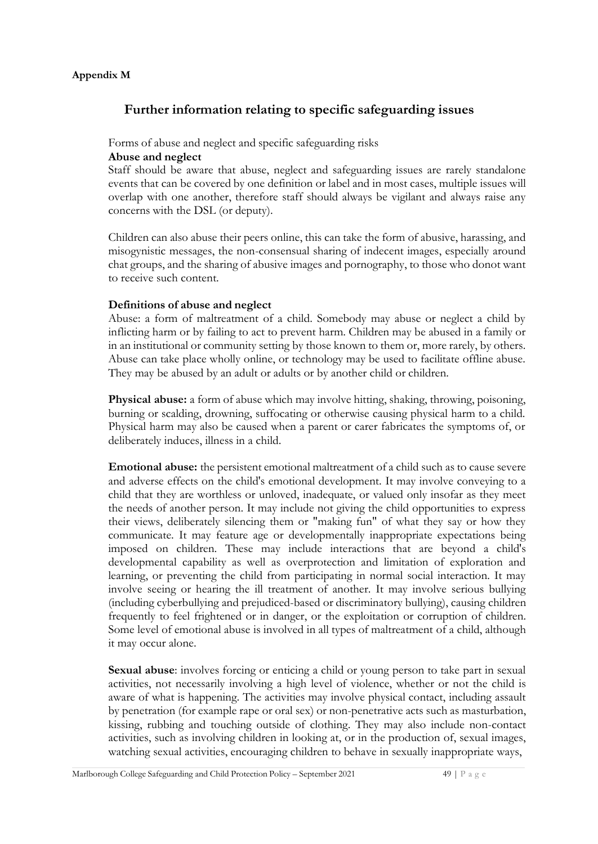#### **Appendix M**

# **Further information relating to specific safeguarding issues**

#### Forms of abuse and neglect and specific safeguarding risks

#### **Abuse and neglect**

Staff should be aware that abuse, neglect and safeguarding issues are rarely standalone events that can be covered by one definition or label and in most cases, multiple issues will overlap with one another, therefore staff should always be vigilant and always raise any concerns with the DSL (or deputy).

Children can also abuse their peers online, this can take the form of abusive, harassing, and misogynistic messages, the non-consensual sharing of indecent images, especially around chat groups, and the sharing of abusive images and pornography, to those who donot want to receive such content.

#### **Definitions of abuse and neglect**

Abuse: a form of maltreatment of a child. Somebody may abuse or neglect a child by inflicting harm or by failing to act to prevent harm. Children may be abused in a family or in an institutional or community setting by those known to them or, more rarely, by others. Abuse can take place wholly online, or technology may be used to facilitate offline abuse. They may be abused by an adult or adults or by another child or children.

**Physical abuse:** a form of abuse which may involve hitting, shaking, throwing, poisoning, burning or scalding, drowning, suffocating or otherwise causing physical harm to a child. Physical harm may also be caused when a parent or carer fabricates the symptoms of, or deliberately induces, illness in a child.

**Emotional abuse:** the persistent emotional maltreatment of a child such as to cause severe and adverse effects on the child's emotional development. It may involve conveying to a child that they are worthless or unloved, inadequate, or valued only insofar as they meet the needs of another person. It may include not giving the child opportunities to express their views, deliberately silencing them or "making fun" of what they say or how they communicate. It may feature age or developmentally inappropriate expectations being imposed on children. These may include interactions that are beyond a child's developmental capability as well as overprotection and limitation of exploration and learning, or preventing the child from participating in normal social interaction. It may involve seeing or hearing the ill treatment of another. It may involve serious bullying (including cyberbullying and prejudiced-based or discriminatory bullying), causing children frequently to feel frightened or in danger, or the exploitation or corruption of children. Some level of emotional abuse is involved in all types of maltreatment of a child, although it may occur alone.

**Sexual abuse**: involves forcing or enticing a child or young person to take part in sexual activities, not necessarily involving a high level of violence, whether or not the child is aware of what is happening. The activities may involve physical contact, including assault by penetration (for example rape or oral sex) or non-penetrative acts such as masturbation, kissing, rubbing and touching outside of clothing. They may also include non-contact activities, such as involving children in looking at, or in the production of, sexual images, watching sexual activities, encouraging children to behave in sexually inappropriate ways,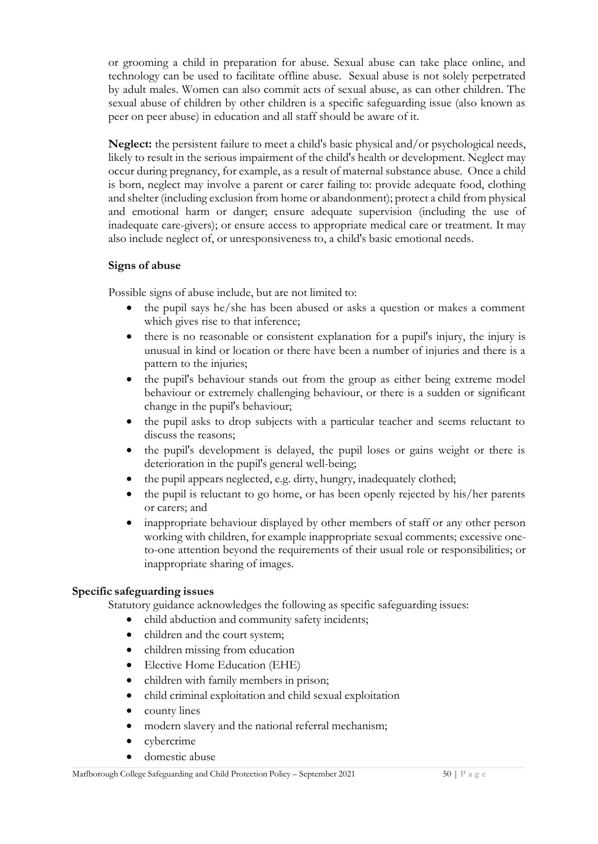or grooming a child in preparation for abuse. Sexual abuse can take place online, and technology can be used to facilitate offline abuse. Sexual abuse is not solely perpetrated by adult males. Women can also commit acts of sexual abuse, as can other children. The sexual abuse of children by other children is a specific safeguarding issue (also known as peer on peer abuse) in education and all staff should be aware of it.

**Neglect:** the persistent failure to meet a child's basic physical and/or psychological needs, likely to result in the serious impairment of the child's health or development. Neglect may occur during pregnancy, for example, as a result of maternal substance abuse. Once a child is born, neglect may involve a parent or carer failing to: provide adequate food, clothing and shelter (including exclusion from home or abandonment); protect a child from physical and emotional harm or danger; ensure adequate supervision (including the use of inadequate care-givers); or ensure access to appropriate medical care or treatment. It may also include neglect of, or unresponsiveness to, a child's basic emotional needs.

#### **Signs of abuse**

Possible signs of abuse include, but are not limited to:

- the pupil says he/she has been abused or asks a question or makes a comment which gives rise to that inference;
- there is no reasonable or consistent explanation for a pupil's injury, the injury is unusual in kind or location or there have been a number of injuries and there is a pattern to the injuries;
- the pupil's behaviour stands out from the group as either being extreme model behaviour or extremely challenging behaviour, or there is a sudden or significant change in the pupil's behaviour;
- the pupil asks to drop subjects with a particular teacher and seems reluctant to discuss the reasons;
- the pupil's development is delayed, the pupil loses or gains weight or there is deterioration in the pupil's general well-being;
- the pupil appears neglected, e.g. dirty, hungry, inadequately clothed;
- the pupil is reluctant to go home, or has been openly rejected by his/her parents or carers; and
- inappropriate behaviour displayed by other members of staff or any other person working with children, for example inappropriate sexual comments; excessive oneto-one attention beyond the requirements of their usual role or responsibilities; or inappropriate sharing of images.

#### **Specific safeguarding issues**

Statutory guidance acknowledges the following as specific safeguarding issues:

- child abduction and community safety incidents;
- children and the court system;
- children missing from education
- Elective Home Education (EHE)
- children with family members in prison;
- child criminal exploitation and child sexual exploitation
- county lines
- modern slavery and the national referral mechanism;
- cybercrime
- domestic abuse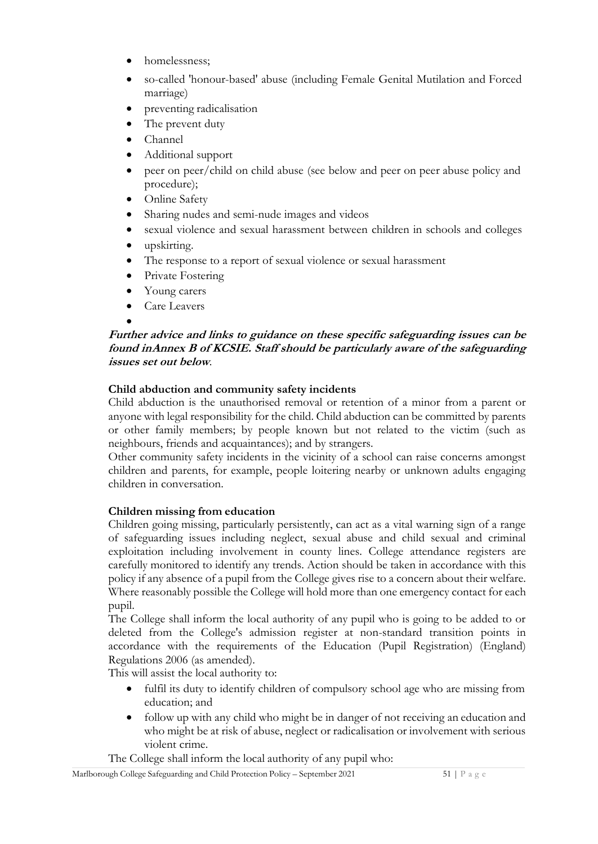- homelessness:
- so-called 'honour-based' abuse (including Female Genital Mutilation and Forced marriage)
- preventing radicalisation
- The prevent duty
- Channel
- Additional support
- peer on peer/child on child abuse (see below and peer on peer abuse policy and procedure);
- Online Safety
- Sharing nudes and semi-nude images and videos
- sexual violence and sexual harassment between children in schools and colleges
- upskirting.
- The response to a report of sexual violence or sexual harassment
- Private Fostering
- Young carers
- Care Leavers

# •

#### **Further advice and links to guidance on these specific safeguarding issues can be found in Annex B of KCSIE. Staff should be particularly aware of the safeguarding issues set out below**.

# **Child abduction and community safety incidents**

Child abduction is the unauthorised removal or retention of a minor from a parent or anyone with legal responsibility for the child. Child abduction can be committed by parents or other family members; by people known but not related to the victim (such as neighbours, friends and acquaintances); and by strangers.

Other community safety incidents in the vicinity of a school can raise concerns amongst children and parents, for example, people loitering nearby or unknown adults engaging children in conversation.

# **Children missing from education**

Children going missing, particularly persistently, can act as a vital warning sign of a range of safeguarding issues including neglect, sexual abuse and child sexual and criminal exploitation including involvement in county lines. College attendance registers are carefully monitored to identify any trends. Action should be taken in accordance with this policy if any absence of a pupil from the College gives rise to a concern about their welfare. Where reasonably possible the College will hold more than one emergency contact for each pupil.

The College shall inform the local authority of any pupil who is going to be added to or deleted from the College's admission register at non-standard transition points in accordance with the requirements of the Education (Pupil Registration) (England) Regulations 2006 (as amended).

This will assist the local authority to:

- fulfil its duty to identify children of compulsory school age who are missing from education; and
- follow up with any child who might be in danger of not receiving an education and who might be at risk of abuse, neglect or radicalisation or involvement with serious violent crime.
- The College shall inform the local authority of any pupil who: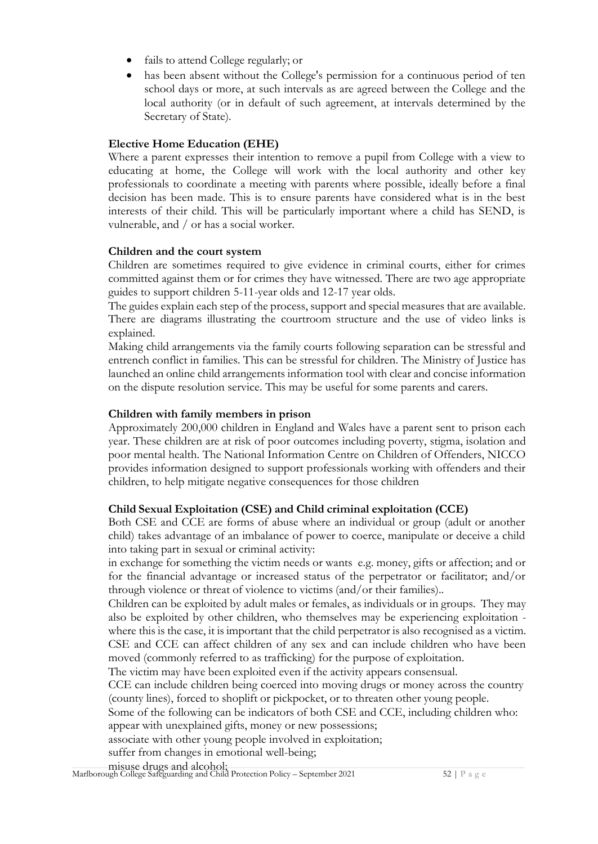- fails to attend College regularly; or
- has been absent without the College's permission for a continuous period of ten school days or more, at such intervals as are agreed between the College and the local authority (or in default of such agreement, at intervals determined by the Secretary of State).

#### **Elective Home Education (EHE)**

Where a parent expresses their intention to remove a pupil from College with a view to educating at home, the College will work with the local authority and other key professionals to coordinate a meeting with parents where possible, ideally before a final decision has been made. This is to ensure parents have considered what is in the best interests of their child. This will be particularly important where a child has SEND, is vulnerable, and / or has a social worker.

#### **Children and the court system**

Children are sometimes required to give evidence in criminal courts, either for crimes committed against them or for crimes they have witnessed. There are two age appropriate guides to support children 5-11-year olds and 12-17 year olds.

The guides explain each step of the process, support and special measures that are available. There are diagrams illustrating the courtroom structure and the use of video links is explained.

Making child arrangements via the family courts following separation can be stressful and entrench conflict in families. This can be stressful for children. The Ministry of Justice has launched an online child arrangements information tool with clear and concise information on the dispute resolution service. This may be useful for some parents and carers.

#### **Children with family members in prison**

Approximately 200,000 children in England and Wales have a parent sent to prison each year. These children are at risk of poor outcomes including poverty, stigma, isolation and poor mental health. The National Information Centre on Children of Offenders, NICCO provides information designed to support professionals working with offenders and their children, to help mitigate negative consequences for those children

#### **Child Sexual Exploitation (CSE) and Child criminal exploitation (CCE)**

Both CSE and CCE are forms of abuse where an individual or group (adult or another child) takes advantage of an imbalance of power to coerce, manipulate or deceive a child into taking part in sexual or criminal activity:

in exchange for something the victim needs or wants e.g. money, gifts or affection; and or for the financial advantage or increased status of the perpetrator or facilitator; and/or through violence or threat of violence to victims (and/or their families)..

Children can be exploited by adult males or females, as individuals or in groups. They may also be exploited by other children, who themselves may be experiencing exploitation where this is the case, it is important that the child perpetrator is also recognised as a victim. CSE and CCE can affect children of any sex and can include children who have been moved (commonly referred to as trafficking) for the purpose of exploitation.

The victim may have been exploited even if the activity appears consensual.

CCE can include children being coerced into moving drugs or money across the country (county lines), forced to shoplift or pickpocket, or to threaten other young people.

Some of the following can be indicators of both CSE and CCE, including children who: appear with unexplained gifts, money or new possessions;

associate with other young people involved in exploitation;

suffer from changes in emotional well-being;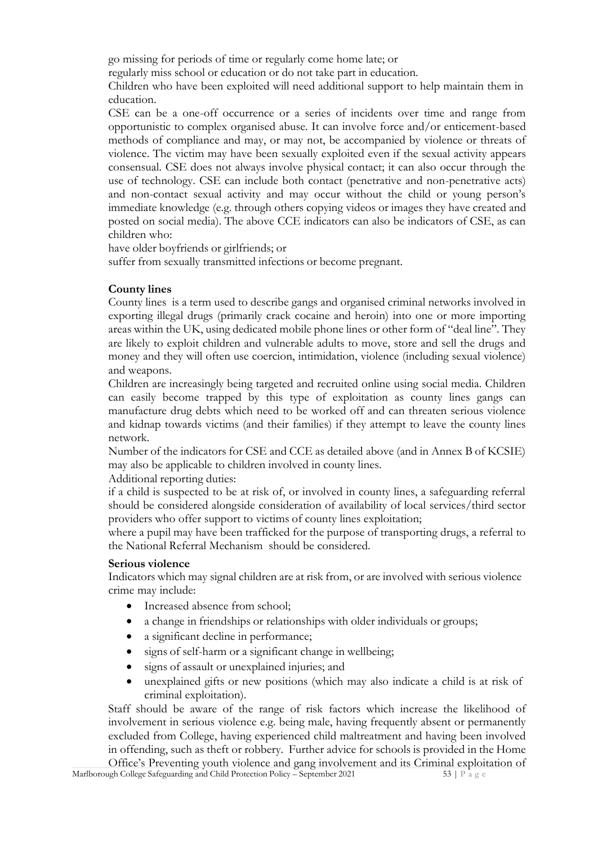go missing for periods of time or regularly come home late; or

regularly miss school or education or do not take part in education.

Children who have been exploited will need additional support to help maintain them in education.

CSE can be a one-off occurrence or a series of incidents over time and range from opportunistic to complex organised abuse. It can involve force and/or enticement-based methods of compliance and may, or may not, be accompanied by violence or threats of violence. The victim may have been sexually exploited even if the sexual activity appears consensual. CSE does not always involve physical contact; it can also occur through the use of technology. CSE can include both contact (penetrative and non-penetrative acts) and non-contact sexual activity and may occur without the child or young person's immediate knowledge (e.g. through others copying videos or images they have created and posted on social media). The above CCE indicators can also be indicators of CSE, as can children who:

have older boyfriends or girlfriends; or

suffer from sexually transmitted infections or become pregnant.

#### **County lines**

County lines is a term used to describe gangs and organised criminal networks involved in exporting illegal drugs (primarily crack cocaine and heroin) into one or more importing areas within the UK, using dedicated mobile phone lines or other form of "deal line". They are likely to exploit children and vulnerable adults to move, store and sell the drugs and money and they will often use coercion, intimidation, violence (including sexual violence) and weapons.

Children are increasingly being targeted and recruited online using social media. Children can easily become trapped by this type of exploitation as county lines gangs can manufacture drug debts which need to be worked off and can threaten serious violence and kidnap towards victims (and their families) if they attempt to leave the county lines network.

Number of the indicators for CSE and CCE as detailed above (and in Annex B of KCSIE) may also be applicable to children involved in county lines.

Additional reporting duties:

if a child is suspected to be at risk of, or involved in county lines, a safeguarding referral should be considered alongside consideration of availability of local services/third sector providers who offer support to victims of county lines exploitation;

where a pupil may have been trafficked for the purpose of transporting drugs, a referral to the National Referral Mechanism should be considered.

#### **Serious violence**

Indicators which may signal children are at risk from, or are involved with serious violence crime may include:

- Increased absence from school;
- a change in friendships or relationships with older individuals or groups;
- a significant decline in performance;
- signs of self-harm or a significant change in wellbeing;
- signs of assault or unexplained injuries; and
- unexplained gifts or new positions (which may also indicate a child is at risk of criminal exploitation).

Staff should be aware of the range of risk factors which increase the likelihood of involvement in serious violence e.g. being male, having frequently absent or permanently excluded from College, having experienced child maltreatment and having been involved in offending, such as theft or robbery. Further advice for schools is provided in the Home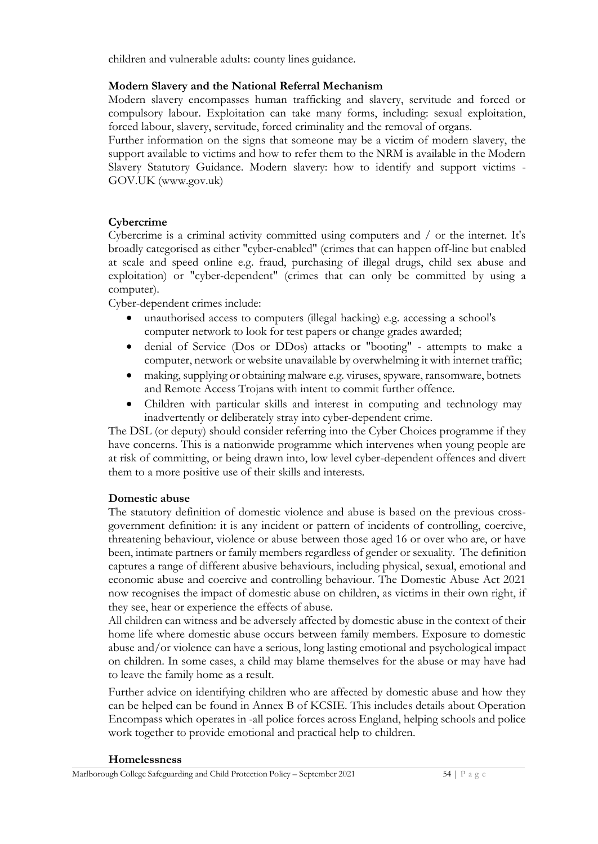children and vulnerable adults: county lines guidance.

#### **Modern Slavery and the National Referral Mechanism**

Modern slavery encompasses human trafficking and slavery, servitude and forced or compulsory labour. Exploitation can take many forms, including: sexual exploitation, forced labour, slavery, servitude, forced criminality and the removal of organs.

Further information on the signs that someone may be a victim of modern slavery, the support available to victims and how to refer them to the NRM is available in the Modern Slavery Statutory Guidance. Modern slavery: how to identify and support victims - GOV.UK (www.gov.uk)

#### **Cybercrime**

Cybercrime is a criminal activity committed using computers and / or the internet. It's broadly categorised as either "cyber-enabled" (crimes that can happen off-line but enabled at scale and speed online e.g. fraud, purchasing of illegal drugs, child sex abuse and exploitation) or "cyber-dependent" (crimes that can only be committed by using a computer).

Cyber-dependent crimes include:

- unauthorised access to computers (illegal hacking) e.g. accessing a school's computer network to look for test papers or change grades awarded;
- denial of Service (Dos or DDos) attacks or "booting" attempts to make a computer, network or website unavailable by overwhelming it with internet traffic;
- making, supplying or obtaining malware e.g. viruses, spyware, ransomware, botnets and Remote Access Trojans with intent to commit further offence.
- Children with particular skills and interest in computing and technology may inadvertently or deliberately stray into cyber-dependent crime.

The DSL (or deputy) should consider referring into the Cyber Choices programme if they have concerns. This is a nationwide programme which intervenes when young people are at risk of committing, or being drawn into, low level cyber-dependent offences and divert them to a more positive use of their skills and interests.

#### **Domestic abuse**

The statutory definition of domestic violence and abuse is based on the previous crossgovernment definition: it is any incident or pattern of incidents of controlling, coercive, threatening behaviour, violence or abuse between those aged 16 or over who are, or have been, intimate partners or family members regardless of gender or sexuality. The definition captures a range of different abusive behaviours, including physical, sexual, emotional and economic abuse and coercive and controlling behaviour. The Domestic Abuse Act 2021 now recognises the impact of domestic abuse on children, as victims in their own right, if they see, hear or experience the effects of abuse.

All children can witness and be adversely affected by domestic abuse in the context of their home life where domestic abuse occurs between family members. Exposure to domestic abuse and/or violence can have a serious, long lasting emotional and psychological impact on children. In some cases, a child may blame themselves for the abuse or may have had to leave the family home as a result.

Further advice on identifying children who are affected by domestic abuse and how they can be helped can be found in Annex B of KCSIE. This includes details about Operation Encompass which operates in -all police forces across England, helping schools and police work together to provide emotional and practical help to children.

#### **Homelessness**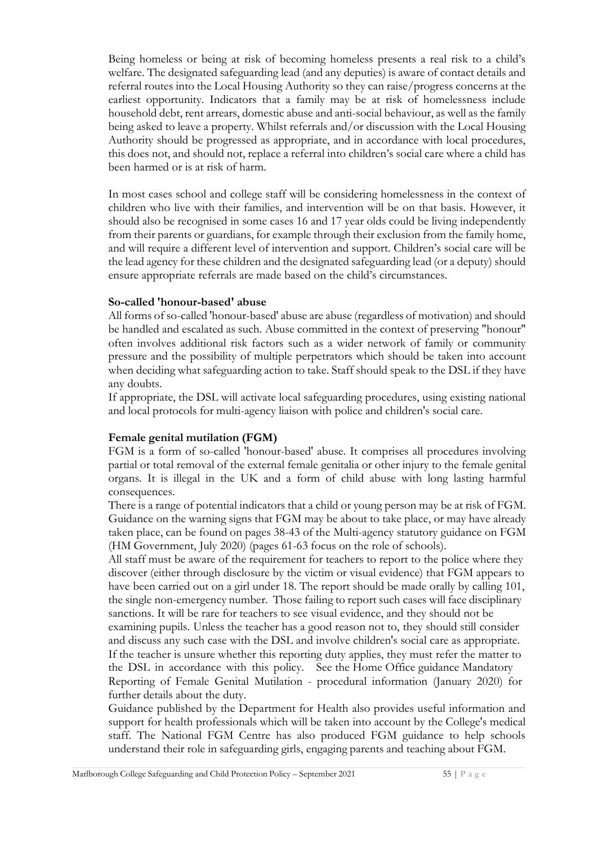Being homeless or being at risk of becoming homeless presents a real risk to a child's welfare. The designated safeguarding lead (and any deputies) is aware of contact details and referral routes into the Local Housing Authority so they can raise/progress concerns at the earliest opportunity. Indicators that a family may be at risk of homelessness include household debt, rent arrears, domestic abuse and anti-social behaviour, as well as the family being asked to leave a property. Whilst referrals and/or discussion with the Local Housing Authority should be progressed as appropriate, and in accordance with local procedures, this does not, and should not, replace a referral into children's social care where a child has been harmed or is at risk of harm.

In most cases school and college staff will be considering homelessness in the context of children who live with their families, and intervention will be on that basis. However, it should also be recognised in some cases 16 and 17 year olds could be living independently from their parents or guardians, for example through their exclusion from the family home, and will require a different level of intervention and support. Children's social care will be the lead agency for these children and the designated safeguarding lead (or a deputy) should ensure appropriate referrals are made based on the child's circumstances.

#### **So-called 'honour-based' abuse**

All forms of so-called 'honour-based' abuse are abuse (regardless of motivation) and should be handled and escalated as such. Abuse committed in the context of preserving "honour" often involves additional risk factors such as a wider network of family or community pressure and the possibility of multiple perpetrators which should be taken into account when deciding what safeguarding action to take. Staff should speak to the DSL if they have any doubts.

If appropriate, the DSL will activate local safeguarding procedures, using existing national and local protocols for multi-agency liaison with police and children's social care.

#### **Female genital mutilation (FGM)**

FGM is a form of so-called 'honour-based' abuse. It comprises all procedures involving partial or total removal of the external female genitalia or other injury to the female genital organs. It is illegal in the UK and a form of child abuse with long lasting harmful consequences.

There is a range of potential indicators that a child or young person may be at risk of FGM. Guidance on the warning signs that FGM may be about to take place, or may have already taken place, can be found on pages 38-43 of the Multi-agency statutory guidance on FGM (HM Government, July 2020) (pages 61-63 focus on the role of schools).

All staff must be aware of the requirement for teachers to report to the police where they discover (either through disclosure by the victim or visual evidence) that FGM appears to have been carried out on a girl under 18. The report should be made orally by calling 101, the single non-emergency number. Those failing to report such cases will face disciplinary sanctions. It will be rare for teachers to see visual evidence, and they should not be examining pupils. Unless the teacher has a good reason not to, they should still consider and discuss any such case with the DSL and involve children's social care as appropriate. If the teacher is unsure whether this reporting duty applies, they must refer the matter to the DSL in accordance with this policy. See the Home Office guidance Mandatory Reporting of Female Genital Mutilation - procedural information (January 2020) for further details about the duty.

Guidance published by the Department for Health also provides useful information and support for health professionals which will be taken into account by the College's medical staff. The National FGM Centre has also produced FGM guidance to help schools understand their role in safeguarding girls, engaging parents and teaching about FGM.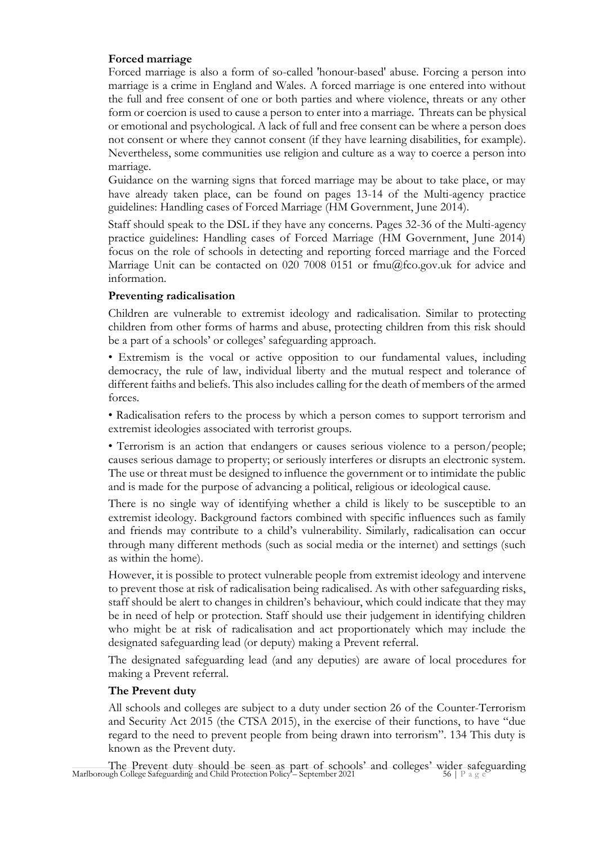#### **Forced marriage**

Forced marriage is also a form of so-called 'honour-based' abuse. Forcing a person into marriage is a crime in England and Wales. A forced marriage is one entered into without the full and free consent of one or both parties and where violence, threats or any other form or coercion is used to cause a person to enter into a marriage. Threats can be physical or emotional and psychological. A lack of full and free consent can be where a person does not consent or where they cannot consent (if they have learning disabilities, for example). Nevertheless, some communities use religion and culture as a way to coerce a person into marriage.

Guidance on the warning signs that forced marriage may be about to take place, or may have already taken place, can be found on pages 13-14 of the Multi-agency practice guidelines: Handling cases of Forced Marriage (HM Government, June 2014).

Staff should speak to the DSL if they have any concerns. Pages 32-36 of the Multi-agency practice guidelines: Handling cases of Forced Marriage (HM Government, June 2014) focus on the role of schools in detecting and reporting forced marriage and the Forced Marriage Unit can be contacted on 020 7008 0151 or  $\text{fmu}(a)$  fco.gov.uk for advice and information.

#### **Preventing radicalisation**

Children are vulnerable to extremist ideology and radicalisation. Similar to protecting children from other forms of harms and abuse, protecting children from this risk should be a part of a schools' or colleges' safeguarding approach.

• Extremism is the vocal or active opposition to our fundamental values, including democracy, the rule of law, individual liberty and the mutual respect and tolerance of different faiths and beliefs. This also includes calling for the death of members of the armed forces.

• Radicalisation refers to the process by which a person comes to support terrorism and extremist ideologies associated with terrorist groups.

• Terrorism is an action that endangers or causes serious violence to a person/people; causes serious damage to property; or seriously interferes or disrupts an electronic system. The use or threat must be designed to influence the government or to intimidate the public and is made for the purpose of advancing a political, religious or ideological cause.

There is no single way of identifying whether a child is likely to be susceptible to an extremist ideology. Background factors combined with specific influences such as family and friends may contribute to a child's vulnerability. Similarly, radicalisation can occur through many different methods (such as social media or the internet) and settings (such as within the home).

However, it is possible to protect vulnerable people from extremist ideology and intervene to prevent those at risk of radicalisation being radicalised. As with other safeguarding risks, staff should be alert to changes in children's behaviour, which could indicate that they may be in need of help or protection. Staff should use their judgement in identifying children who might be at risk of radicalisation and act proportionately which may include the designated safeguarding lead (or deputy) making a Prevent referral.

The designated safeguarding lead (and any deputies) are aware of local procedures for making a Prevent referral.

#### **The Prevent duty**

All schools and colleges are subject to a duty under section 26 of the Counter-Terrorism and Security Act 2015 (the CTSA 2015), in the exercise of their functions, to have "due regard to the need to prevent people from being drawn into terrorism". 134 This duty is known as the Prevent duty.

The Prevent duty should be seen as part of schools' and colleges' wider safeguarding<br>Marlborough College Safeguarding and Child Protection Policy – September 2021<br> $56$  | P a g e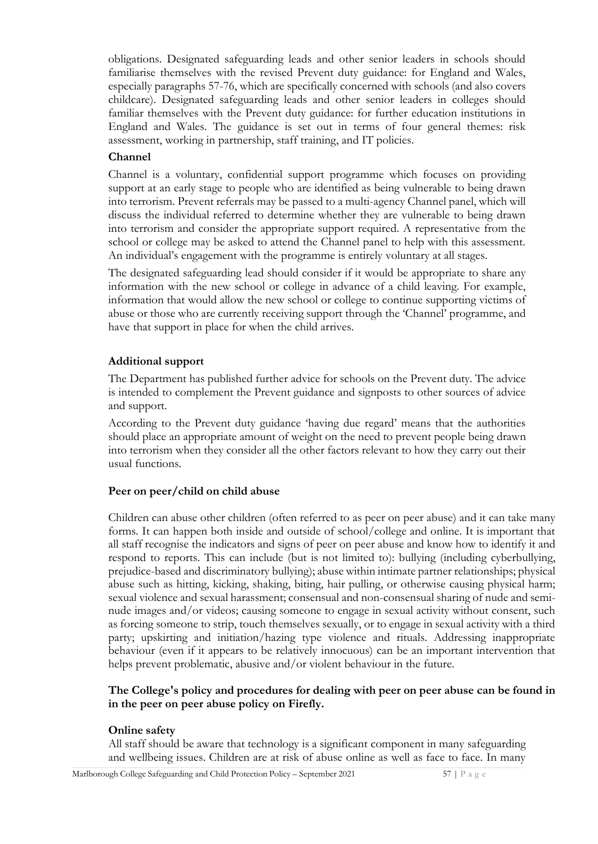obligations. Designated safeguarding leads and other senior leaders in schools should familiarise themselves with the revised Prevent duty guidance: for England and Wales, especially paragraphs 57-76, which are specifically concerned with schools (and also covers childcare). Designated safeguarding leads and other senior leaders in colleges should familiar themselves with the Prevent duty guidance: for further education institutions in England and Wales. The guidance is set out in terms of four general themes: risk assessment, working in partnership, staff training, and IT policies.

#### **Channel**

Channel is a voluntary, confidential support programme which focuses on providing support at an early stage to people who are identified as being vulnerable to being drawn into terrorism. Prevent referrals may be passed to a multi-agency Channel panel, which will discuss the individual referred to determine whether they are vulnerable to being drawn into terrorism and consider the appropriate support required. A representative from the school or college may be asked to attend the Channel panel to help with this assessment. An individual's engagement with the programme is entirely voluntary at all stages.

The designated safeguarding lead should consider if it would be appropriate to share any information with the new school or college in advance of a child leaving. For example, information that would allow the new school or college to continue supporting victims of abuse or those who are currently receiving support through the 'Channel' programme, and have that support in place for when the child arrives.

#### **Additional support**

The Department has published further advice for schools on the Prevent duty. The advice is intended to complement the Prevent guidance and signposts to other sources of advice and support.

According to the Prevent duty guidance 'having due regard' means that the authorities should place an appropriate amount of weight on the need to prevent people being drawn into terrorism when they consider all the other factors relevant to how they carry out their usual functions.

#### **Peer on peer/child on child abuse**

Children can abuse other children (often referred to as peer on peer abuse) and it can take many forms. It can happen both inside and outside of school/college and online. It is important that all staff recognise the indicators and signs of peer on peer abuse and know how to identify it and respond to reports. This can include (but is not limited to): bullying (including cyberbullying, prejudice-based and discriminatory bullying); abuse within intimate partner relationships; physical abuse such as hitting, kicking, shaking, biting, hair pulling, or otherwise causing physical harm; sexual violence and sexual harassment; consensual and non-consensual sharing of nude and seminude images and/or videos; causing someone to engage in sexual activity without consent, such as forcing someone to strip, touch themselves sexually, or to engage in sexual activity with a third party; upskirting and initiation/hazing type violence and rituals. Addressing inappropriate behaviour (even if it appears to be relatively innocuous) can be an important intervention that helps prevent problematic, abusive and/or violent behaviour in the future.

#### **The College's policy and procedures for dealing with peer on peer abuse can be found in in the peer on peer abuse policy on Firefly.**

#### **Online safety**

All staff should be aware that technology is a significant component in many safeguarding and wellbeing issues. Children are at risk of abuse online as well as face to face. In many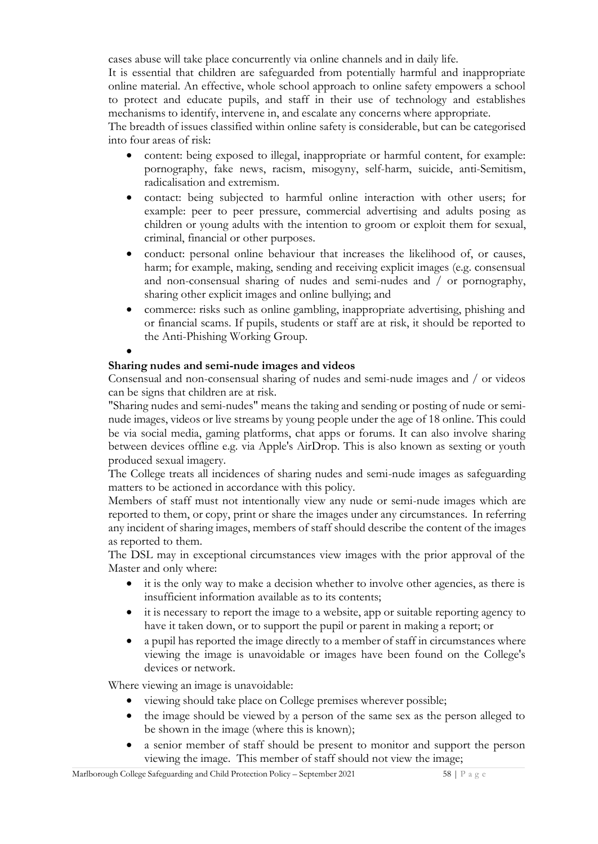cases abuse will take place concurrently via online channels and in daily life.

It is essential that children are safeguarded from potentially harmful and inappropriate online material. An effective, whole school approach to online safety empowers a school to protect and educate pupils, and staff in their use of technology and establishes mechanisms to identify, intervene in, and escalate any concerns where appropriate.

The breadth of issues classified within online safety is considerable, but can be categorised into four areas of risk:

- content: being exposed to illegal, inappropriate or harmful content, for example: pornography, fake news, racism, misogyny, self-harm, suicide, anti-Semitism, radicalisation and extremism.
- contact: being subjected to harmful online interaction with other users; for example: peer to peer pressure, commercial advertising and adults posing as children or young adults with the intention to groom or exploit them for sexual, criminal, financial or other purposes.
- conduct: personal online behaviour that increases the likelihood of, or causes, harm; for example, making, sending and receiving explicit images (e.g. consensual and non-consensual sharing of nudes and semi-nudes and / or pornography, sharing other explicit images and online bullying; and
- commerce: risks such as online gambling, inappropriate advertising, phishing and or financial scams. If pupils, students or staff are at risk, it should be reported to the Anti-Phishing Working Group.

#### **Sharing nudes and semi-nude images and videos**

•

Consensual and non-consensual sharing of nudes and semi-nude images and / or videos can be signs that children are at risk.

"Sharing nudes and semi-nudes" means the taking and sending or posting of nude or seminude images, videos or live streams by young people under the age of 18 online. This could be via social media, gaming platforms, chat apps or forums. It can also involve sharing between devices offline e.g. via Apple's AirDrop. This is also known as sexting or youth produced sexual imagery.

The College treats all incidences of sharing nudes and semi-nude images as safeguarding matters to be actioned in accordance with this policy.

Members of staff must not intentionally view any nude or semi-nude images which are reported to them, or copy, print or share the images under any circumstances. In referring any incident of sharing images, members of staff should describe the content of the images as reported to them.

The DSL may in exceptional circumstances view images with the prior approval of the Master and only where:

- it is the only way to make a decision whether to involve other agencies, as there is insufficient information available as to its contents;
- it is necessary to report the image to a website, app or suitable reporting agency to have it taken down, or to support the pupil or parent in making a report; or
- a pupil has reported the image directly to a member of staff in circumstances where viewing the image is unavoidable or images have been found on the College's devices or network.

Where viewing an image is unavoidable:

- viewing should take place on College premises wherever possible;
- the image should be viewed by a person of the same sex as the person alleged to be shown in the image (where this is known);
- a senior member of staff should be present to monitor and support the person viewing the image. This member of staff should not view the image;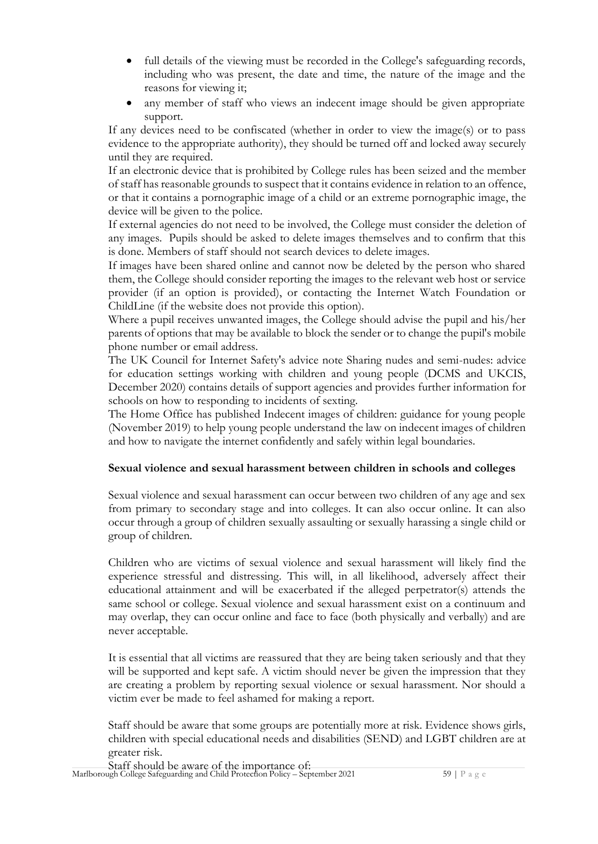- full details of the viewing must be recorded in the College's safeguarding records, including who was present, the date and time, the nature of the image and the reasons for viewing it;
- any member of staff who views an indecent image should be given appropriate support.

If any devices need to be confiscated (whether in order to view the image(s) or to pass evidence to the appropriate authority), they should be turned off and locked away securely until they are required.

If an electronic device that is prohibited by College rules has been seized and the member of staff has reasonable grounds to suspect that it contains evidence in relation to an offence, or that it contains a pornographic image of a child or an extreme pornographic image, the device will be given to the police.

If external agencies do not need to be involved, the College must consider the deletion of any images. Pupils should be asked to delete images themselves and to confirm that this is done. Members of staff should not search devices to delete images.

If images have been shared online and cannot now be deleted by the person who shared them, the College should consider reporting the images to the relevant web host or service provider (if an option is provided), or contacting the Internet Watch Foundation or ChildLine (if the website does not provide this option).

Where a pupil receives unwanted images, the College should advise the pupil and his/her parents of options that may be available to block the sender or to change the pupil's mobile phone number or email address.

The UK Council for Internet Safety's advice note Sharing nudes and semi-nudes: advice for education settings working with children and young people (DCMS and UKCIS, December 2020) contains details of support agencies and provides further information for schools on how to responding to incidents of sexting.

The Home Office has published Indecent images of children: guidance for young people (November 2019) to help young people understand the law on indecent images of children and how to navigate the internet confidently and safely within legal boundaries.

#### **Sexual violence and sexual harassment between children in schools and colleges**

Sexual violence and sexual harassment can occur between two children of any age and sex from primary to secondary stage and into colleges. It can also occur online. It can also occur through a group of children sexually assaulting or sexually harassing a single child or group of children.

Children who are victims of sexual violence and sexual harassment will likely find the experience stressful and distressing. This will, in all likelihood, adversely affect their educational attainment and will be exacerbated if the alleged perpetrator(s) attends the same school or college. Sexual violence and sexual harassment exist on a continuum and may overlap, they can occur online and face to face (both physically and verbally) and are never acceptable.

It is essential that all victims are reassured that they are being taken seriously and that they will be supported and kept safe. A victim should never be given the impression that they are creating a problem by reporting sexual violence or sexual harassment. Nor should a victim ever be made to feel ashamed for making a report.

Staff should be aware that some groups are potentially more at risk. Evidence shows girls, children with special educational needs and disabilities (SEND) and LGBT children are at greater risk.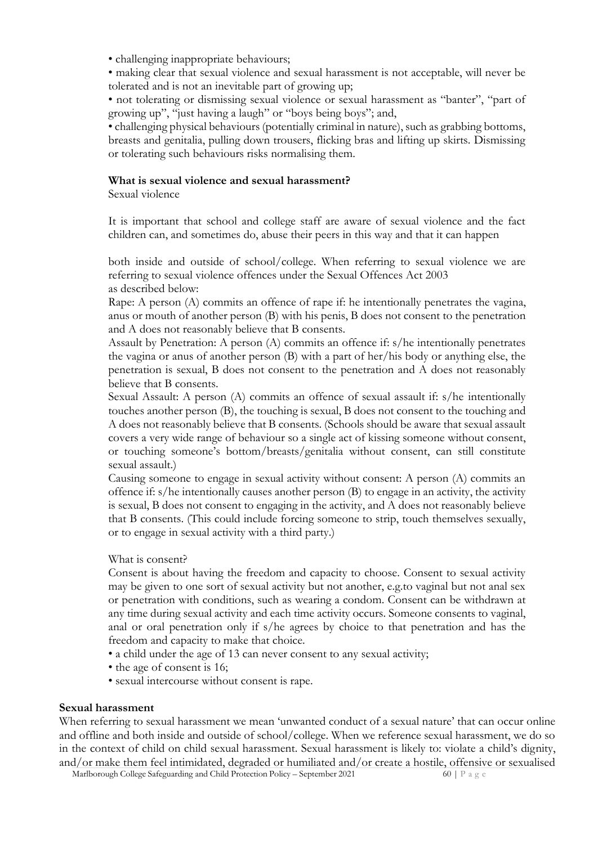- challenging inappropriate behaviours;
- making clear that sexual violence and sexual harassment is not acceptable, will never be tolerated and is not an inevitable part of growing up;

• not tolerating or dismissing sexual violence or sexual harassment as "banter", "part of growing up", "just having a laugh" or "boys being boys"; and,

• challenging physical behaviours (potentially criminal in nature), such as grabbing bottoms, breasts and genitalia, pulling down trousers, flicking bras and lifting up skirts. Dismissing or tolerating such behaviours risks normalising them.

#### **What is sexual violence and sexual harassment?**

Sexual violence

It is important that school and college staff are aware of sexual violence and the fact children can, and sometimes do, abuse their peers in this way and that it can happen

both inside and outside of school/college. When referring to sexual violence we are referring to sexual violence offences under the Sexual Offences Act 2003 as described below:

Rape: A person (A) commits an offence of rape if: he intentionally penetrates the vagina, anus or mouth of another person (B) with his penis, B does not consent to the penetration and A does not reasonably believe that B consents.

Assault by Penetration: A person (A) commits an offence if: s/he intentionally penetrates the vagina or anus of another person (B) with a part of her/his body or anything else, the penetration is sexual, B does not consent to the penetration and A does not reasonably believe that B consents.

Sexual Assault: A person (A) commits an offence of sexual assault if: s/he intentionally touches another person (B), the touching is sexual, B does not consent to the touching and A does not reasonably believe that B consents. (Schools should be aware that sexual assault covers a very wide range of behaviour so a single act of kissing someone without consent, or touching someone's bottom/breasts/genitalia without consent, can still constitute sexual assault.)

Causing someone to engage in sexual activity without consent: A person (A) commits an offence if: s/he intentionally causes another person (B) to engage in an activity, the activity is sexual, B does not consent to engaging in the activity, and A does not reasonably believe that B consents. (This could include forcing someone to strip, touch themselves sexually, or to engage in sexual activity with a third party.)

#### What is consent?

Consent is about having the freedom and capacity to choose. Consent to sexual activity may be given to one sort of sexual activity but not another, e.g.to vaginal but not anal sex or penetration with conditions, such as wearing a condom. Consent can be withdrawn at any time during sexual activity and each time activity occurs. Someone consents to vaginal, anal or oral penetration only if s/he agrees by choice to that penetration and has the freedom and capacity to make that choice.

- a child under the age of 13 can never consent to any sexual activity;
- the age of consent is 16;
- sexual intercourse without consent is rape.

#### **Sexual harassment**

When referring to sexual harassment we mean 'unwanted conduct of a sexual nature' that can occur online and offline and both inside and outside of school/college. When we reference sexual harassment, we do so in the context of child on child sexual harassment. Sexual harassment is likely to: violate a child's dignity, and/or make them feel intimidated, degraded or humiliated and/or create a hostile, offensive or sexualised

Marlborough College Safeguarding and Child Protection Policy – September 2021 60 | P a g e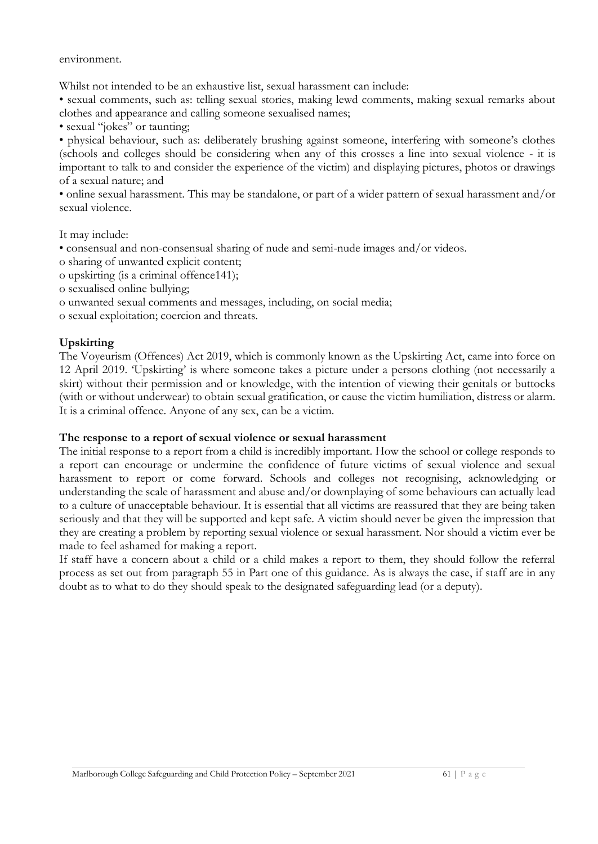environment.

Whilst not intended to be an exhaustive list, sexual harassment can include:

• sexual comments, such as: telling sexual stories, making lewd comments, making sexual remarks about clothes and appearance and calling someone sexualised names;

• sexual "jokes" or taunting;

• physical behaviour, such as: deliberately brushing against someone, interfering with someone's clothes (schools and colleges should be considering when any of this crosses a line into sexual violence - it is important to talk to and consider the experience of the victim) and displaying pictures, photos or drawings of a sexual nature; and

• online sexual harassment. This may be standalone, or part of a wider pattern of sexual harassment and/or sexual violence.

It may include:

- consensual and non-consensual sharing of nude and semi-nude images and/or videos.
- o sharing of unwanted explicit content;
- o upskirting (is a criminal offence141);
- o sexualised online bullying;
- o unwanted sexual comments and messages, including, on social media;
- o sexual exploitation; coercion and threats.

#### **Upskirting**

The Voyeurism (Offences) Act 2019, which is commonly known as the Upskirting Act, came into force on 12 April 2019. 'Upskirting' is where someone takes a picture under a persons clothing (not necessarily a skirt) without their permission and or knowledge, with the intention of viewing their genitals or buttocks (with or without underwear) to obtain sexual gratification, or cause the victim humiliation, distress or alarm. It is a criminal offence. Anyone of any sex, can be a victim.

#### **The response to a report of sexual violence or sexual harassment**

The initial response to a report from a child is incredibly important. How the school or college responds to a report can encourage or undermine the confidence of future victims of sexual violence and sexual harassment to report or come forward. Schools and colleges not recognising, acknowledging or understanding the scale of harassment and abuse and/or downplaying of some behaviours can actually lead to a culture of unacceptable behaviour. It is essential that all victims are reassured that they are being taken seriously and that they will be supported and kept safe. A victim should never be given the impression that they are creating a problem by reporting sexual violence or sexual harassment. Nor should a victim ever be made to feel ashamed for making a report.

If staff have a concern about a child or a child makes a report to them, they should follow the referral process as set out from paragraph 55 in Part one of this guidance. As is always the case, if staff are in any doubt as to what to do they should speak to the designated safeguarding lead (or a deputy).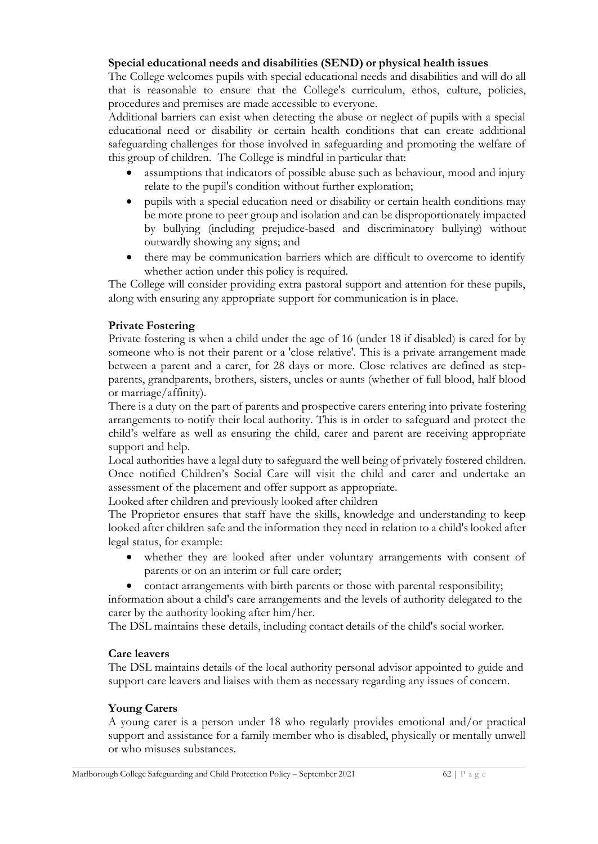#### **Special educational needs and disabilities (SEND) or physical health issues**

The College welcomes pupils with special educational needs and disabilities and will do all that is reasonable to ensure that the College's curriculum, ethos, culture, policies, procedures and premises are made accessible to everyone.

Additional barriers can exist when detecting the abuse or neglect of pupils with a special educational need or disability or certain health conditions that can create additional safeguarding challenges for those involved in safeguarding and promoting the welfare of this group of children. The College is mindful in particular that:

- assumptions that indicators of possible abuse such as behaviour, mood and injury relate to the pupil's condition without further exploration;
- pupils with a special education need or disability or certain health conditions may be more prone to peer group and isolation and can be disproportionately impacted by bullying (including prejudice-based and discriminatory bullying) without outwardly showing any signs; and
- there may be communication barriers which are difficult to overcome to identify whether action under this policy is required.

The College will consider providing extra pastoral support and attention for these pupils, along with ensuring any appropriate support for communication is in place.

#### **Private Fostering**

Private fostering is when a child under the age of 16 (under 18 if disabled) is cared for by someone who is not their parent or a 'close relative'. This is a private arrangement made between a parent and a carer, for 28 days or more. Close relatives are defined as stepparents, grandparents, brothers, sisters, uncles or aunts (whether of full blood, half blood or marriage/affinity).

There is a duty on the part of parents and prospective carers entering into private fostering arrangements to notify their local authority. This is in order to safeguard and protect the child's welfare as well as ensuring the child, carer and parent are receiving appropriate support and help.

Local authorities have a legal duty to safeguard the well being of privately fostered children. Once notified Children's Social Care will visit the child and carer and undertake an assessment of the placement and offer support as appropriate.

Looked after children and previously looked after children

The Proprietor ensures that staff have the skills, knowledge and understanding to keep looked after children safe and the information they need in relation to a child's looked after legal status, for example:

- whether they are looked after under voluntary arrangements with consent of parents or on an interim or full care order;
- contact arrangements with birth parents or those with parental responsibility;

information about a child's care arrangements and the levels of authority delegated to the carer by the authority looking after him/her.

The DSL maintains these details, including contact details of the child's social worker.

#### **Care leavers**

The DSL maintains details of the local authority personal advisor appointed to guide and support care leavers and liaises with them as necessary regarding any issues of concern.

#### **Young Carers**

A young carer is a person under 18 who regularly provides emotional and/or practical support and assistance for a family member who is disabled, physically or mentally unwell or who misuses substances.